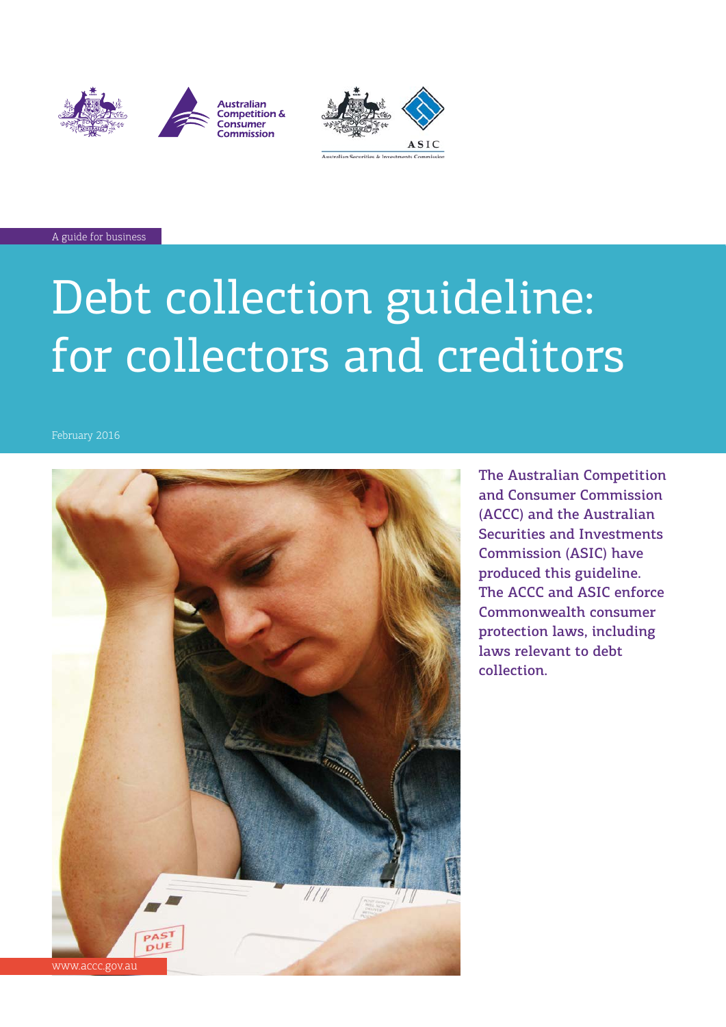





A guide for business

# Debt collection guideline: for collectors and creditors



The Australian Competition and Consumer Commission (ACCC) and the Australian Securities and Investments Commission (ASIC) have produced this guideline. The ACCC and ASIC enforce Commonwealth consumer protection laws, including laws relevant to debt collection.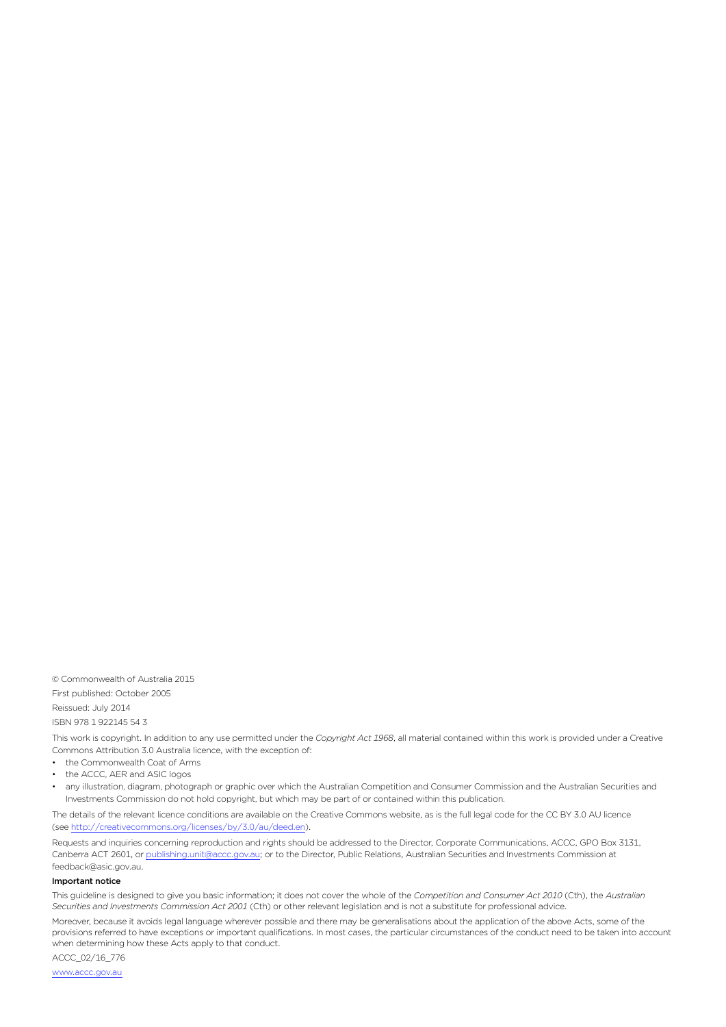© Commonwealth of Australia 2015

First published: October 2005 Reissued: July 2014 ISBN 978 1 922145 54 3

This work is copyright. In addition to any use permitted under the *Copyright Act 1968*, all material contained within this work is provided under a Creative Commons Attribution 3.0 Australia licence, with the exception of:

• the Commonwealth Coat of Arms

the ACCC, AER and ASIC logos

any illustration, diagram, photograph or graphic over which the Australian Competition and Consumer Commission and the Australian Securities and Investments Commission do not hold copyright, but which may be part of or contained within this publication.

The details of the relevant licence conditions are available on the Creative Commons website, as is the full legal code for the CC BY 3.0 AU licence (see<http://creativecommons.org/licenses/by/3.0/au/deed.en>).

Requests and inquiries concerning reproduction and rights should be addressed to the Director, Corporate Communications, ACCC, GPO Box 3131, Canberra ACT 2601, or [publishing.unit@accc.gov.au](mailto:publishing.unit%40accc.gov.au?subject=);or to the Director, Public Relations, Australian Securities and Investments Commission at [feedback@asic.gov.au.](mailto:feedback@asic.gov.au)

#### Important notice

This guideline is designed to give you basic information; it does not cover the whole of the *Competition and Consumer Act 2010* (Cth), the *Australian Securities and Investments Commission Act 2001* (Cth) or other relevant legislation and is not a substitute for professional advice.

Moreover, because it avoids legal language wherever possible and there may be generalisations about the application of the above Acts, some of the provisions referred to have exceptions or important qualifications. In most cases, the particular circumstances of the conduct need to be taken into account when determining how these Acts apply to that conduct.

ACCC\_02/16\_776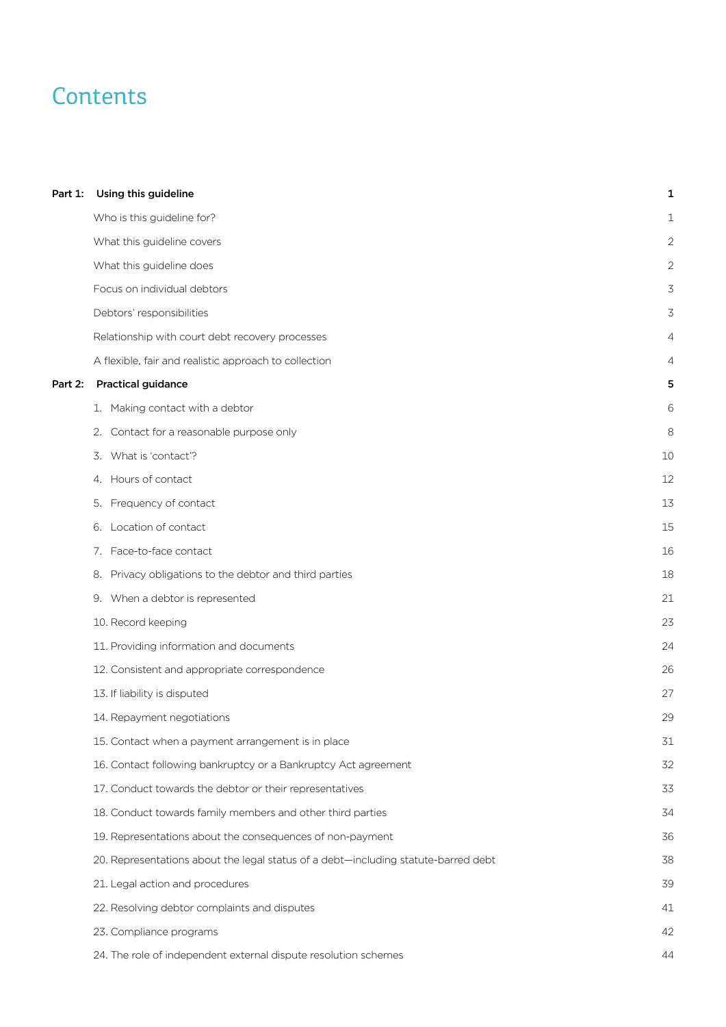# **Contents**

| Part 1: | Using this guideline                                                               | 1  |
|---------|------------------------------------------------------------------------------------|----|
|         | Who is this guideline for?                                                         | 1  |
|         | What this guideline covers                                                         | 2  |
|         | What this guideline does                                                           | 2  |
|         | Focus on individual debtors                                                        | 3  |
|         | Debtors' responsibilities                                                          | 3  |
|         | Relationship with court debt recovery processes                                    | 4  |
|         | A flexible, fair and realistic approach to collection                              | 4  |
| Part 2: | <b>Practical guidance</b>                                                          | 5  |
|         | 1. Making contact with a debtor                                                    | 6  |
|         | 2. Contact for a reasonable purpose only                                           | 8  |
|         | 3. What is 'contact'?                                                              | 10 |
|         | 4. Hours of contact                                                                | 12 |
|         | 5. Frequency of contact                                                            | 13 |
|         | 6. Location of contact                                                             | 15 |
|         | 7. Face-to-face contact                                                            | 16 |
|         | 8. Privacy obligations to the debtor and third parties                             | 18 |
|         | 9. When a debtor is represented                                                    | 21 |
|         | 10. Record keeping                                                                 | 23 |
|         | 11. Providing information and documents                                            | 24 |
|         | 12. Consistent and appropriate correspondence                                      | 26 |
|         | 13. If liability is disputed                                                       | 27 |
|         | 14. Repayment negotiations                                                         | 29 |
|         | 15. Contact when a payment arrangement is in place                                 | 31 |
|         | 16. Contact following bankruptcy or a Bankruptcy Act agreement                     | 32 |
|         | 17. Conduct towards the debtor or their representatives                            | 33 |
|         | 18. Conduct towards family members and other third parties                         | 34 |
|         | 19. Representations about the consequences of non-payment                          | 36 |
|         | 20. Representations about the legal status of a debt-including statute-barred debt | 38 |
|         | 21. Legal action and procedures                                                    | 39 |
|         | 22. Resolving debtor complaints and disputes                                       | 41 |
|         | 23. Compliance programs                                                            | 42 |
|         | 24. The role of independent external dispute resolution schemes                    | 44 |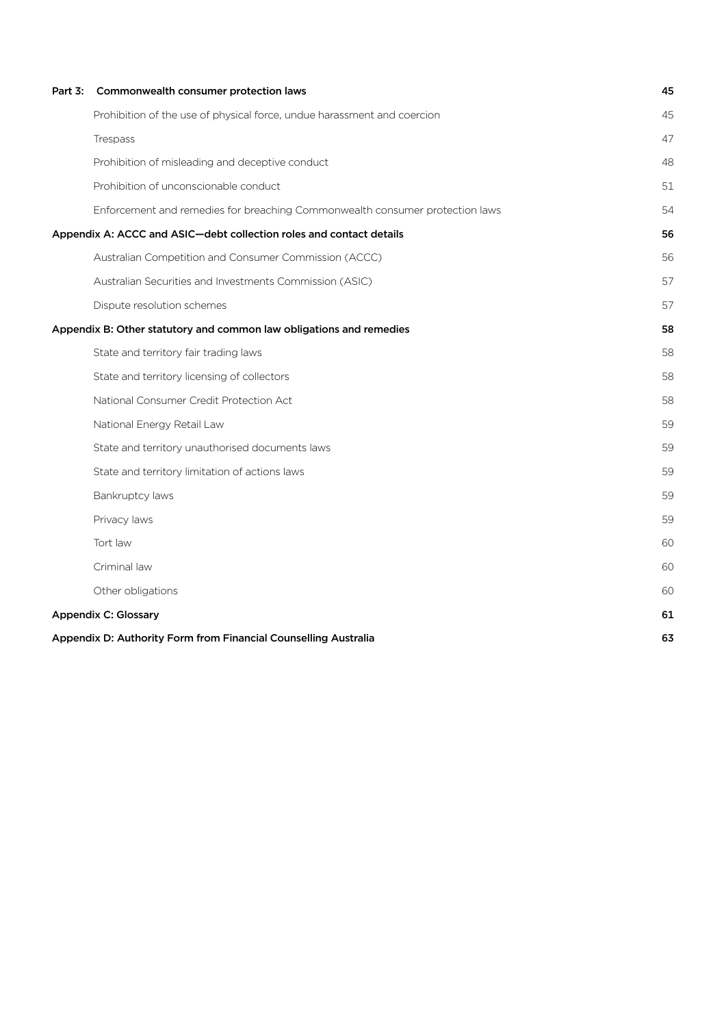| Part 3:                                                         | Commonwealth consumer protection laws                                        | 45 |
|-----------------------------------------------------------------|------------------------------------------------------------------------------|----|
|                                                                 | Prohibition of the use of physical force, undue harassment and coercion      | 45 |
|                                                                 | Trespass                                                                     | 47 |
|                                                                 | Prohibition of misleading and deceptive conduct                              | 48 |
|                                                                 | Prohibition of unconscionable conduct                                        | 51 |
|                                                                 | Enforcement and remedies for breaching Commonwealth consumer protection laws | 54 |
|                                                                 | Appendix A: ACCC and ASIC-debt collection roles and contact details          | 56 |
|                                                                 | Australian Competition and Consumer Commission (ACCC)                        | 56 |
|                                                                 | Australian Securities and Investments Commission (ASIC)                      | 57 |
|                                                                 | Dispute resolution schemes                                                   | 57 |
|                                                                 | Appendix B: Other statutory and common law obligations and remedies          | 58 |
|                                                                 | State and territory fair trading laws                                        | 58 |
|                                                                 | State and territory licensing of collectors                                  | 58 |
|                                                                 | National Consumer Credit Protection Act                                      | 58 |
|                                                                 | National Energy Retail Law                                                   | 59 |
|                                                                 | State and territory unauthorised documents laws                              | 59 |
|                                                                 | State and territory limitation of actions laws                               | 59 |
|                                                                 | Bankruptcy laws                                                              | 59 |
|                                                                 | Privacy laws                                                                 | 59 |
|                                                                 | Tort law                                                                     | 60 |
|                                                                 | Criminal law                                                                 | 60 |
|                                                                 | Other obligations                                                            | 60 |
| <b>Appendix C: Glossary</b>                                     |                                                                              |    |
| Appendix D: Authority Form from Financial Counselling Australia |                                                                              |    |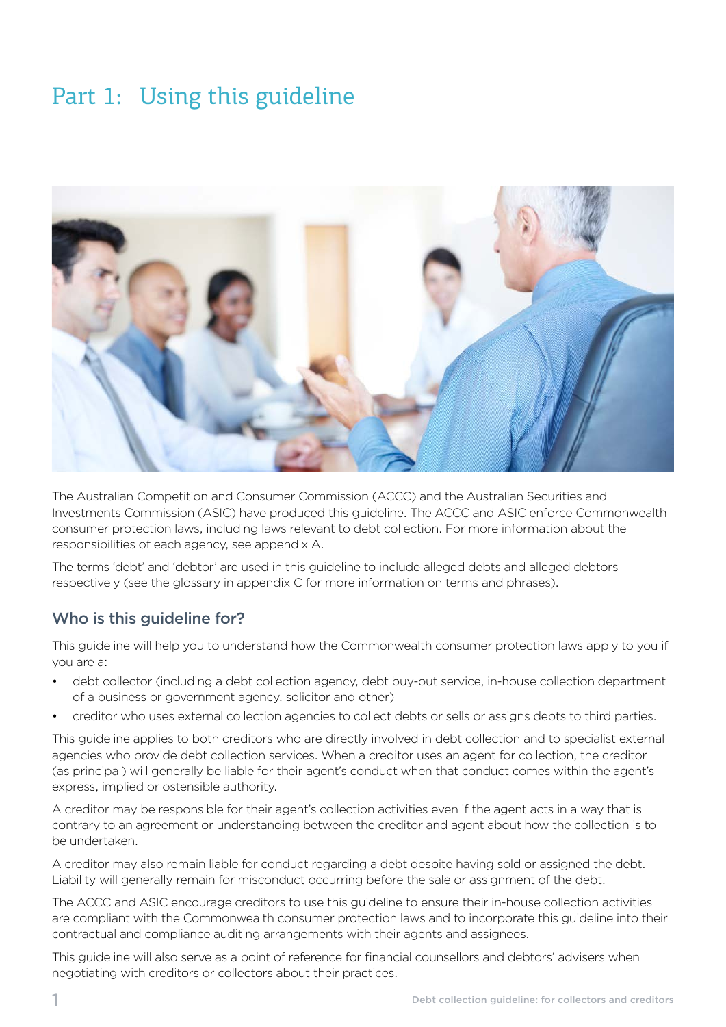# <span id="page-4-0"></span>Part 1: Using this guideline



The Australian Competition and Consumer Commission (ACCC) and the Australian Securities and Investments Commission (ASIC) have produced this guideline. The ACCC and ASIC enforce Commonwealth consumer protection laws, including laws relevant to debt collection. For more information about the responsibilities of each agency, see appendix A.

The terms 'debt' and 'debtor' are used in this guideline to include alleged debts and alleged debtors respectively (see the glossary in appendix C for more information on terms and phrases).

## Who is this quideline for?

This guideline will help you to understand how the Commonwealth consumer protection laws apply to you if you are a:

- debt collector (including a debt collection agency, debt buy-out service, in-house collection department of a business or government agency, solicitor and other)
- creditor who uses external collection agencies to collect debts or sells or assigns debts to third parties.

This guideline applies to both creditors who are directly involved in debt collection and to specialist external agencies who provide debt collection services. When a creditor uses an agent for collection, the creditor (as principal) will generally be liable for their agent's conduct when that conduct comes within the agent's express, implied or ostensible authority.

A creditor may be responsible for their agent's collection activities even if the agent acts in a way that is contrary to an agreement or understanding between the creditor and agent about how the collection is to be undertaken.

A creditor may also remain liable for conduct regarding a debt despite having sold or assigned the debt. Liability will generally remain for misconduct occurring before the sale or assignment of the debt.

The ACCC and ASIC encourage creditors to use this guideline to ensure their in-house collection activities are compliant with the Commonwealth consumer protection laws and to incorporate this guideline into their contractual and compliance auditing arrangements with their agents and assignees.

This guideline will also serve as a point of reference for financial counsellors and debtors' advisers when negotiating with creditors or collectors about their practices.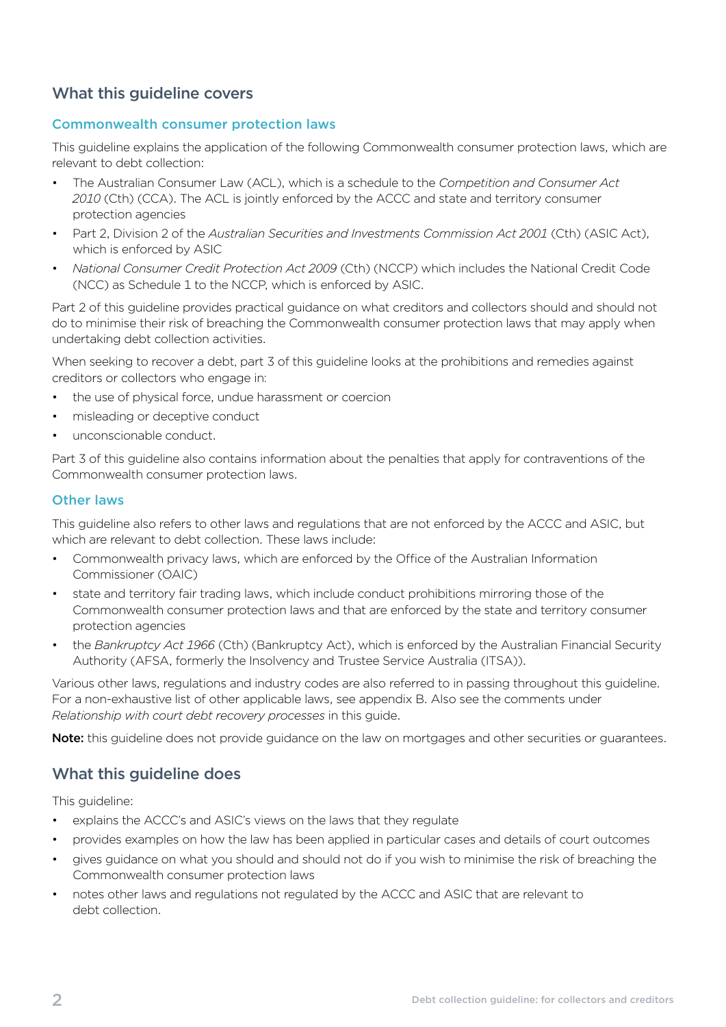# <span id="page-5-0"></span>What this guideline covers

#### Commonwealth consumer protection laws

This guideline explains the application of the following Commonwealth consumer protection laws, which are relevant to debt collection:

- The Australian Consumer Law (ACL), which is a schedule to the *Competition and Consumer Act 2010* (Cth) (CCA). The ACL is jointly enforced by the ACCC and state and territory consumer protection agencies
- Part 2, Division 2 of the *Australian Securities and Investments Commission Act 2001* (Cth) (ASIC Act), which is enforced by ASIC
- *National Consumer Credit Protection Act 2009* (Cth) (NCCP) which includes the National Credit Code (NCC) as Schedule 1 to the NCCP, which is enforced by ASIC.

Part 2 of this guideline provides practical guidance on what creditors and collectors should and should not do to minimise their risk of breaching the Commonwealth consumer protection laws that may apply when undertaking debt collection activities.

When seeking to recover a debt, part 3 of this guideline looks at the prohibitions and remedies against creditors or collectors who engage in:

- the use of physical force, undue harassment or coercion
- misleading or deceptive conduct
- unconscionable conduct.

Part 3 of this guideline also contains information about the penalties that apply for contraventions of the Commonwealth consumer protection laws.

#### Other laws

This guideline also refers to other laws and regulations that are not enforced by the ACCC and ASIC, but which are relevant to debt collection. These laws include:

- Commonwealth privacy laws, which are enforced by the Office of the Australian Information Commissioner (OAIC)
- state and territory fair trading laws, which include conduct prohibitions mirroring those of the Commonwealth consumer protection laws and that are enforced by the state and territory consumer protection agencies
- the *Bankruptcy Act 1966* (Cth) (Bankruptcy Act), which is enforced by the Australian Financial Security Authority (AFSA, formerly the Insolvency and Trustee Service Australia (ITSA)).

Various other laws, regulations and industry codes are also referred to in passing throughout this guideline. For a non-exhaustive list of other applicable laws, see appendix B. Also see the comments under *Relationship with court debt recovery processes* in this guide.

Note: this guideline does not provide guidance on the law on mortgages and other securities or guarantees.

## What this guideline does

This guideline:

- explains the ACCC's and ASIC's views on the laws that they regulate
- provides examples on how the law has been applied in particular cases and details of court outcomes
- gives guidance on what you should and should not do if you wish to minimise the risk of breaching the Commonwealth consumer protection laws
- notes other laws and regulations not regulated by the ACCC and ASIC that are relevant to debt collection.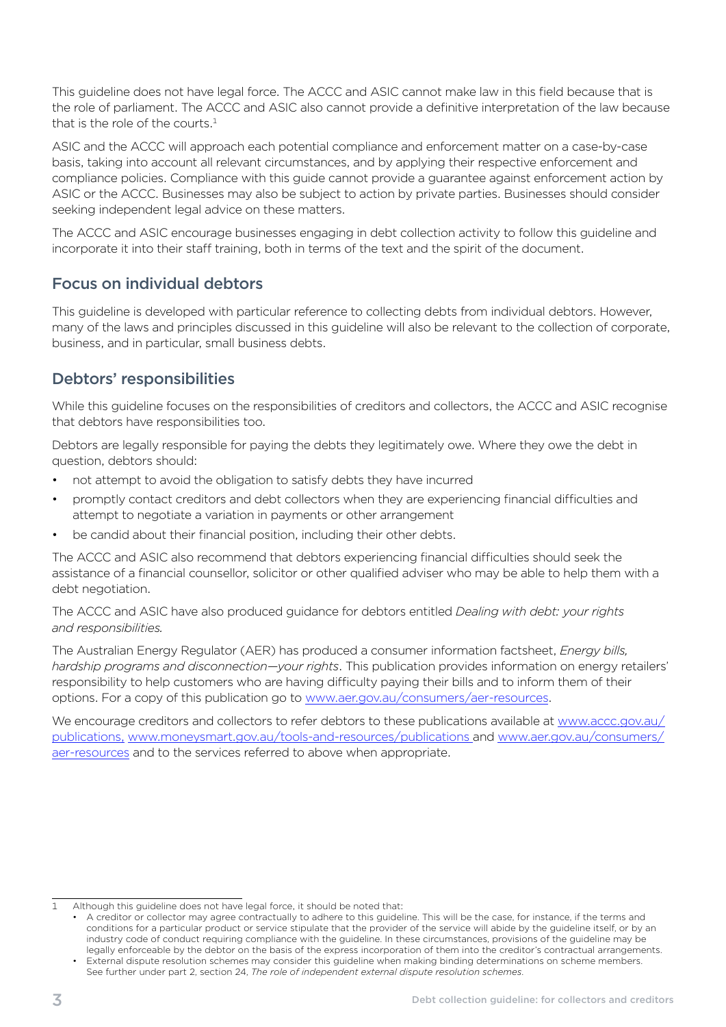<span id="page-6-0"></span>This guideline does not have legal force. The ACCC and ASIC cannot make law in this field because that is the role of parliament. The ACCC and ASIC also cannot provide a definitive interpretation of the law because that is the role of the courts. $<sup>1</sup>$ </sup>

ASIC and the ACCC will approach each potential compliance and enforcement matter on a case-by-case basis, taking into account all relevant circumstances, and by applying their respective enforcement and compliance policies. Compliance with this guide cannot provide a guarantee against enforcement action by ASIC or the ACCC. Businesses may also be subject to action by private parties. Businesses should consider seeking independent legal advice on these matters.

The ACCC and ASIC encourage businesses engaging in debt collection activity to follow this guideline and incorporate it into their staff training, both in terms of the text and the spirit of the document.

# Focus on individual debtors

This guideline is developed with particular reference to collecting debts from individual debtors. However, many of the laws and principles discussed in this guideline will also be relevant to the collection of corporate, business, and in particular, small business debts.

# Debtors' responsibilities

While this guideline focuses on the responsibilities of creditors and collectors, the ACCC and ASIC recognise that debtors have responsibilities too.

Debtors are legally responsible for paying the debts they legitimately owe. Where they owe the debt in question, debtors should:

- not attempt to avoid the obligation to satisfy debts they have incurred
- promptly contact creditors and debt collectors when they are experiencing financial difficulties and attempt to negotiate a variation in payments or other arrangement
- be candid about their financial position, including their other debts.

The ACCC and ASIC also recommend that debtors experiencing financial difficulties should seek the assistance of a financial counsellor, solicitor or other qualified adviser who may be able to help them with a debt negotiation.

The ACCC and ASIC have also produced guidance for debtors entitled *Dealing with debt: your rights and responsibilities.* 

The Australian Energy Regulator (AER) has produced a consumer information factsheet, *Energy bills, hardship programs and disconnection—your rights*. This publication provides information on energy retailers' responsibility to help customers who are having difficulty paying their bills and to inform them of their options. For a copy of this publication go to [www.aer.gov.au/consumers/aer-resources.](http://www.aer.gov.au/consumers/aer-resources)

We encourage creditors and collectors to refer debtors to these publications available at www.accc.gov.au/ [publications](http://www.accc.gov.au/publications), [www.moneysmart.gov.au/tools-and-resources/publications](http://www.moneysmart.gov.au/tools-and-resources/publications) and [www.aer.gov.au/consumers/](http://www.aer.gov.au/consumers/aer-resources)  [aer-resources](http://www.aer.gov.au/consumers/aer-resources) and to the services referred to above when appropriate.

Although this guideline does not have legal force, it should be noted that: 1

A creditor or collector may agree contractually to adhere to this guideline. This will be the case, for instance, if the terms and conditions for a particular product or service stipulate that the provider of the service will abide by the guideline itself, or by an industry code of conduct requiring compliance with the guideline. In these circumstances, provisions of the guideline may be legally enforceable by the debtor on the basis of the express incorporation of them into the creditor's contractual arrangements. External dispute resolution schemes may consider this guideline when making binding determinations on scheme members. See further under part 2, section 24, *The role of independent external dispute resolution schemes*.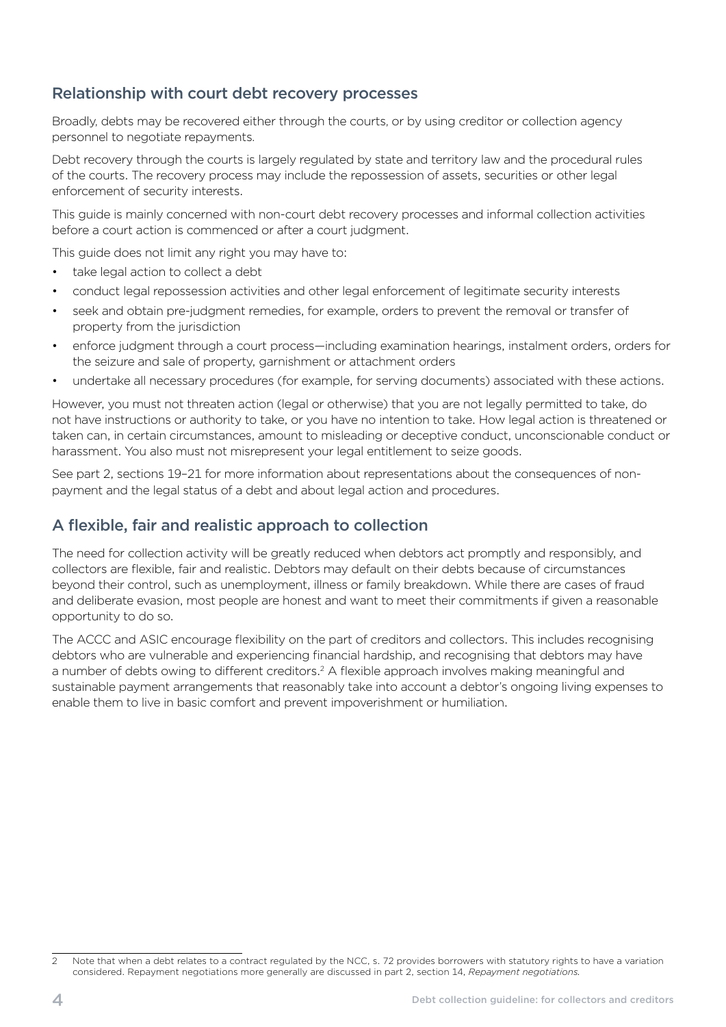# <span id="page-7-0"></span>Relationship with court debt recovery processes

Broadly, debts may be recovered either through the courts, or by using creditor or collection agency personnel to negotiate repayments.

Debt recovery through the courts is largely regulated by state and territory law and the procedural rules of the courts. The recovery process may include the repossession of assets, securities or other legal enforcement of security interests.

This guide is mainly concerned with non-court debt recovery processes and informal collection activities before a court action is commenced or after a court judgment.

This guide does not limit any right you may have to:

- take legal action to collect a debt
- conduct legal repossession activities and other legal enforcement of legitimate security interests
- seek and obtain pre-judgment remedies, for example, orders to prevent the removal or transfer of property from the jurisdiction
- enforce judgment through a court process—including examination hearings, instalment orders, orders for the seizure and sale of property, garnishment or attachment orders
- undertake all necessary procedures (for example, for serving documents) associated with these actions.

However, you must not threaten action (legal or otherwise) that you are not legally permitted to take, do not have instructions or authority to take, or you have no intention to take. How legal action is threatened or taken can, in certain circumstances, amount to misleading or deceptive conduct, unconscionable conduct or harassment. You also must not misrepresent your legal entitlement to seize goods.

See part 2, sections 19–21 for more information about representations about the consequences of nonpayment and the legal status of a debt and about legal action and procedures.

## A flexible, fair and realistic approach to collection

The need for collection activity will be greatly reduced when debtors act promptly and responsibly, and collectors are flexible, fair and realistic. Debtors may default on their debts because of circumstances beyond their control, such as unemployment, illness or family breakdown. While there are cases of fraud and deliberate evasion, most people are honest and want to meet their commitments if given a reasonable opportunity to do so.

The ACCC and ASIC encourage flexibility on the part of creditors and collectors. This includes recognising debtors who are vulnerable and experiencing financial hardship, and recognising that debtors may have a number of debts owing to different creditors.<sup>2</sup> A flexible approach involves making meaningful and sustainable payment arrangements that reasonably take into account a debtor's ongoing living expenses to enable them to live in basic comfort and prevent impoverishment or humiliation.

Note that when a debt relates to a contract regulated by the NCC, s. 72 provides borrowers with statutory rights to have a variation considered. Repayment negotiations more generally are discussed in part 2, section 14, *Repayment negotiations.*   $\overline{2}$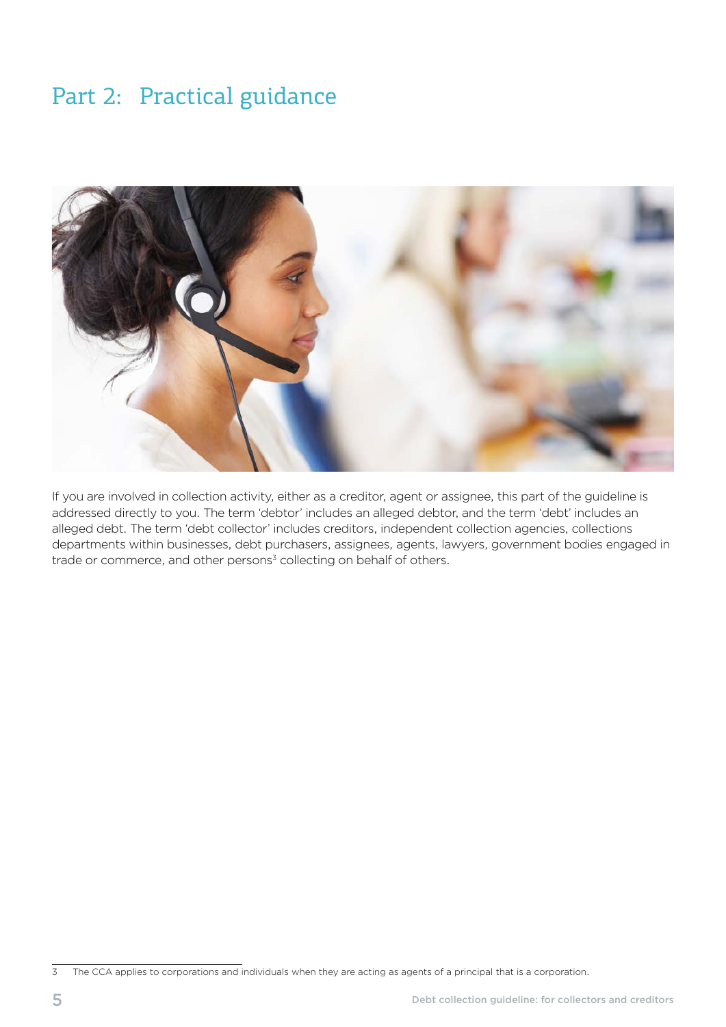# <span id="page-8-0"></span>Part 2: Practical guidance



If you are involved in collection activity, either as a creditor, agent or assignee, this part of the guideline is addressed directly to you. The term 'debtor' includes an alleged debtor, and the term 'debt' includes an alleged debt. The term 'debt collector' includes creditors, independent collection agencies, collections departments within businesses, debt purchasers, assignees, agents, lawyers, government bodies engaged in trade or commerce, and other persons $3$  collecting on behalf of others.

<sup>&</sup>lt;sup>3</sup> The CCA applies to corporations and individuals when they are acting as agents of a principal that is a corporation.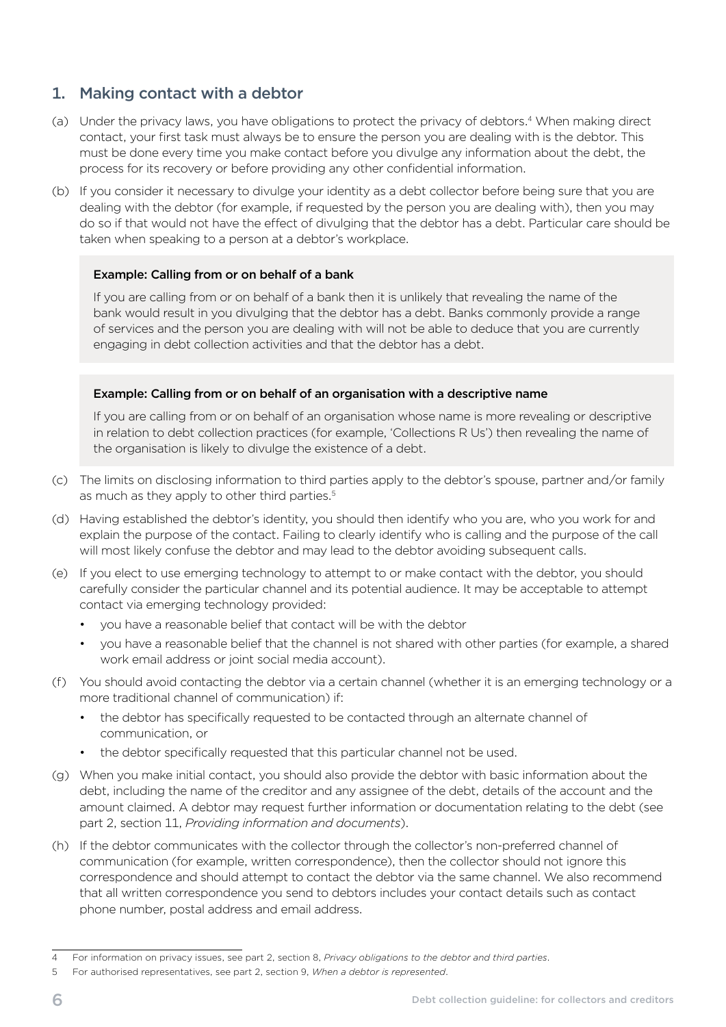# <span id="page-9-0"></span>1. Making contact with a debtor

- (a) Under the privacy laws, you have obligations to protect the privacy of debtors.<sup>4</sup> When making direct contact, your first task must always be to ensure the person you are dealing with is the debtor. This must be done every time you make contact before you divulge any information about the debt, the process for its recovery or before providing any other confidential information.
- (b) If you consider it necessary to divulge your identity as a debt collector before being sure that you are dealing with the debtor (for example, if requested by the person you are dealing with), then you may do so if that would not have the effect of divulging that the debtor has a debt. Particular care should be taken when speaking to a person at a debtor's workplace.

#### Example: Calling from or on behalf of a bank

If you are calling from or on behalf of a bank then it is unlikely that revealing the name of the bank would result in you divulging that the debtor has a debt. Banks commonly provide a range of services and the person you are dealing with will not be able to deduce that you are currently engaging in debt collection activities and that the debtor has a debt.

#### Example: Calling from or on behalf of an organisation with a descriptive name

If you are calling from or on behalf of an organisation whose name is more revealing or descriptive in relation to debt collection practices (for example, 'Collections R Us') then revealing the name of the organisation is likely to divulge the existence of a debt.

- (c) The limits on disclosing information to third parties apply to the debtor's spouse, partner and/or family as much as they apply to other third parties.<sup>5</sup>
- (d) Having established the debtor's identity, you should then identify who you are, who you work for and explain the purpose of the contact. Failing to clearly identify who is calling and the purpose of the call will most likely confuse the debtor and may lead to the debtor avoiding subsequent calls.
- (e) If you elect to use emerging technology to attempt to or make contact with the debtor, you should carefully consider the particular channel and its potential audience. It may be acceptable to attempt contact via emerging technology provided:
	- you have a reasonable belief that contact will be with the debtor
	- you have a reasonable belief that the channel is not shared with other parties (for example, a shared work email address or joint social media account).
- (f) You should avoid contacting the debtor via a certain channel (whether it is an emerging technology or a more traditional channel of communication) if:
	- the debtor has specifically requested to be contacted through an alternate channel of communication, or
	- the debtor specifically requested that this particular channel not be used.
- (g) When you make initial contact, you should also provide the debtor with basic information about the debt, including the name of the creditor and any assignee of the debt, details of the account and the amount claimed. A debtor may request further information or documentation relating to the debt (see part 2, section 11, *Providing information and documents*).
- (h) If the debtor communicates with the collector through the collector's non-preferred channel of communication (for example, written correspondence), then the collector should not ignore this correspondence and should attempt to contact the debtor via the same channel. We also recommend that all written correspondence you send to debtors includes your contact details such as contact phone number, postal address and email address.

<sup>4</sup> For information on privacy issues, see part 2, section 8, *Privacy obligations to the debtor and third parties*.

<sup>5</sup> For authorised representatives, see part 2, section 9, *When a debtor is represented*.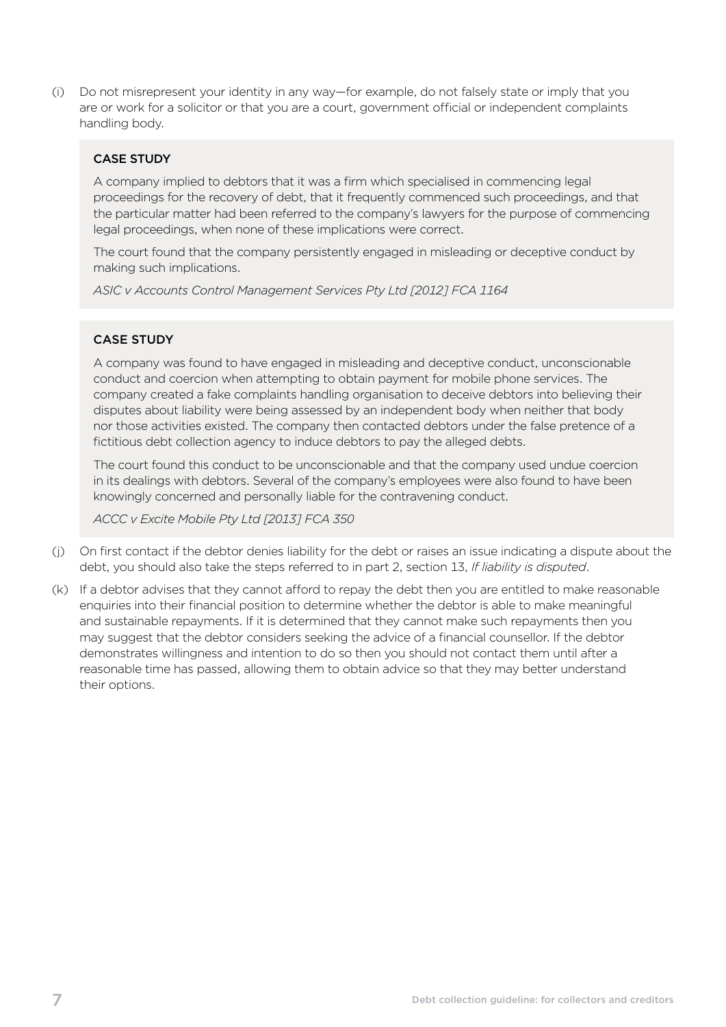(i) Do not misrepresent your identity in any way—for example, do not falsely state or imply that you are or work for a solicitor or that you are a court, government official or independent complaints handling body.

#### CASE STUDY

A company implied to debtors that it was a firm which specialised in commencing legal proceedings for the recovery of debt, that it frequently commenced such proceedings, and that the particular matter had been referred to the company's lawyers for the purpose of commencing legal proceedings, when none of these implications were correct.

The court found that the company persistently engaged in misleading or deceptive conduct by making such implications.

*ASIC v Accounts Control Management Services Pty Ltd [2012] FCA 1164* 

#### CASE STUDY

A company was found to have engaged in misleading and deceptive conduct, unconscionable conduct and coercion when attempting to obtain payment for mobile phone services. The company created a fake complaints handling organisation to deceive debtors into believing their disputes about liability were being assessed by an independent body when neither that body nor those activities existed. The company then contacted debtors under the false pretence of a fictitious debt collection agency to induce debtors to pay the alleged debts.

The court found this conduct to be unconscionable and that the company used undue coercion in its dealings with debtors. Several of the company's employees were also found to have been knowingly concerned and personally liable for the contravening conduct.

*ACCC v Excite Mobile Pty Ltd [2013] FCA 350* 

- (i) On first contact if the debtor denies liability for the debt or raises an issue indicating a dispute about the debt, you should also take the steps referred to in part 2, section 13, *If liability is disputed*.
- (k) If a debtor advises that they cannot afford to repay the debt then you are entitled to make reasonable enquiries into their financial position to determine whether the debtor is able to make meaningful and sustainable repayments. If it is determined that they cannot make such repayments then you may suggest that the debtor considers seeking the advice of a financial counsellor. If the debtor demonstrates willingness and intention to do so then you should not contact them until after a reasonable time has passed, allowing them to obtain advice so that they may better understand their options.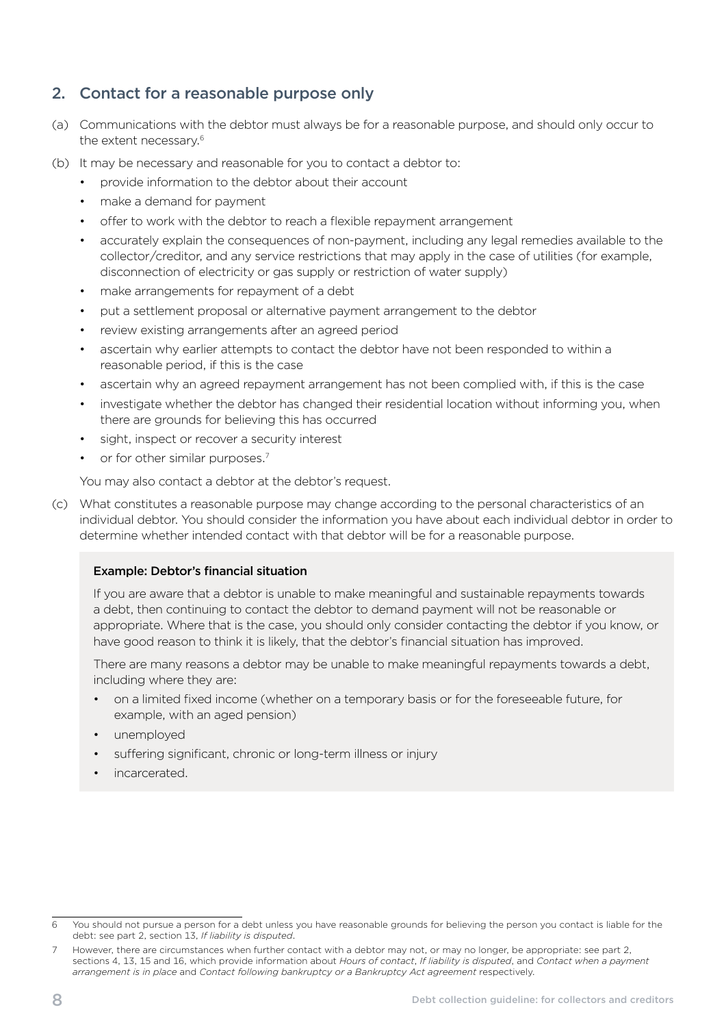# <span id="page-11-0"></span>2. Contact for a reasonable purpose only

- (a) Communications with the debtor must always be for a reasonable purpose, and should only occur to the extent necessary.<sup>6</sup>
- (b) It may be necessary and reasonable for you to contact a debtor to:
	- provide information to the debtor about their account
	- make a demand for payment
	- offer to work with the debtor to reach a flexible repayment arrangement
	- accurately explain the consequences of non-payment, including any legal remedies available to the collector/creditor, and any service restrictions that may apply in the case of utilities (for example, disconnection of electricity or gas supply or restriction of water supply)
	- make arrangements for repayment of a debt
	- put a settlement proposal or alternative payment arrangement to the debtor
	- review existing arrangements after an agreed period
	- ascertain why earlier attempts to contact the debtor have not been responded to within a reasonable period, if this is the case
	- ascertain why an agreed repayment arrangement has not been complied with, if this is the case
	- investigate whether the debtor has changed their residential location without informing you, when there are grounds for believing this has occurred
	- sight, inspect or recover a security interest
	- or for other similar purposes.<sup>7</sup>

You may also contact a debtor at the debtor's request.

(c) What constitutes a reasonable purpose may change according to the personal characteristics of an individual debtor. You should consider the information you have about each individual debtor in order to determine whether intended contact with that debtor will be for a reasonable purpose.

#### Example: Debtor's financial situation

If you are aware that a debtor is unable to make meaningful and sustainable repayments towards a debt, then continuing to contact the debtor to demand payment will not be reasonable or appropriate. Where that is the case, you should only consider contacting the debtor if you know, or have good reason to think it is likely, that the debtor's financial situation has improved.

There are many reasons a debtor may be unable to make meaningful repayments towards a debt, including where they are:

- on a limited fixed income (whether on a temporary basis or for the foreseeable future, for example, with an aged pension)
- unemployed
- suffering significant, chronic or long-term illness or injury
- incarcerated.

<sup>6</sup> You should not pursue a person for a debt unless you have reasonable grounds for believing the person you contact is liable for the debt: see part 2, section 13, *If liability is disputed*.

However, there are circumstances when further contact with a debtor may not, or may no longer, be appropriate: see part 2, sections 4, 13, 15 and 16, which provide information about *Hours of contact*, *If liability is disputed*, and *Contact when a payment arrangement is in place* and *Contact following bankruptcy or a Bankruptcy Act agreement* respectively.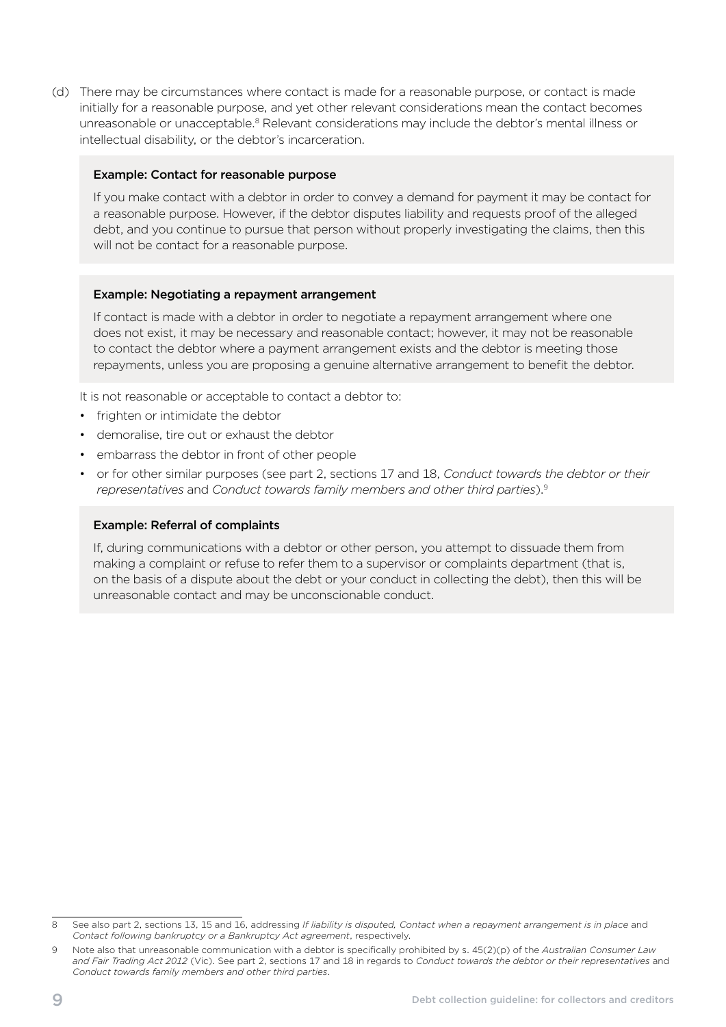(d) There may be circumstances where contact is made for a reasonable purpose, or contact is made initially for a reasonable purpose, and yet other relevant considerations mean the contact becomes unreasonable or unacceptable.<sup>8</sup> Relevant considerations may include the debtor's mental illness or intellectual disability, or the debtor's incarceration.

#### Example: Contact for reasonable purpose

If you make contact with a debtor in order to convey a demand for payment it may be contact for a reasonable purpose. However, if the debtor disputes liability and requests proof of the alleged debt, and you continue to pursue that person without properly investigating the claims, then this will not be contact for a reasonable purpose.

#### Example: Negotiating a repayment arrangement

If contact is made with a debtor in order to negotiate a repayment arrangement where one does not exist, it may be necessary and reasonable contact; however, it may not be reasonable to contact the debtor where a payment arrangement exists and the debtor is meeting those repayments, unless you are proposing a genuine alternative arrangement to benefit the debtor.

It is not reasonable or acceptable to contact a debtor to:

- frighten or intimidate the debtor
- demoralise, tire out or exhaust the debtor
- embarrass the debtor in front of other people
- • or for other similar purposes (see part 2, sections 17 and 18, *Conduct towards the debtor or their representatives* and *Conduct towards family members and other third parties*).9

#### Example: Referral of complaints

If, during communications with a debtor or other person, you attempt to dissuade them from making a complaint or refuse to refer them to a supervisor or complaints department (that is, on the basis of a dispute about the debt or your conduct in collecting the debt), then this will be unreasonable contact and may be unconscionable conduct.

See also part 2, sections 13, 15 and 16, addressing *If liability is disputed, Contact when a repayment arrangement is in place* and *Contact following bankruptcy or a Bankruptcy Act agreement*, respectively.

<sup>9</sup> Note also that unreasonable communication with a debtor is specifically prohibited by s. 45(2)(p) of the *Australian Consumer Law and Fair Trading Act 2012* (Vic). See part 2, sections 17 and 18 in regards to *Conduct towards the debtor or their representatives* and *Conduct towards family members and other third parties*.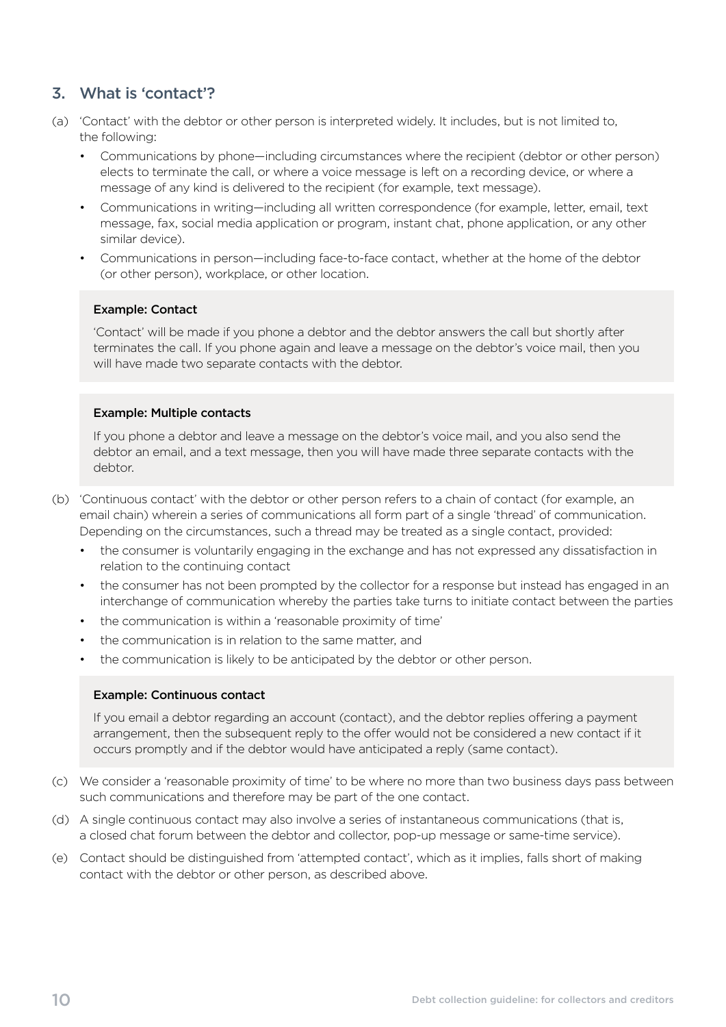# <span id="page-13-0"></span>3. What is 'contact'?

- (a) 'Contact' with the debtor or other person is interpreted widely. It includes, but is not limited to, the following:
	- Communications by phone—including circumstances where the recipient (debtor or other person) elects to terminate the call, or where a voice message is left on a recording device, or where a message of any kind is delivered to the recipient (for example, text message).
	- Communications in writing—including all written correspondence (for example, letter, email, text message, fax, social media application or program, instant chat, phone application, or any other similar device).
	- Communications in person—including face-to-face contact, whether at the home of the debtor (or other person), workplace, or other location.

#### Example: Contact

'Contact' will be made if you phone a debtor and the debtor answers the call but shortly after terminates the call. If you phone again and leave a message on the debtor's voice mail, then you will have made two separate contacts with the debtor.

#### Example: Multiple contacts

If you phone a debtor and leave a message on the debtor's voice mail, and you also send the debtor an email, and a text message, then you will have made three separate contacts with the debtor.

- (b) 'Continuous contact' with the debtor or other person refers to a chain of contact (for example, an email chain) wherein a series of communications all form part of a single 'thread' of communication. Depending on the circumstances, such a thread may be treated as a single contact, provided:
	- the consumer is voluntarily engaging in the exchange and has not expressed any dissatisfaction in relation to the continuing contact
	- the consumer has not been prompted by the collector for a response but instead has engaged in an interchange of communication whereby the parties take turns to initiate contact between the parties
	- the communication is within a 'reasonable proximity of time'
	- the communication is in relation to the same matter, and
	- the communication is likely to be anticipated by the debtor or other person.

#### Example: Continuous contact

If you email a debtor regarding an account (contact), and the debtor replies offering a payment arrangement, then the subsequent reply to the offer would not be considered a new contact if it occurs promptly and if the debtor would have anticipated a reply (same contact).

- (c) We consider a 'reasonable proximity of time' to be where no more than two business days pass between such communications and therefore may be part of the one contact.
- (d) A single continuous contact may also involve a series of instantaneous communications (that is, a closed chat forum between the debtor and collector, pop-up message or same-time service).
- (e) Contact should be distinguished from 'attempted contact', which as it implies, falls short of making contact with the debtor or other person, as described above.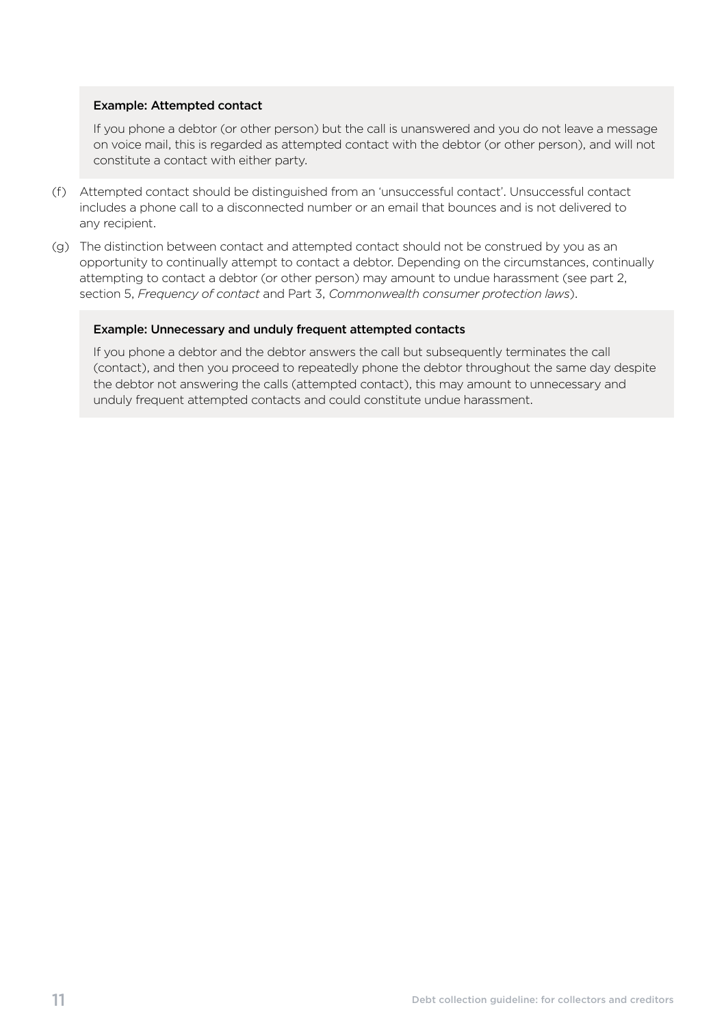#### Example: Attempted contact

If you phone a debtor (or other person) but the call is unanswered and you do not leave a message on voice mail, this is regarded as attempted contact with the debtor (or other person), and will not constitute a contact with either party.

- (f) Attempted contact should be distinguished from an 'unsuccessful contact'. Unsuccessful contact includes a phone call to a disconnected number or an email that bounces and is not delivered to any recipient.
- (g) The distinction between contact and attempted contact should not be construed by you as an opportunity to continually attempt to contact a debtor. Depending on the circumstances, continually attempting to contact a debtor (or other person) may amount to undue harassment (see part 2, section 5, *Frequency of contact* and Part 3, *Commonwealth consumer protection laws*).

#### Example: Unnecessary and unduly frequent attempted contacts

If you phone a debtor and the debtor answers the call but subsequently terminates the call (contact), and then you proceed to repeatedly phone the debtor throughout the same day despite the debtor not answering the calls (attempted contact), this may amount to unnecessary and unduly frequent attempted contacts and could constitute undue harassment.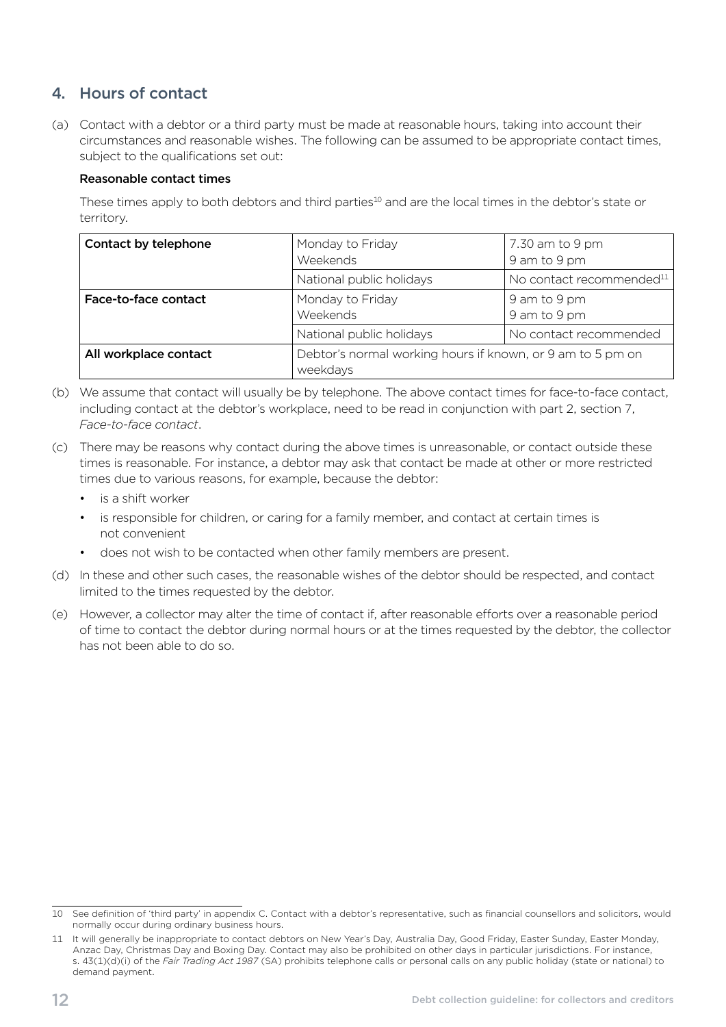# <span id="page-15-0"></span>4. Hours of contact

(a) Contact with a debtor or a third party must be made at reasonable hours, taking into account their circumstances and reasonable wishes. The following can be assumed to be appropriate contact times, subject to the qualifications set out:

#### Reasonable contact times

These times apply to both debtors and third parties<sup>10</sup> and are the local times in the debtor's state or territory.

| Contact by telephone  | Monday to Friday<br>Weekends                                           | 7.30 am to 9 pm<br>9 am to 9 pm      |
|-----------------------|------------------------------------------------------------------------|--------------------------------------|
|                       | National public holidays                                               | No contact recommended <sup>11</sup> |
| Face-to-face contact  | Monday to Friday<br>Weekends                                           | 9 am to 9 pm<br>9 am to 9 pm         |
|                       | National public holidays                                               | No contact recommended               |
| All workplace contact | Debtor's normal working hours if known, or 9 am to 5 pm on<br>weekdays |                                      |

- (b) We assume that contact will usually be by telephone. The above contact times for face-to-face contact, including contact at the debtor's workplace, need to be read in conjunction with part 2, section 7, *Face-to-face contact*.
- (c) There may be reasons why contact during the above times is unreasonable, or contact outside these times is reasonable. For instance, a debtor may ask that contact be made at other or more restricted times due to various reasons, for example, because the debtor:
	- is a shift worker
	- is responsible for children, or caring for a family member, and contact at certain times is not convenient
	- does not wish to be contacted when other family members are present.
- (d) In these and other such cases, the reasonable wishes of the debtor should be respected, and contact limited to the times requested by the debtor.
- (e) However, a collector may alter the time of contact if, after reasonable efforts over a reasonable period of time to contact the debtor during normal hours or at the times requested by the debtor, the collector has not been able to do so.

<sup>10</sup> See definition of 'third party' in appendix C. Contact with a debtor's representative, such as financial counsellors and solicitors, would normally occur during ordinary business hours.

<sup>11</sup> It will generally be inappropriate to contact debtors on New Year's Day, Australia Day, Good Friday, Easter Sunday, Easter Monday, Anzac Day, Christmas Day and Boxing Day. Contact may also be prohibited on other days in particular jurisdictions. For instance, s. 43(1)(d)(i) of the *Fair Trading Act 1987* (SA) prohibits telephone calls or personal calls on any public holiday (state or national) to demand payment.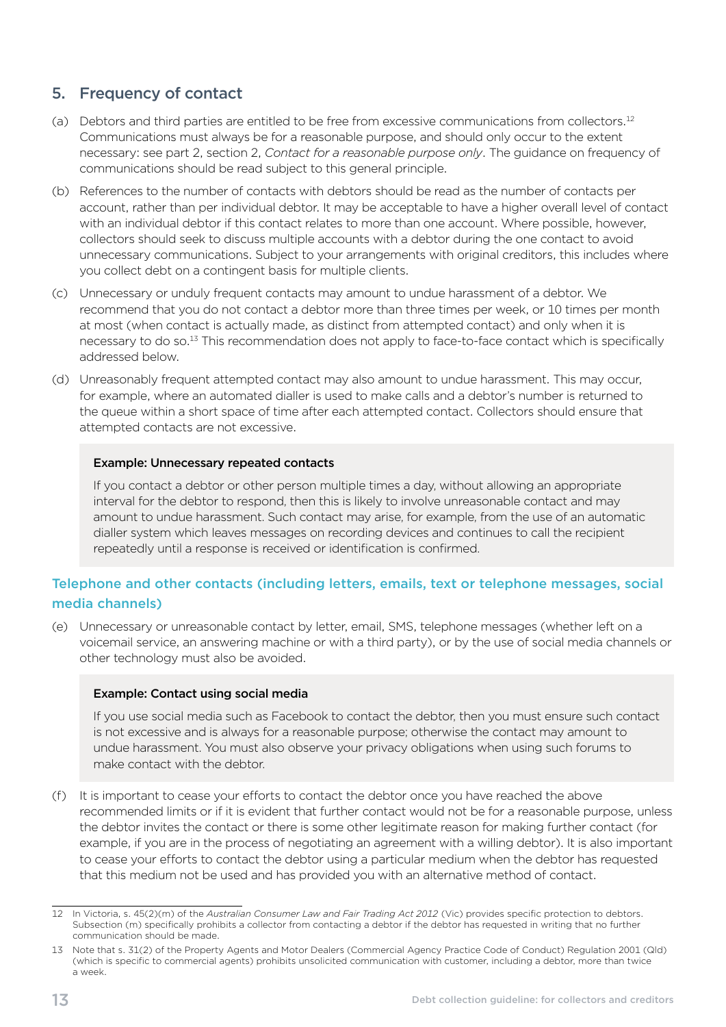# <span id="page-16-0"></span>5. Frequency of contact

- (a) Debtors and third parties are entitled to be free from excessive communications from collectors.<sup>12</sup> Communications must always be for a reasonable purpose, and should only occur to the extent necessary: see part 2, section 2, *Contact for a reasonable purpose only*. The guidance on frequency of communications should be read subject to this general principle.
- (b) References to the number of contacts with debtors should be read as the number of contacts per account, rather than per individual debtor. It may be acceptable to have a higher overall level of contact with an individual debtor if this contact relates to more than one account. Where possible, however, collectors should seek to discuss multiple accounts with a debtor during the one contact to avoid unnecessary communications. Subject to your arrangements with original creditors, this includes where you collect debt on a contingent basis for multiple clients.
- (c) Unnecessary or unduly frequent contacts may amount to undue harassment of a debtor. We recommend that you do not contact a debtor more than three times per week, or 10 times per month at most (when contact is actually made, as distinct from attempted contact) and only when it is necessary to do so.<sup>13</sup> This recommendation does not apply to face-to-face contact which is specifically addressed below.
- (d) Unreasonably frequent attempted contact may also amount to undue harassment. This may occur, for example, where an automated dialler is used to make calls and a debtor's number is returned to the queue within a short space of time after each attempted contact. Collectors should ensure that attempted contacts are not excessive.

#### Example: Unnecessary repeated contacts

If you contact a debtor or other person multiple times a day, without allowing an appropriate interval for the debtor to respond, then this is likely to involve unreasonable contact and may amount to undue harassment. Such contact may arise, for example, from the use of an automatic dialler system which leaves messages on recording devices and continues to call the recipient repeatedly until a response is received or identification is confirmed.

### Telephone and other contacts (including letters, emails, text or telephone messages, social media channels)

(e) Unnecessary or unreasonable contact by letter, email, SMS, telephone messages (whether left on a voicemail service, an answering machine or with a third party), or by the use of social media channels or other technology must also be avoided.

#### Example: Contact using social media

If you use social media such as Facebook to contact the debtor, then you must ensure such contact is not excessive and is always for a reasonable purpose; otherwise the contact may amount to undue harassment. You must also observe your privacy obligations when using such forums to make contact with the debtor.

(f) It is important to cease your efforts to contact the debtor once you have reached the above recommended limits or if it is evident that further contact would not be for a reasonable purpose, unless the debtor invites the contact or there is some other legitimate reason for making further contact (for example, if you are in the process of negotiating an agreement with a willing debtor). It is also important to cease your efforts to contact the debtor using a particular medium when the debtor has requested that this medium not be used and has provided you with an alternative method of contact.

<sup>12</sup> In Victoria, s. 45(2)(m) of the *Australian Consumer Law and Fair Trading Act 2012* (Vic) provides specific protection to debtors. Subsection (m) specifically prohibits a collector from contacting a debtor if the debtor has requested in writing that no further communication should be made.

<sup>13</sup> Note that s. 31(2) of the Property Agents and Motor Dealers (Commercial Agency Practice Code of Conduct) Regulation 2001 (Qld) (which is specific to commercial agents) prohibits unsolicited communication with customer, including a debtor, more than twice a week.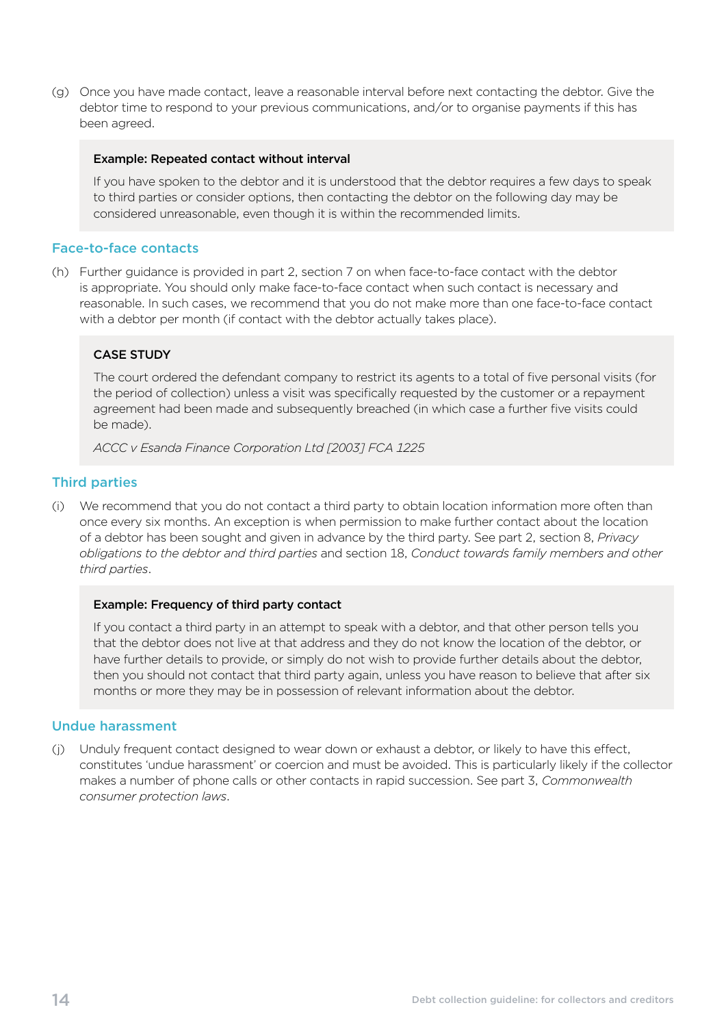(g) Once you have made contact, leave a reasonable interval before next contacting the debtor. Give the debtor time to respond to your previous communications, and/or to organise payments if this has been agreed.

#### Example: Repeated contact without interval

If you have spoken to the debtor and it is understood that the debtor requires a few days to speak to third parties or consider options, then contacting the debtor on the following day may be considered unreasonable, even though it is within the recommended limits.

#### Face-to-face contacts

(h) Further guidance is provided in part 2, section 7 on when face-to-face contact with the debtor is appropriate. You should only make face-to-face contact when such contact is necessary and reasonable. In such cases, we recommend that you do not make more than one face-to-face contact with a debtor per month (if contact with the debtor actually takes place).

#### CASE STUDY

The court ordered the defendant company to restrict its agents to a total of five personal visits (for the period of collection) unless a visit was specifically requested by the customer or a repayment agreement had been made and subsequently breached (in which case a further five visits could be made).

*ACCC v Esanda Finance Corporation Ltd [2003] FCA 1225* 

#### Third parties

(i) We recommend that you do not contact a third party to obtain location information more often than once every six months. An exception is when permission to make further contact about the location of a debtor has been sought and given in advance by the third party. See part 2, section 8, *Privacy obligations to the debtor and third parties* and section 18, *Conduct towards family members and other third parties*.

#### Example: Frequency of third party contact

If you contact a third party in an attempt to speak with a debtor, and that other person tells you that the debtor does not live at that address and they do not know the location of the debtor, or have further details to provide, or simply do not wish to provide further details about the debtor, then you should not contact that third party again, unless you have reason to believe that after six months or more they may be in possession of relevant information about the debtor.

#### Undue harassment

(i) Unduly frequent contact designed to wear down or exhaust a debtor, or likely to have this effect, constitutes 'undue harassment' or coercion and must be avoided. This is particularly likely if the collector makes a number of phone calls or other contacts in rapid succession. See part 3, *Commonwealth consumer protection laws*.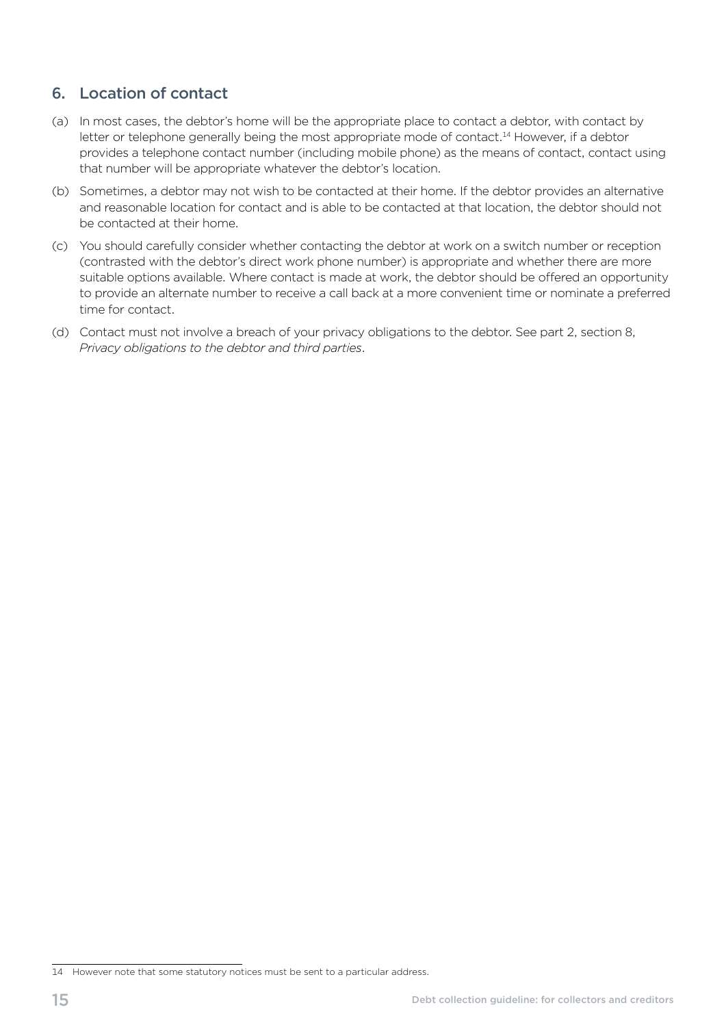# <span id="page-18-0"></span>6. Location of contact

- (a) In most cases, the debtor's home will be the appropriate place to contact a debtor, with contact by letter or telephone generally being the most appropriate mode of contact.<sup>14</sup> However, if a debtor provides a telephone contact number (including mobile phone) as the means of contact, contact using that number will be appropriate whatever the debtor's location.
- (b) Sometimes, a debtor may not wish to be contacted at their home. If the debtor provides an alternative and reasonable location for contact and is able to be contacted at that location, the debtor should not be contacted at their home.
- (c) You should carefully consider whether contacting the debtor at work on a switch number or reception (contrasted with the debtor's direct work phone number) is appropriate and whether there are more suitable options available. Where contact is made at work, the debtor should be offered an opportunity to provide an alternate number to receive a call back at a more convenient time or nominate a preferred time for contact.
- (d) Contact must not involve a breach of your privacy obligations to the debtor. See part 2, section 8, *Privacy obligations to the debtor and third parties*.

<sup>14</sup> However note that some statutory notices must be sent to a particular address.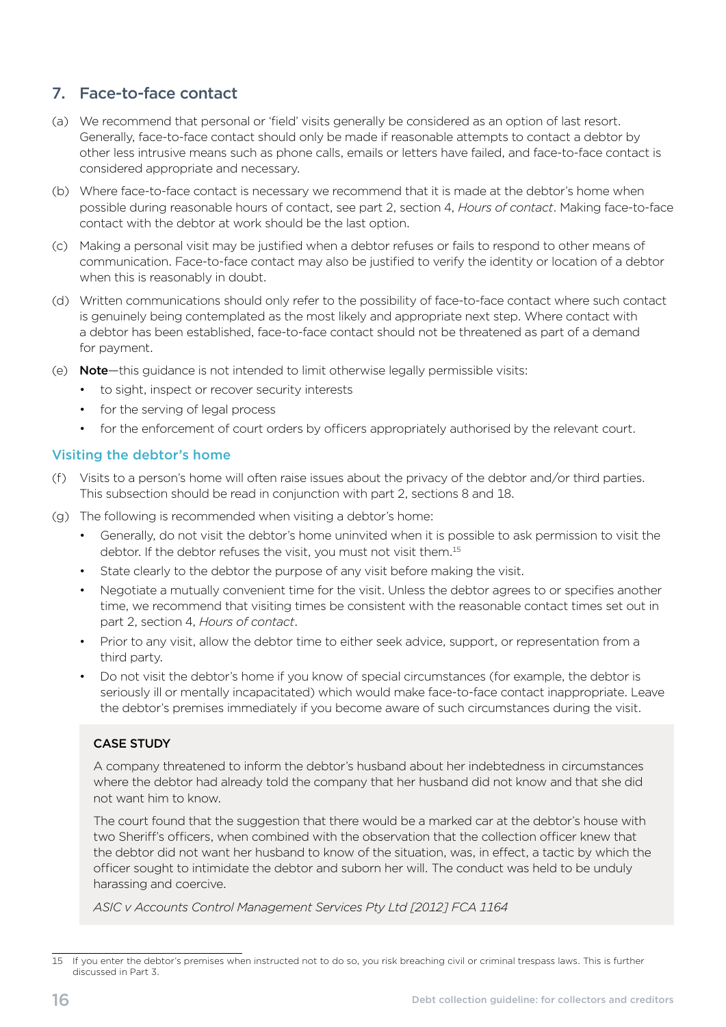# <span id="page-19-0"></span>7. Face-to-face contact

- (a) We recommend that personal or 'field' visits generally be considered as an option of last resort. Generally, face-to-face contact should only be made if reasonable attempts to contact a debtor by other less intrusive means such as phone calls, emails or letters have failed, and face-to-face contact is considered appropriate and necessary.
- (b) Where face-to-face contact is necessary we recommend that it is made at the debtor's home when possible during reasonable hours of contact, see part 2, section 4, *Hours of contact*. Making face-to-face contact with the debtor at work should be the last option.
- (c) Making a personal visit may be justified when a debtor refuses or fails to respond to other means of communication. Face-to-face contact may also be justified to verify the identity or location of a debtor when this is reasonably in doubt.
- (d) Written communications should only refer to the possibility of face-to-face contact where such contact is genuinely being contemplated as the most likely and appropriate next step. Where contact with a debtor has been established, face-to-face contact should not be threatened as part of a demand for payment.
- (e) **Note**—this guidance is not intended to limit otherwise legally permissible visits:
	- to sight, inspect or recover security interests
	- for the serving of legal process
	- for the enforcement of court orders by officers appropriately authorised by the relevant court.

#### Visiting the debtor's home

- (f) Visits to a person's home will often raise issues about the privacy of the debtor and/or third parties. This subsection should be read in conjunction with part 2, sections 8 and 18.
- (g) The following is recommended when visiting a debtor's home:
	- Generally, do not visit the debtor's home uninvited when it is possible to ask permission to visit the debtor. If the debtor refuses the visit, you must not visit them.<sup>15</sup>
	- State clearly to the debtor the purpose of any visit before making the visit.
	- Negotiate a mutually convenient time for the visit. Unless the debtor agrees to or specifies another time, we recommend that visiting times be consistent with the reasonable contact times set out in part 2, section 4, *Hours of contact*.
	- Prior to any visit, allow the debtor time to either seek advice, support, or representation from a third party.
	- Do not visit the debtor's home if you know of special circumstances (for example, the debtor is seriously ill or mentally incapacitated) which would make face-to-face contact inappropriate. Leave the debtor's premises immediately if you become aware of such circumstances during the visit.

#### CASE STUDY

A company threatened to inform the debtor's husband about her indebtedness in circumstances where the debtor had already told the company that her husband did not know and that she did not want him to know.

The court found that the suggestion that there would be a marked car at the debtor's house with two Sheriff's officers, when combined with the observation that the collection officer knew that the debtor did not want her husband to know of the situation, was, in effect, a tactic by which the officer sought to intimidate the debtor and suborn her will. The conduct was held to be unduly harassing and coercive.

*ASIC v Accounts Control Management Services Pty Ltd [2012] FCA 1164* 

<sup>15</sup> If you enter the debtor's premises when instructed not to do so, you risk breaching civil or criminal trespass laws. This is further discussed in Part 3.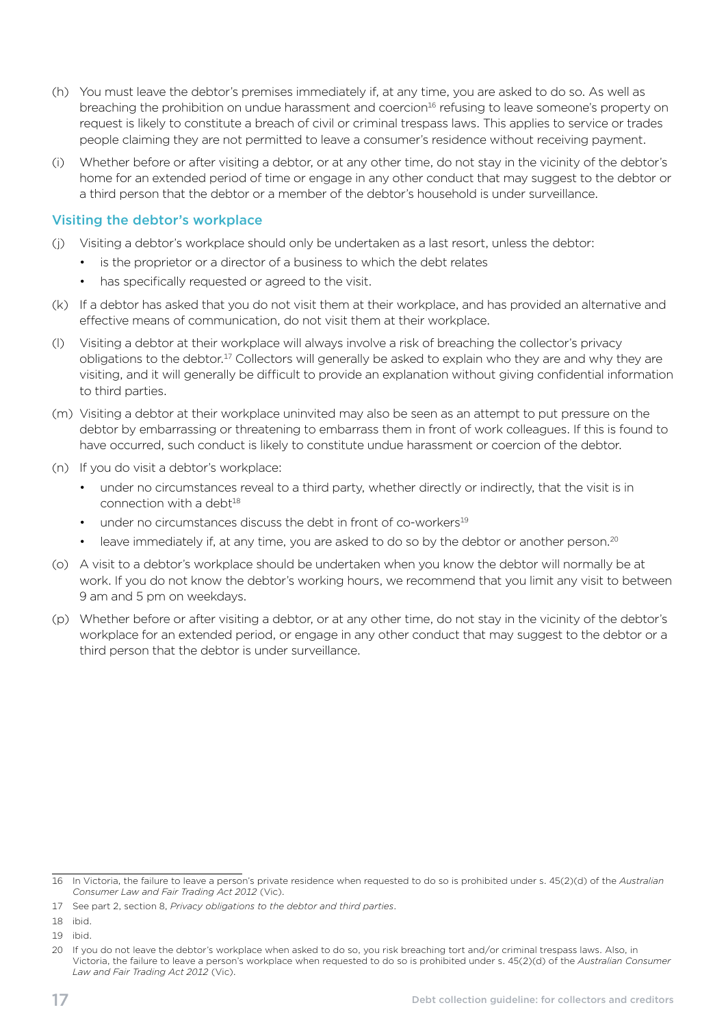- (h) You must leave the debtor's premises immediately if, at any time, you are asked to do so. As well as breaching the prohibition on undue harassment and coercion<sup>16</sup> refusing to leave someone's property on request is likely to constitute a breach of civil or criminal trespass laws. This applies to service or trades people claiming they are not permitted to leave a consumer's residence without receiving payment.
- (i) Whether before or after visiting a debtor, or at any other time, do not stay in the vicinity of the debtor's home for an extended period of time or engage in any other conduct that may suggest to the debtor or a third person that the debtor or a member of the debtor's household is under surveillance.

#### Visiting the debtor's workplace

- (j) Visiting a debtor's workplace should only be undertaken as a last resort, unless the debtor:
	- is the proprietor or a director of a business to which the debt relates
	- has specifically requested or agreed to the visit.
- (k) If a debtor has asked that you do not visit them at their workplace, and has provided an alternative and effective means of communication, do not visit them at their workplace.
- (I) Visiting a debtor at their workplace will always involve a risk of breaching the collector's privacy obligations to the debtor.17 Collectors will generally be asked to explain who they are and why they are visiting, and it will generally be difficult to provide an explanation without giving confidential information to third parties.
- (m) Visiting a debtor at their workplace uninvited may also be seen as an attempt to put pressure on the debtor by embarrassing or threatening to embarrass them in front of work colleagues. If this is found to have occurred, such conduct is likely to constitute undue harassment or coercion of the debtor.
- (n) If you do visit a debtor's workplace:
	- under no circumstances reveal to a third party, whether directly or indirectly, that the visit is in connection with a debt $18$
	- under no circumstances discuss the debt in front of co-workers<sup>19</sup>
	- leave immediately if, at any time, you are asked to do so by the debtor or another person.<sup>20</sup>
- (o) A visit to a debtor's workplace should be undertaken when you know the debtor will normally be at work. If you do not know the debtor's working hours, we recommend that you limit any visit to between 9 am and 5 pm on weekdays.
- (p) Whether before or after visiting a debtor, or at any other time, do not stay in the vicinity of the debtor's workplace for an extended period, or engage in any other conduct that may suggest to the debtor or a third person that the debtor is under surveillance.

<sup>16</sup> In Victoria, the failure to leave a person's private residence when requested to do so is prohibited under s. 45(2)(d) of the *Australian Consumer Law and Fair Trading Act 2012* (Vic).

<sup>17</sup> See part 2, section 8, *Privacy obligations to the debtor and third parties*.

<sup>18</sup> ibid.

<sup>19</sup> ibid.

<sup>20</sup> If you do not leave the debtor's workplace when asked to do so, you risk breaching tort and/or criminal trespass laws. Also, in Victoria, the failure to leave a person's workplace when requested to do so is prohibited under s. 45(2)(d) of the *Australian Consumer Law and Fair Trading Act 2012* (Vic).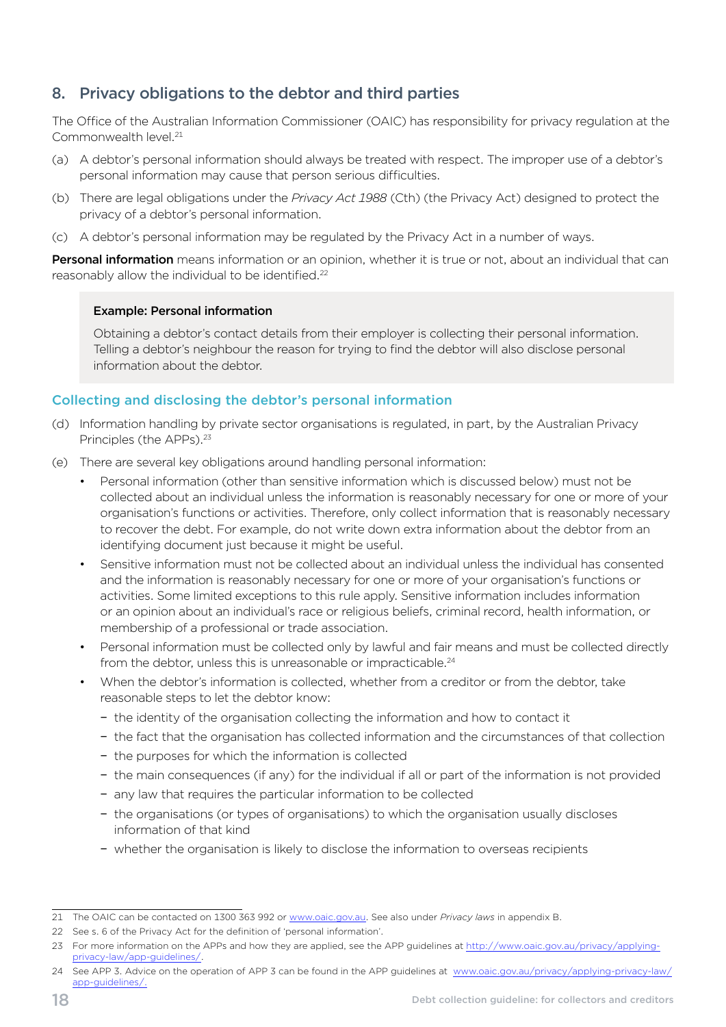# <span id="page-21-0"></span>8. Privacy obligations to the debtor and third parties

The Office of the Australian Information Commissioner (OAIC) has responsibility for privacy regulation at the Commonwealth level.21

- (a) A debtor's personal information should always be treated with respect. The improper use of a debtor's personal information may cause that person serious difficulties.
- (b) There are legal obligations under the *Privacy Act 1988* (Cth) (the Privacy Act) designed to protect the privacy of a debtor's personal information.
- (c) A debtor's personal information may be regulated by the Privacy Act in a number of ways.

Personal information means information or an opinion, whether it is true or not, about an individual that can reasonably allow the individual to be identified.22

#### Example: Personal information

Obtaining a debtor's contact details from their employer is collecting their personal information. Telling a debtor's neighbour the reason for trying to find the debtor will also disclose personal information about the debtor.

#### Collecting and disclosing the debtor's personal information

- (d) Information handling by private sector organisations is regulated, in part, by the Australian Privacy Principles (the APPs).<sup>23</sup>
- (e) There are several key obligations around handling personal information:
	- Personal information (other than sensitive information which is discussed below) must not be collected about an individual unless the information is reasonably necessary for one or more of your organisation's functions or activities. Therefore, only collect information that is reasonably necessary to recover the debt. For example, do not write down extra information about the debtor from an identifying document just because it might be useful.
	- Sensitive information must not be collected about an individual unless the individual has consented and the information is reasonably necessary for one or more of your organisation's functions or activities. Some limited exceptions to this rule apply. Sensitive information includes information or an opinion about an individual's race or religious beliefs, criminal record, health information, or membership of a professional or trade association.
	- Personal information must be collected only by lawful and fair means and must be collected directly from the debtor, unless this is unreasonable or impracticable.<sup>24</sup>
	- When the debtor's information is collected, whether from a creditor or from the debtor, take reasonable steps to let the debtor know:
		- − the identity of the organisation collecting the information and how to contact it
		- − the fact that the organisation has collected information and the circumstances of that collection
		- − the purposes for which the information is collected
		- − the main consequences (if any) for the individual if all or part of the information is not provided
		- − any law that requires the particular information to be collected
		- − the organisations (or types of organisations) to which the organisation usually discloses information of that kind
		- − whether the organisation is likely to disclose the information to overseas recipients

<sup>21</sup> The OAIC can be contacted on 1300 363 992 or [www.oaic.gov.au](http://www.oaic.gov.au). See also under *Privacy laws* in appendix B.

<sup>22</sup> See s. 6 of the Privacy Act for the definition of 'personal information'.

<sup>23</sup> For more information on the APPs and how they are applied, see the APP guidelines at [http://www.oaic.gov.au/privacy/applying](http://www.oaic.gov.au/privacy/applying-privacy-law/app-guidelines/)  [privacy-law/app-guidelines/.](http://www.oaic.gov.au/privacy/applying-privacy-law/app-guidelines/)

<sup>24</sup> See APP 3. Advice on the operation of APP 3 can be found in the APP guidelines at [www.oaic.gov.au/privacy/applying-privacy-law/](http://www.oaic.gov.au/privacy/applying-privacy-law/app-guidelines/) [app-guidelines/](http://www.oaic.gov.au/privacy/applying-privacy-law/app-guidelines/).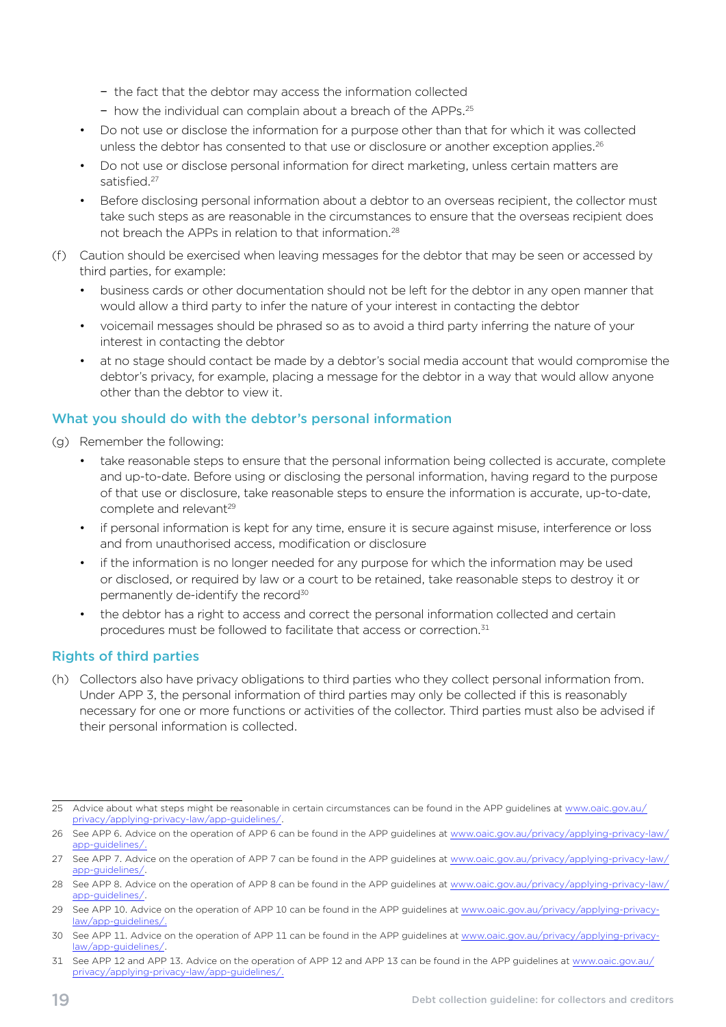- − the fact that the debtor may access the information collected
- − how the individual can complain about a breach of the APPs.25
- Do not use or disclose the information for a purpose other than that for which it was collected unless the debtor has consented to that use or disclosure or another exception applies.<sup>26</sup>
- Do not use or disclose personal information for direct marketing, unless certain matters are satisfied.27
- Before disclosing personal information about a debtor to an overseas recipient, the collector must take such steps as are reasonable in the circumstances to ensure that the overseas recipient does not breach the APPs in relation to that information.28
- (f) Caution should be exercised when leaving messages for the debtor that may be seen or accessed by third parties, for example:
	- business cards or other documentation should not be left for the debtor in any open manner that would allow a third party to infer the nature of your interest in contacting the debtor
	- voicemail messages should be phrased so as to avoid a third party inferring the nature of your interest in contacting the debtor
	- at no stage should contact be made by a debtor's social media account that would compromise the debtor's privacy, for example, placing a message for the debtor in a way that would allow anyone other than the debtor to view it.

#### What you should do with the debtor's personal information

- (g) Remember the following:
	- take reasonable steps to ensure that the personal information being collected is accurate, complete and up-to-date. Before using or disclosing the personal information, having regard to the purpose of that use or disclosure, take reasonable steps to ensure the information is accurate, up-to-date, complete and relevant<sup>29</sup>
	- if personal information is kept for any time, ensure it is secure against misuse, interference or loss and from unauthorised access, modification or disclosure
	- if the information is no longer needed for any purpose for which the information may be used or disclosed, or required by law or a court to be retained, take reasonable steps to destroy it or permanently de-identify the record<sup>30</sup>
	- the debtor has a right to access and correct the personal information collected and certain procedures must be followed to facilitate that access or correction.<sup>31</sup>

#### Rights of third parties

(h) Collectors also have privacy obligations to third parties who they collect personal information from. Under APP 3, the personal information of third parties may only be collected if this is reasonably necessary for one or more functions or activities of the collector. Third parties must also be advised if their personal information is collected.

<sup>25</sup> Advice about what steps might be reasonable in certain circumstances can be found in the APP guidelines at www.oaic.gov.au/ [privacy/applying-privacy-law/app-guidelines/.](http://www.oaic.gov.au/privacy/applying-privacy-law/app-guidelines/)

<sup>26</sup> See APP 6. Advice on the operation of APP 6 can be found in the APP guidelines at [www.oaic.gov.au/privacy/applying-privacy-law/](http://www.oaic.gov.au/privacy/applying-privacy-law/app-guidelines/) [app-guidelines/](http://www.oaic.gov.au/privacy/applying-privacy-law/app-guidelines/).

<sup>27</sup> See APP 7. Advice on the operation of APP 7 can be found in the APP guidelines at [www.oaic.gov.au/privacy/applying-privacy-law/](http://www.oaic.gov.au/privacy/applying-privacy-law/app-guidelines/) [app-guidelines/](http://www.oaic.gov.au/privacy/applying-privacy-law/app-guidelines/).

<sup>28</sup> See APP 8. Advice on the operation of APP 8 can be found in the APP guidelines at [www.oaic.gov.au/privacy/applying-privacy-law/](http://www.oaic.gov.au/privacy/applying-privacy-law/app-guidelines/) [app-guidelines/](http://www.oaic.gov.au/privacy/applying-privacy-law/app-guidelines/).

<sup>29</sup> See APP 10. Advice on the operation of APP 10 can be found in the APP guidelines at [www.oaic.gov.au/privacy/applying-privacy](http://www.oaic.gov.au/privacy/applying-privacy-law/app-guidelines/)[law/app-guidelines/.](http://www.oaic.gov.au/privacy/applying-privacy-law/app-guidelines/)

<sup>30</sup> See APP 11. Advice on the operation of APP 11 can be found in the APP guidelines at [www.oaic.gov.au/privacy/applying-privacy](http://www.oaic.gov.au/privacy/applying-privacy-law/app-guidelines/)[law/app-guidelines/.](http://www.oaic.gov.au/privacy/applying-privacy-law/app-guidelines/)

<sup>31</sup> See APP 12 and APP 13. Advice on the operation of APP 12 and APP 13 can be found in the APP guidelines at www.oaic.gov.au/ [privacy/applying-privacy-law/app-guidelines/.](http://www.oaic.gov.au/privacy/applying-privacy-law/app-guidelines/)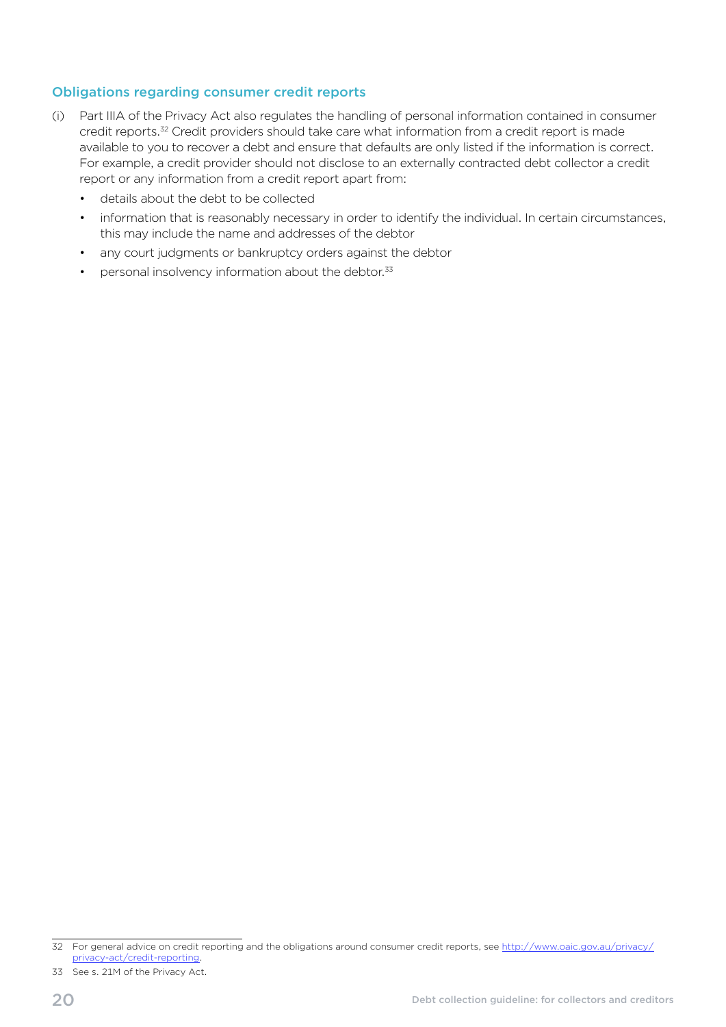#### Obligations regarding consumer credit reports

- (i) Part IIIA of the Privacy Act also regulates the handling of personal information contained in consumer credit reports.<sup>32</sup> Credit providers should take care what information from a credit report is made available to you to recover a debt and ensure that defaults are only listed if the information is correct. For example, a credit provider should not disclose to an externally contracted debt collector a credit report or any information from a credit report apart from:
	- • details about the debt to be collected
	- information that is reasonably necessary in order to identify the individual. In certain circumstances, this may include the name and addresses of the debtor
	- any court judgments or bankruptcy orders against the debtor
	- $\bullet$  personal insolvency information about the debtor. $33$

33 See s. 21M of the Privacy Act.

<sup>32</sup> For general advice on credit reporting and the obligations around consumer credit reports, see [http://www.oaic.gov.au/privacy/](http://www.oaic.gov.au/privacy/privacy-act/credit-reporting) [privacy-act/credit-reporting.](http://www.oaic.gov.au/privacy/privacy-act/credit-reporting)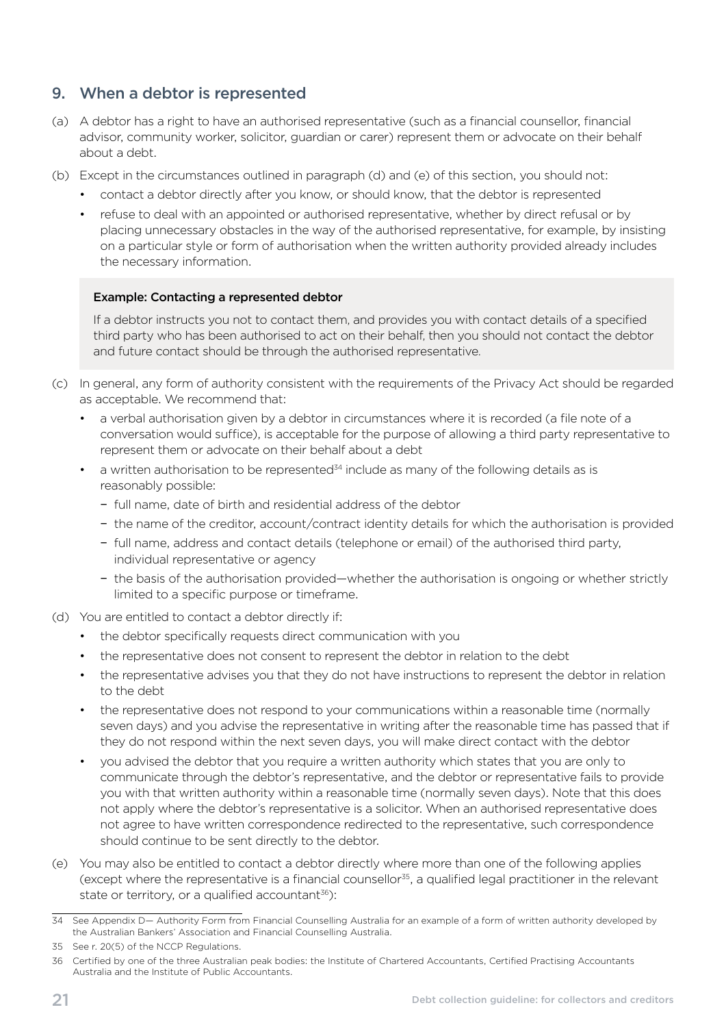# <span id="page-24-0"></span>9. When a debtor is represented

- (a) A debtor has a right to have an authorised representative (such as a financial counsellor, financial advisor, community worker, solicitor, guardian or carer) represent them or advocate on their behalf about a debt.
- (b) Except in the circumstances outlined in paragraph (d) and (e) of this section, you should not:
	- contact a debtor directly after you know, or should know, that the debtor is represented
	- refuse to deal with an appointed or authorised representative, whether by direct refusal or by placing unnecessary obstacles in the way of the authorised representative, for example, by insisting on a particular style or form of authorisation when the written authority provided already includes the necessary information.

#### Example: Contacting a represented debtor

If a debtor instructs you not to contact them, and provides you with contact details of a specified third party who has been authorised to act on their behalf, then you should not contact the debtor and future contact should be through the authorised representative.

- (c) In general, any form of authority consistent with the requirements of the Privacy Act should be regarded as acceptable. We recommend that:
	- a verbal authorisation given by a debtor in circumstances where it is recorded (a file note of a conversation would suffice), is acceptable for the purpose of allowing a third party representative to represent them or advocate on their behalf about a debt
	- a written authorisation to be represented<sup>34</sup> include as many of the following details as is reasonably possible:
		- − full name, date of birth and residential address of the debtor
		- − the name of the creditor, account/contract identity details for which the authorisation is provided
		- − full name, address and contact details (telephone or email) of the authorised third party, individual representative or agency
		- −the basis of the authorisation provided—whether the authorisation is ongoing or whether strictly limited to a specific purpose or timeframe.
- (d) You are entitled to contact a debtor directly if:
	- the debtor specifically requests direct communication with you
	- the representative does not consent to represent the debtor in relation to the debt
	- the representative advises you that they do not have instructions to represent the debtor in relation to the debt
	- the representative does not respond to your communications within a reasonable time (normally seven days) and you advise the representative in writing after the reasonable time has passed that if they do not respond within the next seven days, you will make direct contact with the debtor
	- you advised the debtor that you require a written authority which states that you are only to communicate through the debtor's representative, and the debtor or representative fails to provide you with that written authority within a reasonable time (normally seven days). Note that this does not apply where the debtor's representative is a solicitor. When an authorised representative does not agree to have written correspondence redirected to the representative, such correspondence should continue to be sent directly to the debtor.
- (e) You may also be entitled to contact a debtor directly where more than one of the following applies (except where the representative is a financial counsellor<sup>35</sup>, a qualified legal practitioner in the relevant state or territory, or a qualified accountant<sup>36</sup>):

<sup>34</sup> See Appendix D- Authority Form from Financial Counselling Australia for an example of a form of written authority developed by the Australian Bankers' Association and Financial Counselling Australia.

<sup>35</sup> See r. 20(5) of the NCCP Regulations.

<sup>36</sup> Certified by one of the three Australian peak bodies: the Institute of Chartered Accountants, Certified Practising Accountants Australia and the Institute of Public Accountants.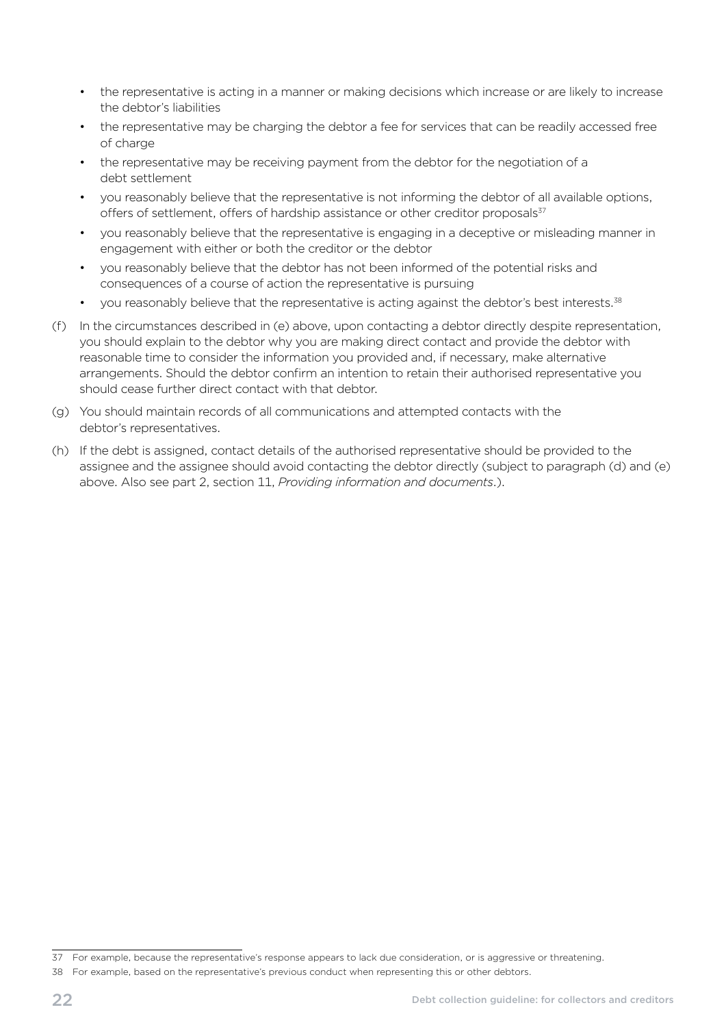- the representative is acting in a manner or making decisions which increase or are likely to increase the debtor's liabilities
- the representative may be charging the debtor a fee for services that can be readily accessed free of charge
- the representative may be receiving payment from the debtor for the negotiation of a debt settlement
- you reasonably believe that the representative is not informing the debtor of all available options, offers of settlement, offers of hardship assistance or other creditor proposals<sup>37</sup>
- you reasonably believe that the representative is engaging in a deceptive or misleading manner in engagement with either or both the creditor or the debtor
- you reasonably believe that the debtor has not been informed of the potential risks and consequences of a course of action the representative is pursuing
- you reasonably believe that the representative is acting against the debtor's best interests.<sup>38</sup>
- (f) In the circumstances described in (e) above, upon contacting a debtor directly despite representation, you should explain to the debtor why you are making direct contact and provide the debtor with reasonable time to consider the information you provided and, if necessary, make alternative arrangements. Should the debtor confirm an intention to retain their authorised representative you should cease further direct contact with that debtor.
- (g) You should maintain records of all communications and attempted contacts with the debtor's representatives.
- (h) If the debt is assigned, contact details of the authorised representative should be provided to the assignee and the assignee should avoid contacting the debtor directly (subject to paragraph (d) and (e) above. Also see part 2, section 11, *Providing information and documents*.).

<sup>37</sup> For example, because the representative's response appears to lack due consideration, or is aggressive or threatening.

<sup>38</sup> For example, based on the representative's previous conduct when representing this or other debtors.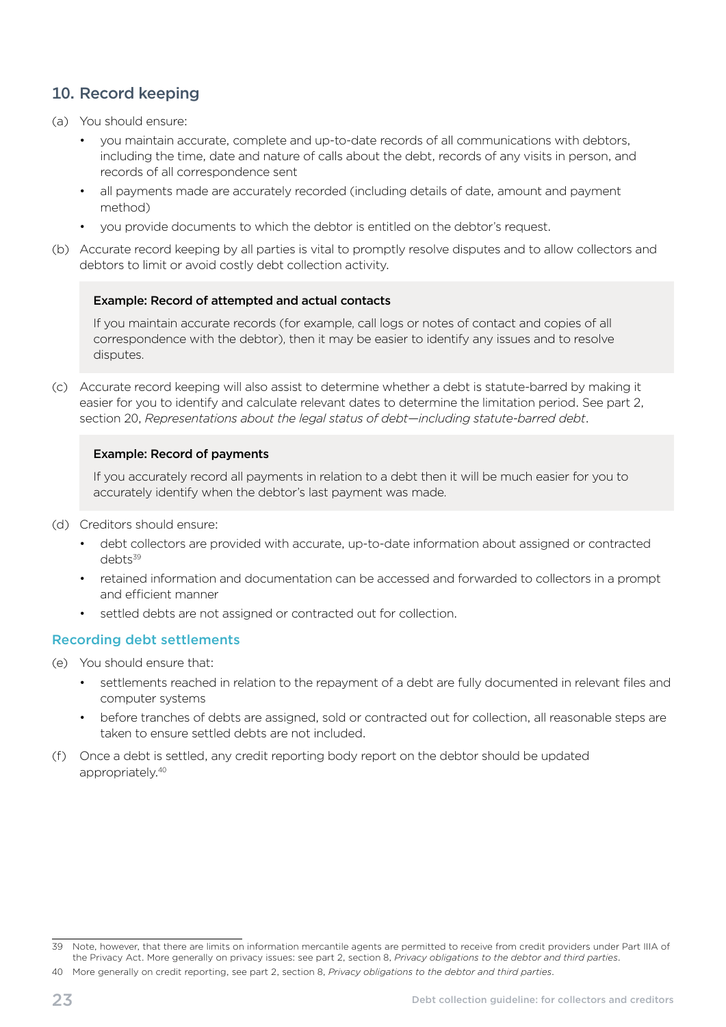# <span id="page-26-0"></span>10. Record keeping

- (a) You should ensure:
	- you maintain accurate, complete and up-to-date records of all communications with debtors, including the time, date and nature of calls about the debt, records of any visits in person, and records of all correspondence sent
	- all payments made are accurately recorded (including details of date, amount and payment method)
	- vou provide documents to which the debtor is entitled on the debtor's request.
- (b) Accurate record keeping by all parties is vital to promptly resolve disputes and to allow collectors and debtors to limit or avoid costly debt collection activity.

#### Example: Record of attempted and actual contacts

If you maintain accurate records (for example, call logs or notes of contact and copies of all correspondence with the debtor), then it may be easier to identify any issues and to resolve disputes.

(c) Accurate record keeping will also assist to determine whether a debt is statute-barred by making it easier for you to identify and calculate relevant dates to determine the limitation period. See part 2, section 20, *Representations about the legal status of debt—including statute-barred debt*.

#### Example: Record of payments

If you accurately record all payments in relation to a debt then it will be much easier for you to accurately identify when the debtor's last payment was made.

- (d) Creditors should ensure:
	- debt collectors are provided with accurate, up-to-date information about assigned or contracted debts<sup>39</sup>
	- retained information and documentation can be accessed and forwarded to collectors in a prompt and efficient manner
	- settled debts are not assigned or contracted out for collection.

#### Recording debt settlements

- (e) You should ensure that:
	- settlements reached in relation to the repayment of a debt are fully documented in relevant files and computer systems
	- before tranches of debts are assigned, sold or contracted out for collection, all reasonable steps are taken to ensure settled debts are not included.
- (f) Once a debt is settled, any credit reporting body report on the debtor should be updated appropriately.40

<sup>39</sup> Note, however, that there are limits on information mercantile agents are permitted to receive from credit providers under Part IIIA of the Privacy Act. More generally on privacy issues: see part 2, section 8, *Privacy obligations to the debtor and third parties*.

<sup>40</sup> More generally on credit reporting, see part 2, section 8, *Privacy obligations to the debtor and third parties*.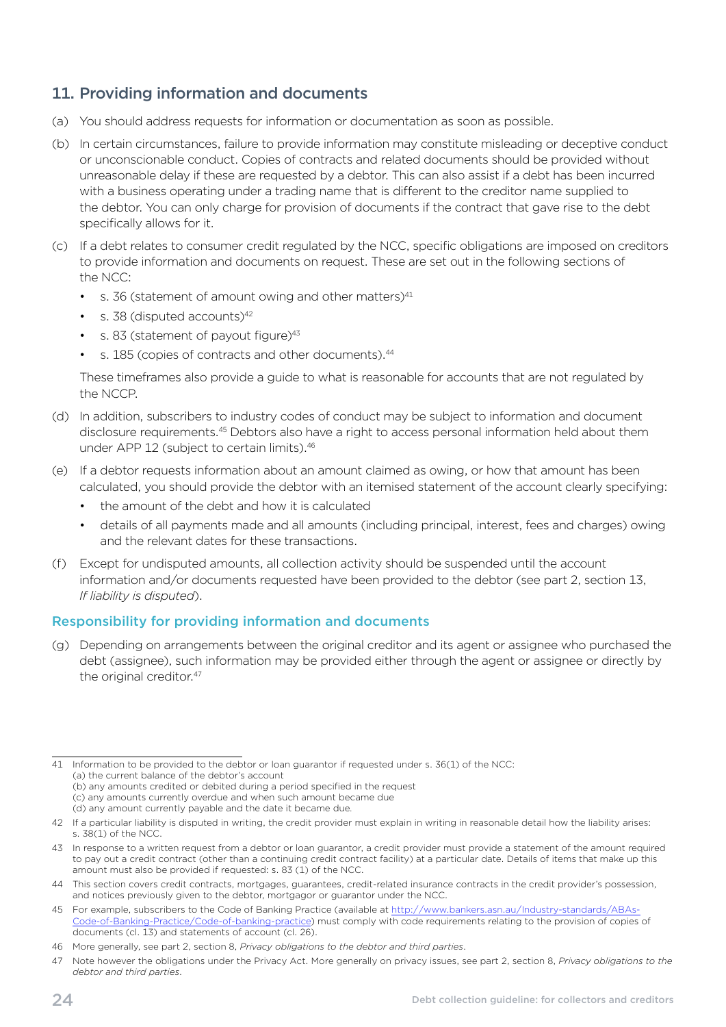# <span id="page-27-0"></span>11. Providing information and documents

- (a) You should address requests for information or documentation as soon as possible.
- (b) In certain circumstances, failure to provide information may constitute misleading or deceptive conduct or unconscionable conduct. Copies of contracts and related documents should be provided without unreasonable delay if these are requested by a debtor. This can also assist if a debt has been incurred with a business operating under a trading name that is different to the creditor name supplied to the debtor. You can only charge for provision of documents if the contract that gave rise to the debt specifically allows for it.
- (c) If a debt relates to consumer credit regulated by the NCC, specific obligations are imposed on creditors to provide information and documents on request. These are set out in the following sections of the NCC:
	- s. 36 (statement of amount owing and other matters) $41$
	- $\,$  s. 38 (disputed accounts)<sup>42</sup>
	- s. 83 (statement of payout figure) $43$
	- s. 185 (copies of contracts and other documents).<sup>44</sup>

These timeframes also provide a guide to what is reasonable for accounts that are not regulated by the NCCP.

- (d) In addition, subscribers to industry codes of conduct may be subject to information and document disclosure requirements.45 Debtors also have a right to access personal information held about them under APP 12 (subject to certain limits).<sup>46</sup>
- (e) If a debtor requests information about an amount claimed as owing, or how that amount has been calculated, you should provide the debtor with an itemised statement of the account clearly specifying:
	- the amount of the debt and how it is calculated
	- details of all payments made and all amounts (including principal, interest, fees and charges) owing and the relevant dates for these transactions.
- (f) Except for undisputed amounts, all collection activity should be suspended until the account information and/or documents requested have been provided to the debtor (see part 2, section 13, *If liability is disputed*).

#### Responsibility for providing information and documents

(g) Depending on arrangements between the original creditor and its agent or assignee who purchased the debt (assignee), such information may be provided either through the agent or assignee or directly by the original creditor.<sup>47</sup>

- (c) any amounts currently overdue and when such amount became due
- (d) any amount currently payable and the date it became due.

<sup>41</sup> Information to be provided to the debtor or loan guarantor if requested under s. 36(1) of the NCC: (a) the current balance of the debtor's account (b) any amounts credited or debited during a period specified in the request

<sup>42</sup> If a particular liability is disputed in writing, the credit provider must explain in writing in reasonable detail how the liability arises: s. 38(1) of the NCC.

<sup>43</sup> In response to a written request from a debtor or loan guarantor, a credit provider must provide a statement of the amount required to pay out a credit contract (other than a continuing credit contract facility) at a particular date. Details of items that make up this amount must also be provided if requested: s. 83 (1) of the NCC.

<sup>44</sup> This section covers credit contracts, mortgages, guarantees, credit-related insurance contracts in the credit provider's possession, and notices previously given to the debtor, mortgagor or guarantor under the NCC.

<sup>45</sup> For example, subscribers to the Code of Banking Practice (available at http://www.bankers.asn.au/Industry-standards/ABAs-Code-of-Banking-Practice/Code-of-banking-practice) must comply with code requirements relating to the provision of copies of documents (cl. 13) and statements of account (cl. 26).

<sup>46</sup> More generally, see part 2, section 8, *Privacy obligations to the debtor and third parties*.

<sup>47</sup> Note however the obligations under the Privacy Act. More generally on privacy issues, see part 2, section 8, *Privacy obligations to the debtor and third parties*.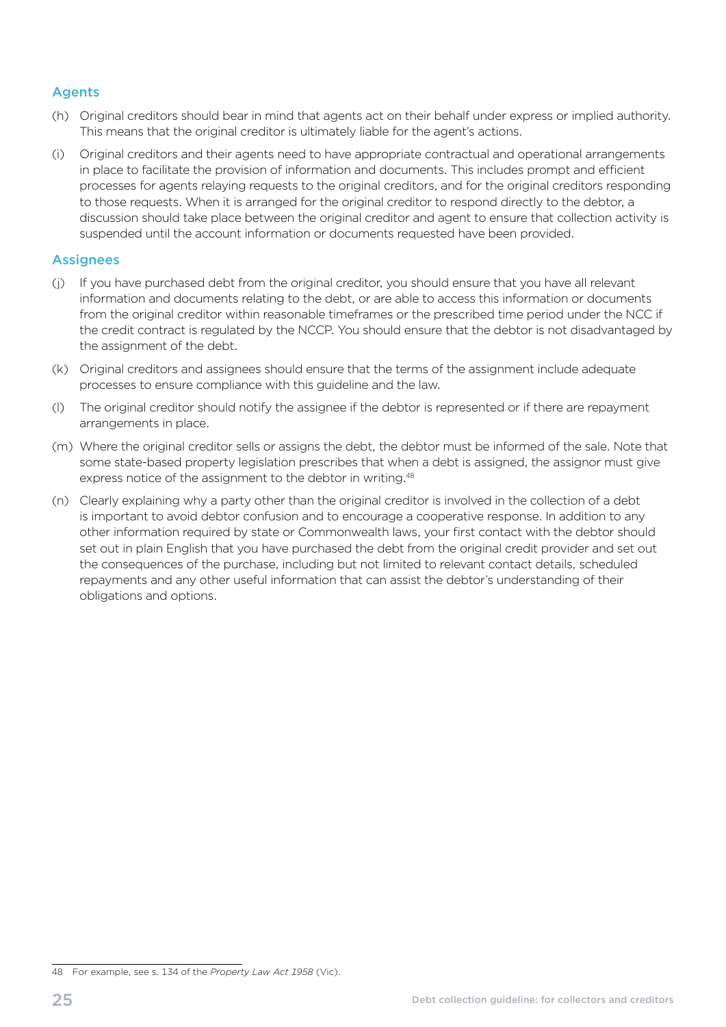#### **Agents**

- (h) Original creditors should bear in mind that agents act on their behalf under express or implied authority. This means that the original creditor is ultimately liable for the agent's actions.
- (i) Original creditors and their agents need to have appropriate contractual and operational arrangements in place to facilitate the provision of information and documents. This includes prompt and efficient processes for agents relaying requests to the original creditors, and for the original creditors responding to those requests. When it is arranged for the original creditor to respond directly to the debtor, a discussion should take place between the original creditor and agent to ensure that collection activity is suspended until the account information or documents requested have been provided.

#### **Assignees**

- (j) If you have purchased debt from the original creditor, you should ensure that you have all relevant information and documents relating to the debt, or are able to access this information or documents from the original creditor within reasonable timeframes or the prescribed time period under the NCC if the credit contract is regulated by the NCCP. You should ensure that the debtor is not disadvantaged by the assignment of the debt.
- (k) Original creditors and assignees should ensure that the terms of the assignment include adequate processes to ensure compliance with this guideline and the law.
- (I) The original creditor should notify the assignee if the debtor is represented or if there are repayment arrangements in place.
- (m) Where the original creditor sells or assigns the debt, the debtor must be informed of the sale. Note that some state-based property legislation prescribes that when a debt is assigned, the assignor must give express notice of the assignment to the debtor in writing.<sup>48</sup>
- (n) Clearly explaining why a party other than the original creditor is involved in the collection of a debt is important to avoid debtor confusion and to encourage a cooperative response. In addition to any other information required by state or Commonwealth laws, your first contact with the debtor should set out in plain English that you have purchased the debt from the original credit provider and set out the consequences of the purchase, including but not limited to relevant contact details, scheduled repayments and any other useful information that can assist the debtor's understanding of their obligations and options.

<sup>48</sup> For example, see s. 134 of the *Property Law Act 1958* (Vic).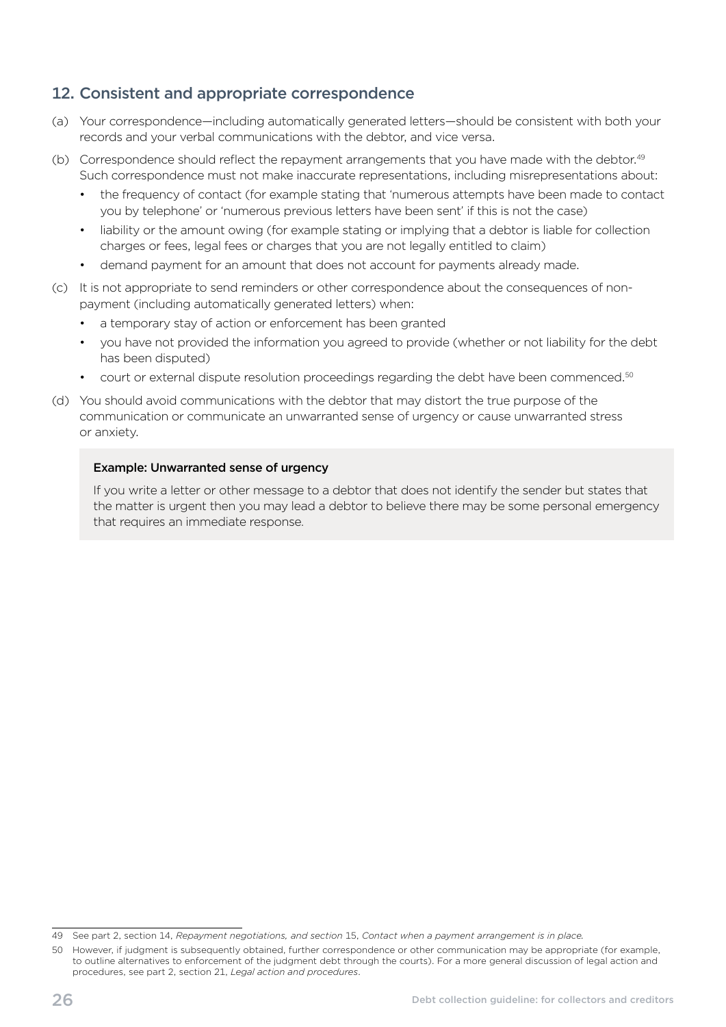# <span id="page-29-0"></span>12. Consistent and appropriate correspondence

- (a) Your correspondence—including automatically generated letters—should be consistent with both your records and your verbal communications with the debtor, and vice versa.
- (b) Correspondence should reflect the repayment arrangements that you have made with the debtor.<sup>49</sup> Such correspondence must not make inaccurate representations, including misrepresentations about:
	- the frequency of contact (for example stating that 'numerous attempts have been made to contact you by telephone' or 'numerous previous letters have been sent' if this is not the case)
	- liability or the amount owing (for example stating or implying that a debtor is liable for collection charges or fees, legal fees or charges that you are not legally entitled to claim)
	- demand payment for an amount that does not account for payments already made.
- (c) It is not appropriate to send reminders or other correspondence about the consequences of nonpayment (including automatically generated letters) when:
	- a temporary stay of action or enforcement has been granted
	- you have not provided the information you agreed to provide (whether or not liability for the debt has been disputed)
	- court or external dispute resolution proceedings regarding the debt have been commenced.<sup>50</sup>
- (d) You should avoid communications with the debtor that may distort the true purpose of the communication or communicate an unwarranted sense of urgency or cause unwarranted stress or anxiety.

#### Example: Unwarranted sense of urgency

If you write a letter or other message to a debtor that does not identify the sender but states that the matter is urgent then you may lead a debtor to believe there may be some personal emergency that requires an immediate response.

<sup>49</sup> See part 2, section 14, *Repayment negotiations, and section* 15, *Contact when a payment arrangement is in place.* 

<sup>50</sup> However, if judgment is subsequently obtained, further correspondence or other communication may be appropriate (for example, to outline alternatives to enforcement of the judgment debt through the courts). For a more general discussion of legal action and procedures, see part 2, section 21, *Legal action and procedures*.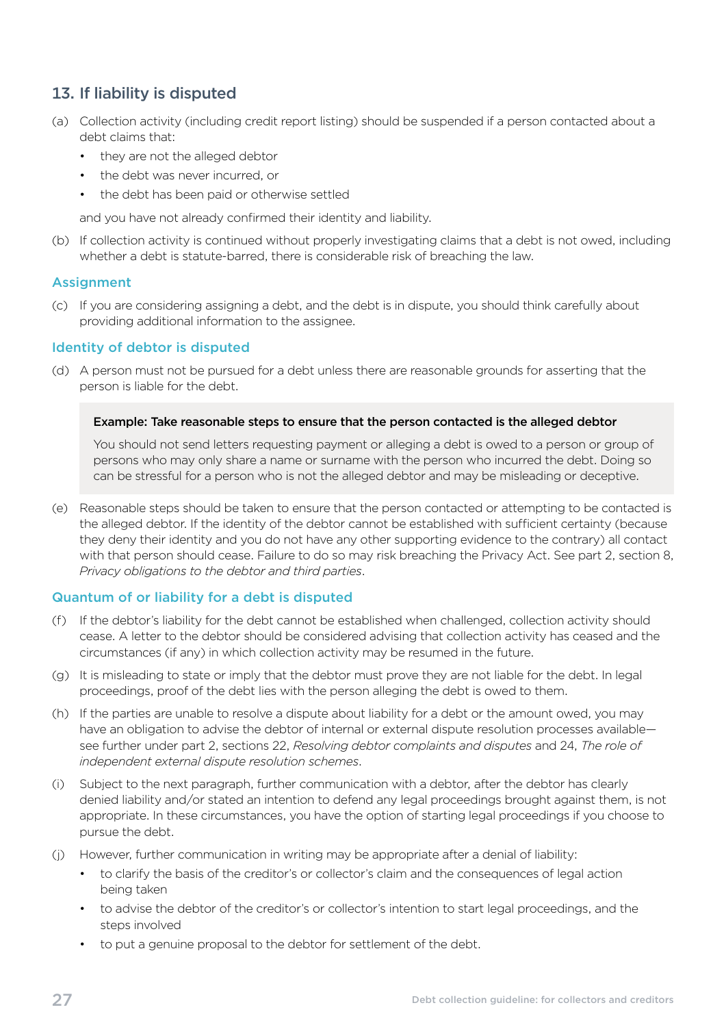# <span id="page-30-0"></span>13. If liability is disputed

- (a) Collection activity (including credit report listing) should be suspended if a person contacted about a debt claims that:
	- they are not the alleged debtor
	- the debt was never incurred, or
	- the debt has been paid or otherwise settled

and you have not already confirmed their identity and liability.

(b) If collection activity is continued without properly investigating claims that a debt is not owed, including whether a debt is statute-barred, there is considerable risk of breaching the law.

#### Assignment

(c) If you are considering assigning a debt, and the debt is in dispute, you should think carefully about providing additional information to the assignee.

#### Identity of debtor is disputed

(d) A person must not be pursued for a debt unless there are reasonable grounds for asserting that the person is liable for the debt.

#### Example: Take reasonable steps to ensure that the person contacted is the alleged debtor

You should not send letters requesting payment or alleging a debt is owed to a person or group of persons who may only share a name or surname with the person who incurred the debt. Doing so can be stressful for a person who is not the alleged debtor and may be misleading or deceptive.

(e) Reasonable steps should be taken to ensure that the person contacted or attempting to be contacted is the alleged debtor. If the identity of the debtor cannot be established with sufficient certainty (because they deny their identity and you do not have any other supporting evidence to the contrary) all contact with that person should cease. Failure to do so may risk breaching the Privacy Act. See part 2, section 8, *Privacy obligations to the debtor and third parties*.

#### Quantum of or liability for a debt is disputed

- (f) If the debtor's liability for the debt cannot be established when challenged, collection activity should cease. A letter to the debtor should be considered advising that collection activity has ceased and the circumstances (if any) in which collection activity may be resumed in the future.
- (g) It is misleading to state or imply that the debtor must prove they are not liable for the debt. In legal proceedings, proof of the debt lies with the person alleging the debt is owed to them.
- (h) If the parties are unable to resolve a dispute about liability for a debt or the amount owed, you may have an obligation to advise the debtor of internal or external dispute resolution processes available see further under part 2, sections 22, *Resolving debtor complaints and disputes* and 24, *The role of independent external dispute resolution schemes*.
- (i) Subject to the next paragraph, further communication with a debtor, after the debtor has clearly denied liability and/or stated an intention to defend any legal proceedings brought against them, is not appropriate. In these circumstances, you have the option of starting legal proceedings if you choose to pursue the debt.
- (j) However, further communication in writing may be appropriate after a denial of liability:
	- to clarify the basis of the creditor's or collector's claim and the consequences of legal action being taken
	- to advise the debtor of the creditor's or collector's intention to start legal proceedings, and the steps involved
	- to put a genuine proposal to the debtor for settlement of the debt.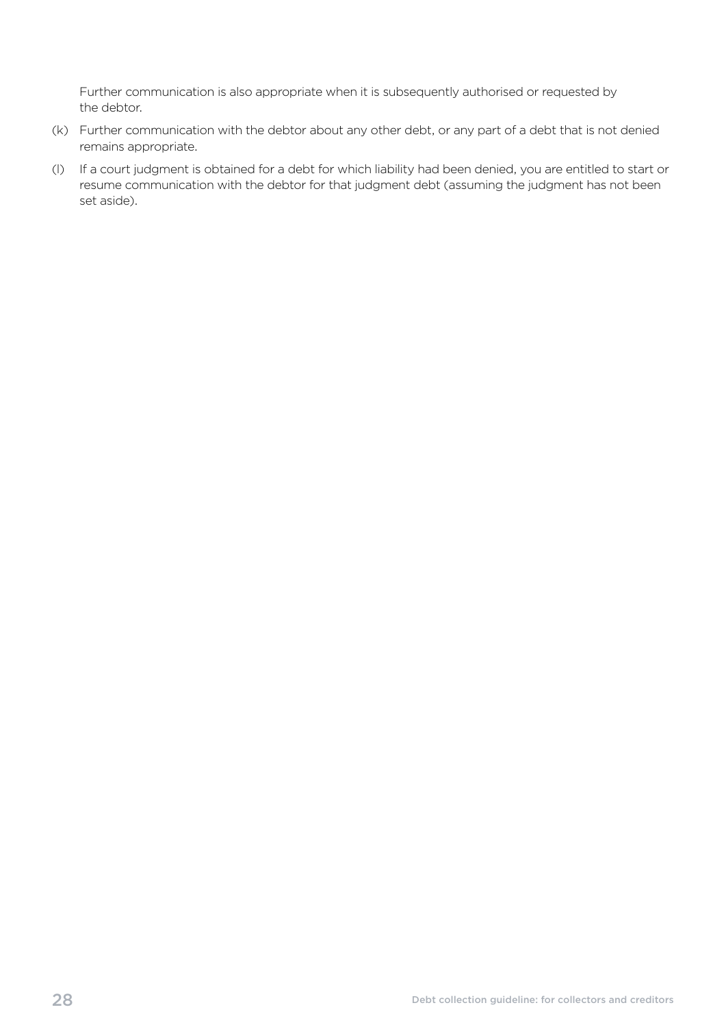Further communication is also appropriate when it is subsequently authorised or requested by the debtor.

- (k) Further communication with the debtor about any other debt, or any part of a debt that is not denied remains appropriate.
- (I) If a court judgment is obtained for a debt for which liability had been denied, you are entitled to start or resume communication with the debtor for that judgment debt (assuming the judgment has not been set aside).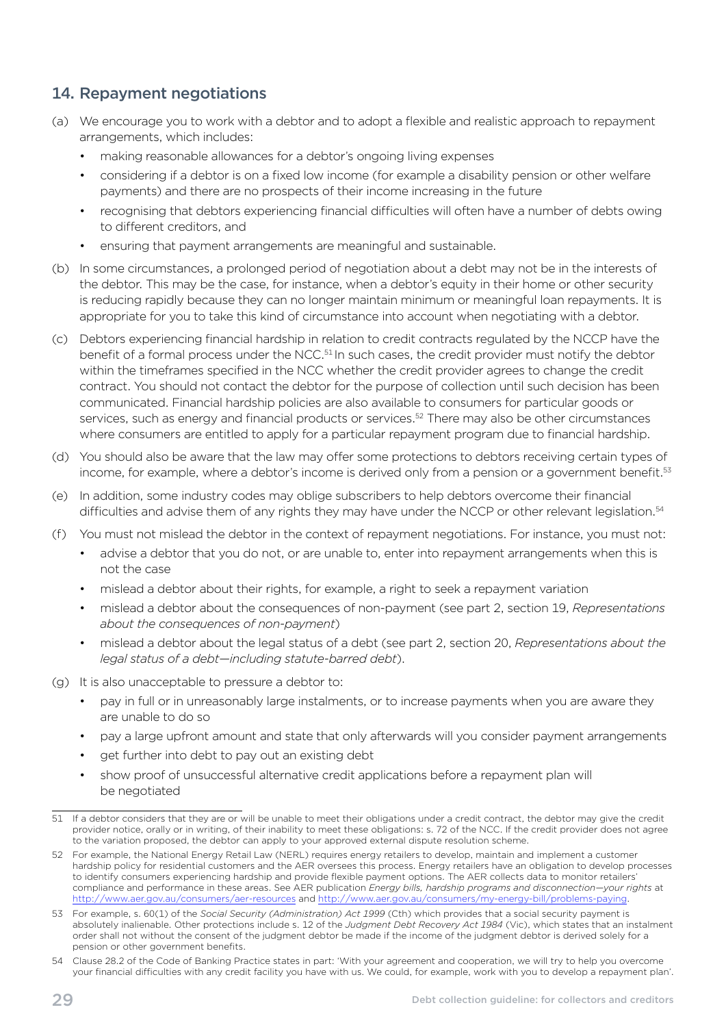# <span id="page-32-0"></span>14. Repayment negotiations

- (a) We encourage you to work with a debtor and to adopt a flexible and realistic approach to repayment arrangements, which includes:
	- making reasonable allowances for a debtor's ongoing living expenses
	- considering if a debtor is on a fixed low income (for example a disability pension or other welfare payments) and there are no prospects of their income increasing in the future
	- recognising that debtors experiencing financial difficulties will often have a number of debts owing to different creditors, and
	- ensuring that payment arrangements are meaningful and sustainable.
- (b) In some circumstances, a prolonged period of negotiation about a debt may not be in the interests of the debtor. This may be the case, for instance, when a debtor's equity in their home or other security is reducing rapidly because they can no longer maintain minimum or meaningful loan repayments. It is appropriate for you to take this kind of circumstance into account when negotiating with a debtor.
- (c) Debtors experiencing financial hardship in relation to credit contracts regulated by the NCCP have the benefit of a formal process under the NCC.<sup>51</sup> In such cases, the credit provider must notify the debtor within the timeframes specified in the NCC whether the credit provider agrees to change the credit contract. You should not contact the debtor for the purpose of collection until such decision has been communicated. Financial hardship policies are also available to consumers for particular goods or services, such as energy and financial products or services.<sup>52</sup> There may also be other circumstances where consumers are entitled to apply for a particular repayment program due to financial hardship.
- (d) You should also be aware that the law may offer some protections to debtors receiving certain types of income, for example, where a debtor's income is derived only from a pension or a government benefit.<sup>53</sup>
- (e) In addition, some industry codes may oblige subscribers to help debtors overcome their financial difficulties and advise them of any rights they may have under the NCCP or other relevant legislation.<sup>54</sup>
- (f) You must not mislead the debtor in the context of repayment negotiations. For instance, you must not:
	- advise a debtor that you do not, or are unable to, enter into repayment arrangements when this is not the case
	- mislead a debtor about their rights, for example, a right to seek a repayment variation
	- mislead a debtor about the consequences of non-payment (see part 2, section 19, *Representations about the consequences of non-payment*)
	- mislead a debtor about the legal status of a debt (see part 2, section 20, *Representations about the legal status of a debt—including statute-barred debt*).
- (g) It is also unacceptable to pressure a debtor to:
	- pay in full or in unreasonably large instalments, or to increase payments when you are aware they are unable to do so
	- pay a large upfront amount and state that only afterwards will you consider payment arrangements
	- get further into debt to pay out an existing debt
	- show proof of unsuccessful alternative credit applications before a repayment plan will be negotiated

<sup>51</sup> If a debtor considers that they are or will be unable to meet their obligations under a credit contract, the debtor may give the credit provider notice, orally or in writing, of their inability to meet these obligations: s. 72 of the NCC. If the credit provider does not agree to the variation proposed, the debtor can apply to your approved external dispute resolution scheme.

<sup>52</sup> For example, the National Energy Retail Law (NERL) requires energy retailers to develop, maintain and implement a customer hardship policy for residential customers and the AER oversees this process. Energy retailers have an obligation to develop processes to identify consumers experiencing hardship and provide flexible payment options. The AER collects data to monitor retailers' compliance and performance in these areas. See AER publication *Energy bills, hardship programs and disconnection—your rights* at <http://www.aer.gov.au/consumers/aer-resources>and<http://www.aer.gov.au/consumers/my-energy-bill/problems-paying>.

<sup>53</sup> For example, s. 60(1) of the *Social Security (Administration) Act 1999* (Cth) which provides that a social security payment is absolutely inalienable. Other protections include s. 12 of the *Judgment Debt Recovery Act 1984* (Vic), which states that an instalment order shall not without the consent of the judgment debtor be made if the income of the judgment debtor is derived solely for a pension or other government benefits.

<sup>54</sup> Clause 28.2 of the Code of Banking Practice states in part: 'With your agreement and cooperation, we will try to help you overcome your financial difficulties with any credit facility you have with us. We could, for example, work with you to develop a repayment plan'.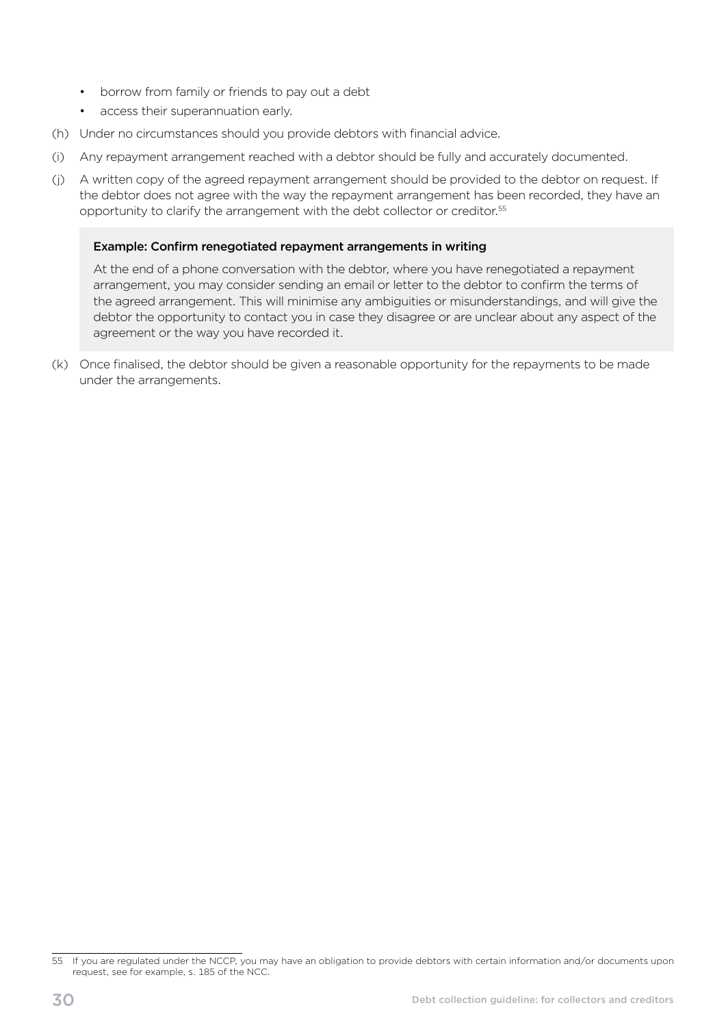- borrow from family or friends to pay out a debt
- access their superannuation early.
- (h) Under no circumstances should you provide debtors with financial advice.
- (i) Any repayment arrangement reached with a debtor should be fully and accurately documented.
- (j) A written copy of the agreed repayment arrangement should be provided to the debtor on request. If the debtor does not agree with the way the repayment arrangement has been recorded, they have an opportunity to clarify the arrangement with the debt collector or creditor.55

#### Example: Confirm renegotiated repayment arrangements in writing

At the end of a phone conversation with the debtor, where you have renegotiated a repayment arrangement, you may consider sending an email or letter to the debtor to confirm the terms of the agreed arrangement. This will minimise any ambiguities or misunderstandings, and will give the debtor the opportunity to contact you in case they disagree or are unclear about any aspect of the agreement or the way you have recorded it.

(k) Once finalised, the debtor should be given a reasonable opportunity for the repayments to be made under the arrangements.

<sup>55</sup> If you are regulated under the NCCP, you may have an obligation to provide debtors with certain information and/or documents upon request, see for example, s. 185 of the NCC.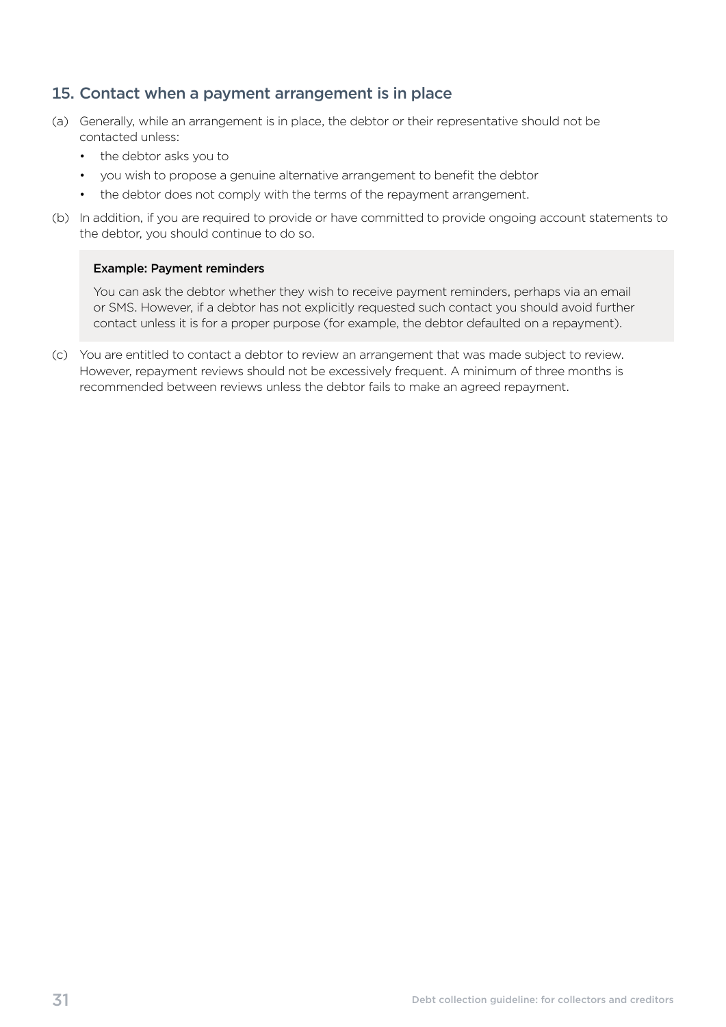## <span id="page-34-0"></span>15. Contact when a payment arrangement is in place

- (a) Generally, while an arrangement is in place, the debtor or their representative should not be contacted unless:
	- the debtor asks you to
	- you wish to propose a genuine alternative arrangement to benefit the debtor
	- the debtor does not comply with the terms of the repayment arrangement.
- (b) In addition, if you are required to provide or have committed to provide ongoing account statements to the debtor, you should continue to do so.

#### Example: Payment reminders

You can ask the debtor whether they wish to receive payment reminders, perhaps via an email or SMS. However, if a debtor has not explicitly requested such contact you should avoid further contact unless it is for a proper purpose (for example, the debtor defaulted on a repayment).

(c) You are entitled to contact a debtor to review an arrangement that was made subject to review. However, repayment reviews should not be excessively frequent. A minimum of three months is recommended between reviews unless the debtor fails to make an agreed repayment.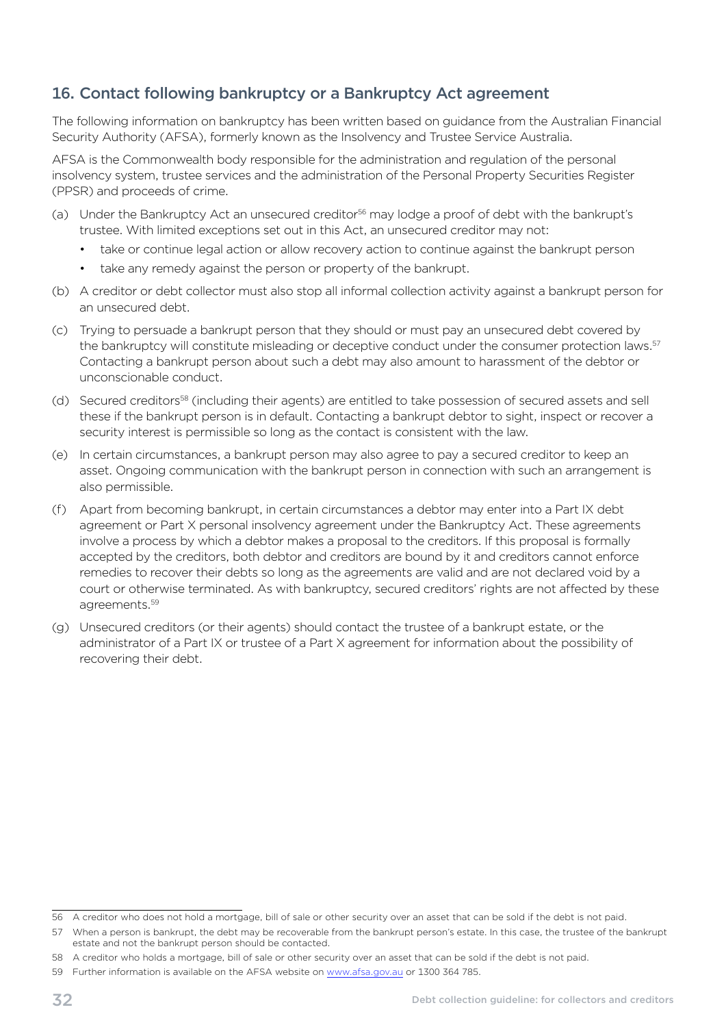# <span id="page-35-0"></span>16. Contact following bankruptcy or a Bankruptcy Act agreement

The following information on bankruptcy has been written based on guidance from the Australian Financial Security Authority (AFSA), formerly known as the Insolvency and Trustee Service Australia.

AFSA is the Commonwealth body responsible for the administration and regulation of the personal insolvency system, trustee services and the administration of the [Personal Property Securities Register](http://www.ppsr.gov.au/)  [\(PPSR\)](http://www.ppsr.gov.au/) and proceeds of crime.

- (a) Under the Bankruptcy Act an unsecured creditor<sup>56</sup> may lodge a proof of debt with the bankrupt's trustee. With limited exceptions set out in this Act, an unsecured creditor may not:
	- take or continue legal action or allow recovery action to continue against the bankrupt person
	- take any remedy against the person or property of the bankrupt.
- (b) A creditor or debt collector must also stop all informal collection activity against a bankrupt person for an unsecured debt.
- (c) Trying to persuade a bankrupt person that they should or must pay an unsecured debt covered by the bankruptcy will constitute misleading or deceptive conduct under the consumer protection laws.<sup>57</sup> Contacting a bankrupt person about such a debt may also amount to harassment of the debtor or unconscionable conduct.
- (d) Secured creditors<sup>58</sup> (including their agents) are entitled to take possession of secured assets and sell these if the bankrupt person is in default. Contacting a bankrupt debtor to sight, inspect or recover a security interest is permissible so long as the contact is consistent with the law.
- (e) In certain circumstances, a bankrupt person may also agree to pay a secured creditor to keep an asset. Ongoing communication with the bankrupt person in connection with such an arrangement is also permissible.
- (f) Apart from becoming bankrupt, in certain circumstances a debtor may enter into a Part IX debt agreement or Part X personal insolvency agreement under the Bankruptcy Act. These agreements involve a process by which a debtor makes a proposal to the creditors. If this proposal is formally accepted by the creditors, both debtor and creditors are bound by it and creditors cannot enforce remedies to recover their debts so long as the agreements are valid and are not declared void by a court or otherwise terminated. As with bankruptcy, secured creditors' rights are not affected by these agreements.59
- (g) Unsecured creditors (or their agents) should contact the trustee of a bankrupt estate, or the administrator of a Part IX or trustee of a Part X agreement for information about the possibility of recovering their debt.

<sup>56</sup> A creditor who does not hold a mortgage, bill of sale or other security over an asset that can be sold if the debt is not paid.

<sup>57</sup> When a person is bankrupt, the debt may be recoverable from the bankrupt person's estate. In this case, the trustee of the bankrupt estate and not the bankrupt person should be contacted.

<sup>58</sup> A creditor who holds a mortgage, bill of sale or other security over an asset that can be sold if the debt is not paid.

<sup>59</sup> Further information is available on the AFSA website on [www.afsa.gov.au](http://www.afsa.gov.au) or 1300 364 785.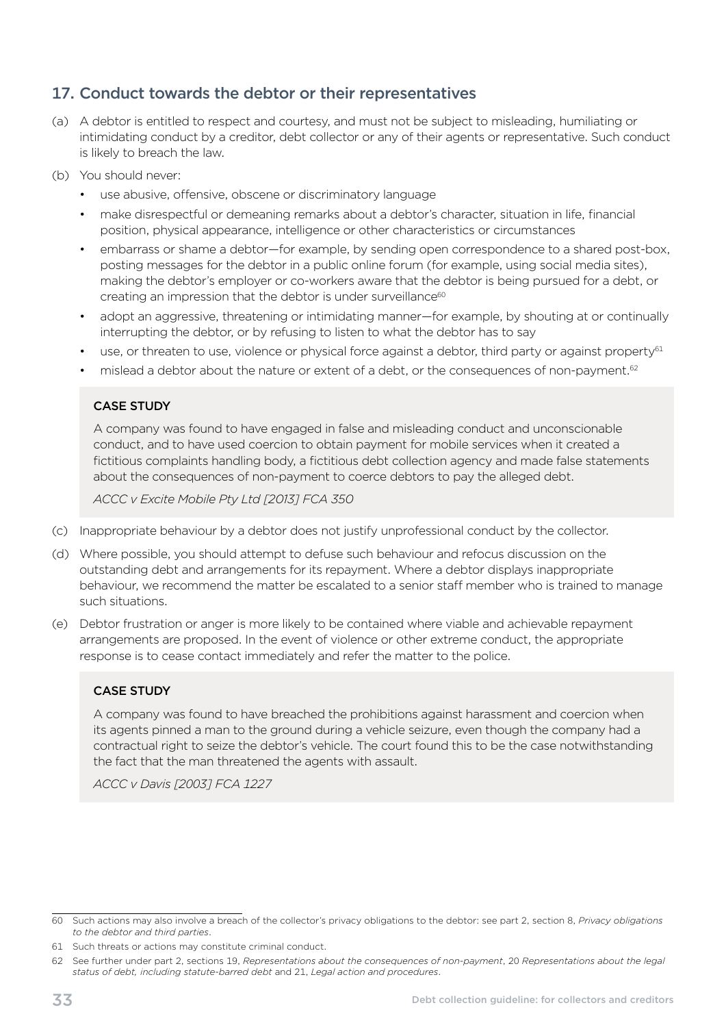# <span id="page-36-0"></span>17. Conduct towards the debtor or their representatives

- (a) A debtor is entitled to respect and courtesy, and must not be subject to misleading, humiliating or intimidating conduct by a creditor, debt collector or any of their agents or representative. Such conduct is likely to breach the law.
- (b) You should never:
	- use abusive, offensive, obscene or discriminatory language
	- make disrespectful or demeaning remarks about a debtor's character, situation in life, financial position, physical appearance, intelligence or other characteristics or circumstances
	- embarrass or shame a debtor—for example, by sending open correspondence to a shared post-box, posting messages for the debtor in a public online forum (for example, using social media sites), making the debtor's employer or co-workers aware that the debtor is being pursued for a debt, or creating an impression that the debtor is under surveillance<sup>60</sup>
	- adopt an aggressive, threatening or intimidating manner—for example, by shouting at or continually interrupting the debtor, or by refusing to listen to what the debtor has to say
	- use, or threaten to use, violence or physical force against a debtor, third party or against property<sup>61</sup>
	- mislead a debtor about the nature or extent of a debt, or the consequences of non-payment.<sup>62</sup>

#### CASE STUDY

A company was found to have engaged in false and misleading conduct and unconscionable conduct, and to have used coercion to obtain payment for mobile services when it created a fictitious complaints handling body, a fictitious debt collection agency and made false statements about the consequences of non-payment to coerce debtors to pay the alleged debt.

*ACCC v Excite Mobile Pty Ltd [2013] FCA 350* 

- (c) Inappropriate behaviour by a debtor does not justify unprofessional conduct by the collector.
- (d) Where possible, you should attempt to defuse such behaviour and refocus discussion on the outstanding debt and arrangements for its repayment. Where a debtor displays inappropriate behaviour, we recommend the matter be escalated to a senior staff member who is trained to manage such situations.
- (e) Debtor frustration or anger is more likely to be contained where viable and achievable repayment arrangements are proposed. In the event of violence or other extreme conduct, the appropriate response is to cease contact immediately and refer the matter to the police.

#### CASE STUDY

A company was found to have breached the prohibitions against harassment and coercion when its agents pinned a man to the ground during a vehicle seizure, even though the company had a contractual right to seize the debtor's vehicle. The court found this to be the case notwithstanding the fact that the man threatened the agents with assault.

*ACCC v Davis [2003] FCA 1227* 

<sup>60</sup> Such actions may also involve a breach of the collector's privacy obligations to the debtor: see part 2, section 8, *Privacy obligations to the debtor and third parties*.

<sup>61</sup> Such threats or actions may constitute criminal conduct.

<sup>62</sup> See further under part 2, sections 19, *Representations about the consequences of non-payment*, 20 *Representations about the legal status of debt, including statute-barred debt* and 21, *Legal action and procedures*.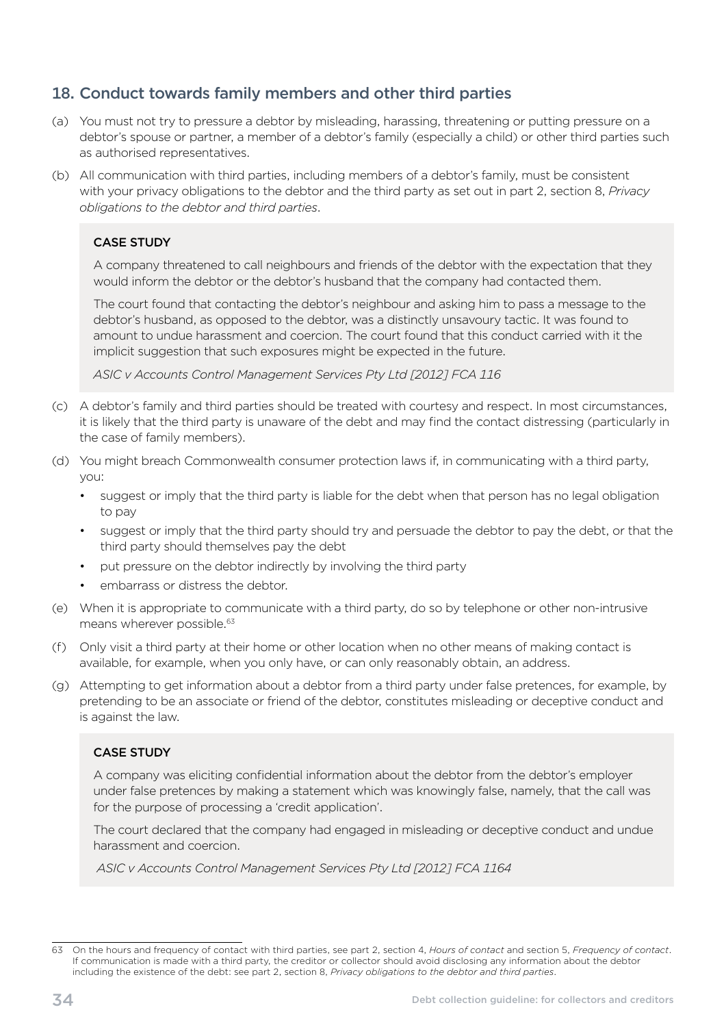# <span id="page-37-0"></span>18. Conduct towards family members and other third parties

- (a) You must not try to pressure a debtor by misleading, harassing, threatening or putting pressure on a debtor's spouse or partner, a member of a debtor's family (especially a child) or other third parties such as authorised representatives.
- (b) All communication with third parties, including members of a debtor's family, must be consistent with your privacy obligations to the debtor and the third party as set out in part 2, section 8, *Privacy obligations to the debtor and third parties*.

#### CASE STUDY

A company threatened to call neighbours and friends of the debtor with the expectation that they would inform the debtor or the debtor's husband that the company had contacted them.

The court found that contacting the debtor's neighbour and asking him to pass a message to the debtor's husband, as opposed to the debtor, was a distinctly unsavoury tactic. It was found to amount to undue harassment and coercion. The court found that this conduct carried with it the implicit suggestion that such exposures might be expected in the future.

*ASIC v Accounts Control Management Services Pty Ltd [2012] FCA 116* 

- (c) A debtor's family and third parties should be treated with courtesy and respect. In most circumstances, it is likely that the third party is unaware of the debt and may find the contact distressing (particularly in the case of family members).
- (d) You might breach Commonwealth consumer protection laws if, in communicating with a third party, you:
	- suggest or imply that the third party is liable for the debt when that person has no legal obligation to pay
	- suggest or imply that the third party should try and persuade the debtor to pay the debt, or that the third party should themselves pay the debt
	- put pressure on the debtor indirectly by involving the third party
	- embarrass or distress the debtor.
- (e) When it is appropriate to communicate with a third party, do so by telephone or other non-intrusive means wherever possible.<sup>63</sup>
- (f) Only visit a third party at their home or other location when no other means of making contact is available, for example, when you only have, or can only reasonably obtain, an address.
- (g) Attempting to get information about a debtor from a third party under false pretences, for example, by pretending to be an associate or friend of the debtor, constitutes misleading or deceptive conduct and is against the law.

#### CASE STUDY

A company was eliciting confidential information about the debtor from the debtor's employer under false pretences by making a statement which was knowingly false, namely, that the call was for the purpose of processing a 'credit application'.

The court declared that the company had engaged in misleading or deceptive conduct and undue harassment and coercion.

 *ASIC v Accounts Control Management Services Pty Ltd [2012] FCA 1164* 

<sup>63</sup> On the hours and frequency of contact with third parties, see part 2, section 4, *Hours of contact* and section 5, *Frequency of contact*. If communication is made with a third party, the creditor or collector should avoid disclosing any information about the debtor including the existence of the debt: see part 2, section 8, *Privacy obligations to the debtor and third parties*.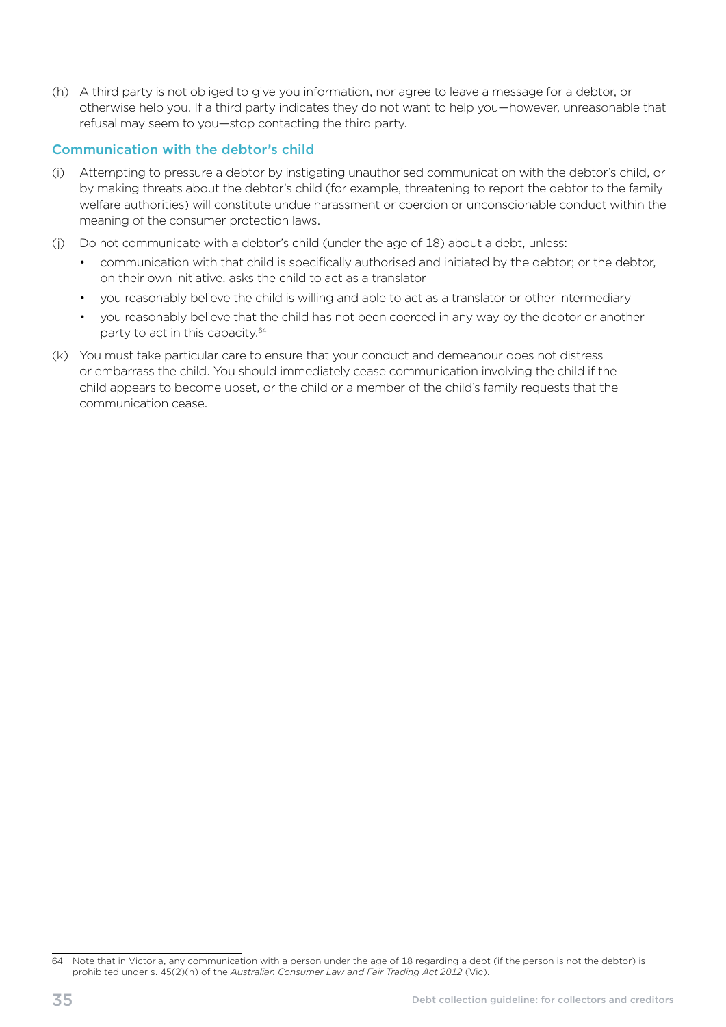(h) A third party is not obliged to give you information, nor agree to leave a message for a debtor, or otherwise help you. If a third party indicates they do not want to help you—however, unreasonable that refusal may seem to you—stop contacting the third party.

#### Communication with the debtor's child

- (i) Attempting to pressure a debtor by instigating unauthorised communication with the debtor's child, or by making threats about the debtor's child (for example, threatening to report the debtor to the family welfare authorities) will constitute undue harassment or coercion or unconscionable conduct within the meaning of the consumer protection laws.
- $(j)$  Do not communicate with a debtor's child (under the age of 18) about a debt, unless:
	- communication with that child is specifically authorised and initiated by the debtor; or the debtor, on their own initiative, asks the child to act as a translator
	- you reasonably believe the child is willing and able to act as a translator or other intermediary
	- vou reasonably believe that the child has not been coerced in any way by the debtor or another party to act in this capacity.64
- (k) You must take particular care to ensure that your conduct and demeanour does not distress or embarrass the child. You should immediately cease communication involving the child if the child appears to become upset, or the child or a member of the child's family requests that the communication cease.

<sup>64</sup> Note that in Victoria, any communication with a person under the age of 18 regarding a debt (if the person is not the debtor) is prohibited under s. 45(2)(n) of the *Australian Consumer Law and Fair Trading Act 2012* (Vic).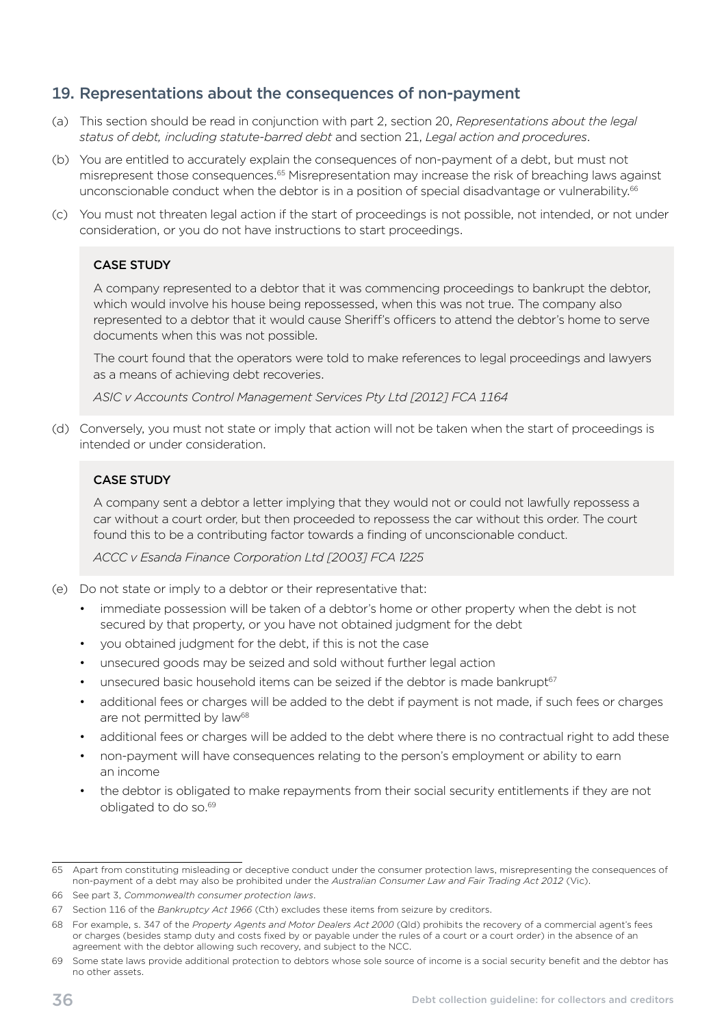### <span id="page-39-0"></span>19. Representations about the consequences of non-payment

- (a) This section should be read in conjunction with part 2, section 20, *Representations about the legal status of debt, including statute-barred debt* and section 21, *Legal action and procedures*.
- (b) You are entitled to accurately explain the consequences of non-payment of a debt, but must not misrepresent those consequences.<sup>65</sup> Misrepresentation may increase the risk of breaching laws against unconscionable conduct when the debtor is in a position of special disadvantage or vulnerability.<sup>66</sup>
- (c) You must not threaten legal action if the start of proceedings is not possible, not intended, or not under consideration, or you do not have instructions to start proceedings.

#### CASE STUDY

A company represented to a debtor that it was commencing proceedings to bankrupt the debtor, which would involve his house being repossessed, when this was not true. The company also represented to a debtor that it would cause Sheriff's officers to attend the debtor's home to serve documents when this was not possible.

The court found that the operators were told to make references to legal proceedings and lawyers as a means of achieving debt recoveries.

*ASIC v Accounts Control Management Services Pty Ltd [2012] FCA 1164* 

(d) Conversely, you must not state or imply that action will not be taken when the start of proceedings is intended or under consideration.

#### CASE STUDY

A company sent a debtor a letter implying that they would not or could not lawfully repossess a car without a court order, but then proceeded to repossess the car without this order. The court found this to be a contributing factor towards a finding of unconscionable conduct.

*ACCC v Esanda Finance Corporation Ltd [2003] FCA 1225* 

- (e) Do not state or imply to a debtor or their representative that:
	- immediate possession will be taken of a debtor's home or other property when the debt is not secured by that property, or you have not obtained judgment for the debt
	- you obtained judgment for the debt, if this is not the case
	- unsecured goods may be seized and sold without further legal action
	- unsecured basic household items can be seized if the debtor is made bankrupt67
	- additional fees or charges will be added to the debt if payment is not made, if such fees or charges are not permitted by law<sup>68</sup>
	- additional fees or charges will be added to the debt where there is no contractual right to add these
	- non-payment will have consequences relating to the person's employment or ability to earn an income
	- the debtor is obligated to make repayments from their social security entitlements if they are not obligated to do so.69

<sup>65</sup> Apart from constituting misleading or deceptive conduct under the consumer protection laws, misrepresenting the consequences of non-payment of a debt may also be prohibited under the *Australian Consumer Law and Fair Trading Act 2012* (Vic).

<sup>66</sup> See part 3, *Commonwealth consumer protection laws*.

<sup>67</sup> Section 116 of the *Bankruptcy Act 1966* (Cth) excludes these items from seizure by creditors.

<sup>68</sup> For example, s. 347 of the *Property Agents and Motor Dealers Act 2000* (Qld) prohibits the recovery of a commercial agent's fees or charges (besides stamp duty and costs fixed by or payable under the rules of a court or a court order) in the absence of an agreement with the debtor allowing such recovery, and subject to the NCC.

<sup>69</sup> Some state laws provide additional protection to debtors whose sole source of income is a social security benefit and the debtor has no other assets.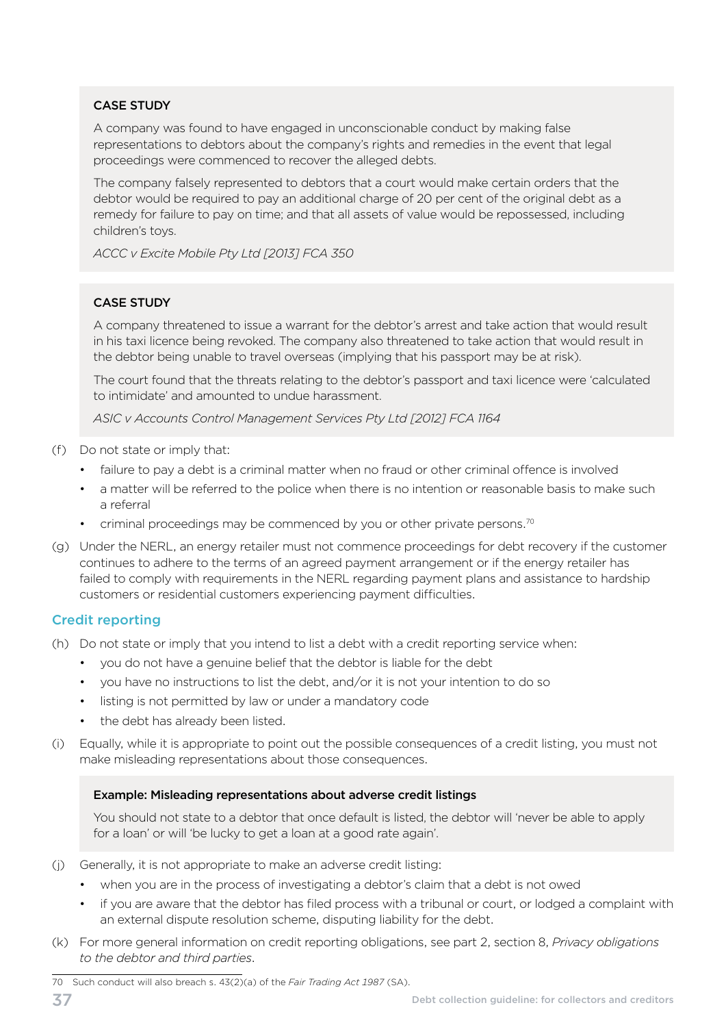A company was found to have engaged in unconscionable conduct by making false representations to debtors about the company's rights and remedies in the event that legal proceedings were commenced to recover the alleged debts.

The company falsely represented to debtors that a court would make certain orders that the debtor would be required to pay an additional charge of 20 per cent of the original debt as a remedy for failure to pay on time; and that all assets of value would be repossessed, including children's toys.

*ACCC v Excite Mobile Pty Ltd [2013] FCA 350* 

#### CASE STUDY

A company threatened to issue a warrant for the debtor's arrest and take action that would result in his taxi licence being revoked. The company also threatened to take action that would result in the debtor being unable to travel overseas (implying that his passport may be at risk).

The court found that the threats relating to the debtor's passport and taxi licence were 'calculated to intimidate' and amounted to undue harassment.

*ASIC v Accounts Control Management Services Pty Ltd [2012] FCA 1164* 

- (f) Do not state or imply that:
	- failure to pay a debt is a criminal matter when no fraud or other criminal offence is involved
	- a matter will be referred to the police when there is no intention or reasonable basis to make such a referral
	- criminal proceedings may be commenced by you or other private persons.<sup>70</sup>
- (g) Under the NERL, an energy retailer must not commence proceedings for debt recovery if the customer continues to adhere to the terms of an agreed payment arrangement or if the energy retailer has failed to comply with requirements in the NERL regarding payment plans and assistance to hardship customers or residential customers experiencing payment difficulties.

#### Credit reporting

- (h) Do not state or imply that you intend to list a debt with a credit reporting service when:
	- you do not have a genuine belief that the debtor is liable for the debt
	- you have no instructions to list the debt, and/or it is not your intention to do so
	- listing is not permitted by law or under a mandatory code
	- the debt has already been listed.
- (i) Equally, while it is appropriate to point out the possible consequences of a credit listing, you must not make misleading representations about those consequences.

#### Example: Misleading representations about adverse credit listings

You should not state to a debtor that once default is listed, the debtor will 'never be able to apply for a loan' or will 'be lucky to get a loan at a good rate again'.

- (i) Generally, it is not appropriate to make an adverse credit listing:
	- when you are in the process of investigating a debtor's claim that a debt is not owed
	- if you are aware that the debtor has filed process with a tribunal or court, or lodged a complaint with an external dispute resolution scheme, disputing liability for the debt.
- (k) For more general information on credit reporting obligations, see part 2, section 8, *Privacy obligations to the debtor and third parties*.

<sup>70</sup> Such conduct will also breach s. 43(2)(a) of the *Fair Trading Act 1987* (SA).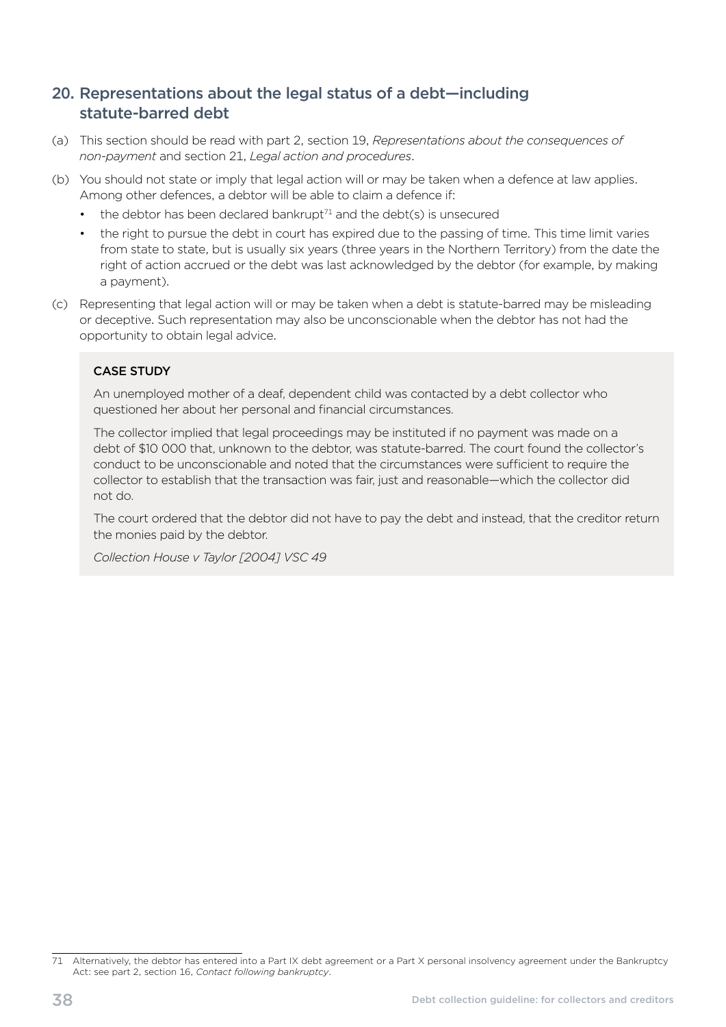# <span id="page-41-0"></span>20. Representations about the legal status of a debt—including statute-barred debt

- (a) This section should be read with part 2, section 19, *Representations about the consequences of non-payment* and section 21, *Legal action and procedures*.
- (b) You should not state or imply that legal action will or may be taken when a defence at law applies. Among other defences, a debtor will be able to claim a defence if:
	- the debtor has been declared bankrupt<sup>71</sup> and the debt(s) is unsecured
	- the right to pursue the debt in court has expired due to the passing of time. This time limit varies from state to state, but is usually six years (three years in the Northern Territory) from the date the right of action accrued or the debt was last acknowledged by the debtor (for example, by making a payment).
- (c) Representing that legal action will or may be taken when a debt is statute-barred may be misleading or deceptive. Such representation may also be unconscionable when the debtor has not had the opportunity to obtain legal advice.

#### CASE STUDY

An unemployed mother of a deaf, dependent child was contacted by a debt collector who questioned her about her personal and financial circumstances.

The collector implied that legal proceedings may be instituted if no payment was made on a debt of \$10 000 that, unknown to the debtor, was statute-barred. The court found the collector's conduct to be unconscionable and noted that the circumstances were sufficient to require the collector to establish that the transaction was fair, just and reasonable—which the collector did not do.

The court ordered that the debtor did not have to pay the debt and instead, that the creditor return the monies paid by the debtor.

*Collection House v Taylor [2004] VSC 49* 

<sup>71</sup> Alternatively, the debtor has entered into a Part IX debt agreement or a Part X personal insolvency agreement under the Bankruptcy Act: see part 2, section 16, *Contact following bankruptcy*.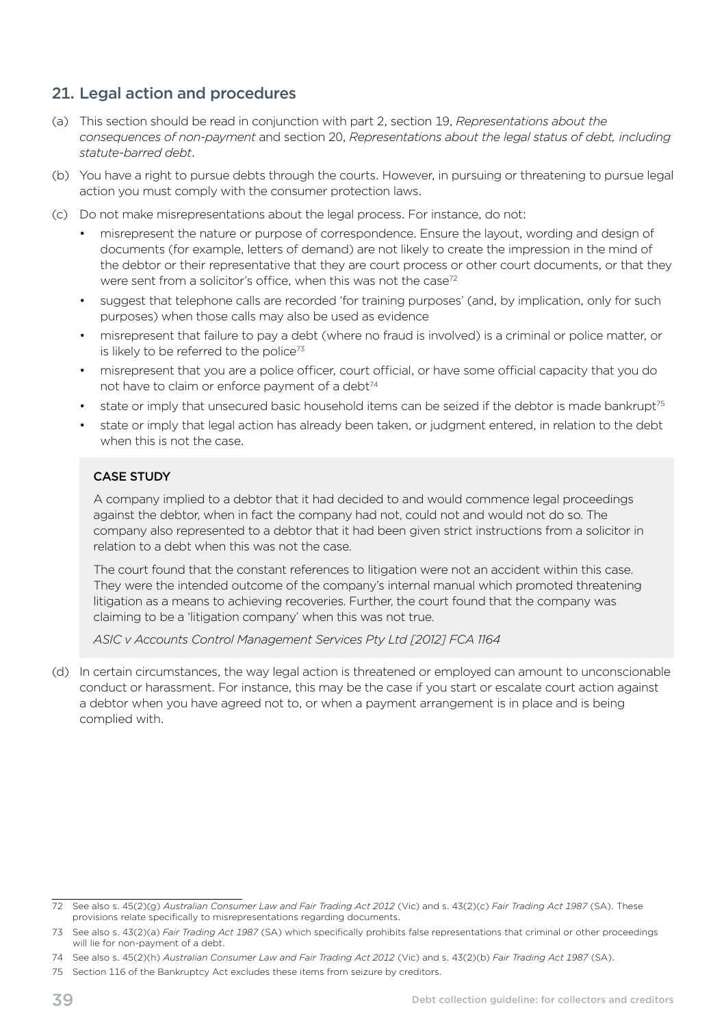# <span id="page-42-0"></span>21. Legal action and procedures

- (a) This section should be read in conjunction with part 2, section 19, *Representations about the consequences of non-payment* and section 20, *Representations about the legal status of debt, including statute-barred debt*.
- (b) You have a right to pursue debts through the courts. However, in pursuing or threatening to pursue legal action you must comply with the consumer protection laws.
- (c) Do not make misrepresentations about the legal process. For instance, do not:
	- misrepresent the nature or purpose of correspondence. Ensure the layout, wording and design of documents (for example, letters of demand) are not likely to create the impression in the mind of the debtor or their representative that they are court process or other court documents, or that they were sent from a solicitor's office, when this was not the case<sup>72</sup>
	- suggest that telephone calls are recorded 'for training purposes' (and, by implication, only for such purposes) when those calls may also be used as evidence
	- misrepresent that failure to pay a debt (where no fraud is involved) is a criminal or police matter, or is likely to be referred to the police $73$
	- misrepresent that you are a police officer, court official, or have some official capacity that you do not have to claim or enforce payment of a debt<sup>74</sup>
	- state or imply that unsecured basic household items can be seized if the debtor is made bankrupt<sup>75</sup>
	- state or imply that legal action has already been taken, or judgment entered, in relation to the debt when this is not the case.

#### CASE STUDY

A company implied to a debtor that it had decided to and would commence legal proceedings against the debtor, when in fact the company had not, could not and would not do so. The company also represented to a debtor that it had been given strict instructions from a solicitor in relation to a debt when this was not the case.

The court found that the constant references to litigation were not an accident within this case. They were the intended outcome of the company's internal manual which promoted threatening litigation as a means to achieving recoveries. Further, the court found that the company was claiming to be a 'litigation company' when this was not true.

*ASIC v Accounts Control Management Services Pty Ltd [2012] FCA 1164* 

(d) In certain circumstances, the way legal action is threatened or employed can amount to unconscionable conduct or harassment. For instance, this may be the case if you start or escalate court action against a debtor when you have agreed not to, or when a payment arrangement is in place and is being complied with.

<sup>72</sup> See also s. 45(2)(g) *Australian Consumer Law and Fair Trading Act 2012* (Vic) and s. 43(2)(c) *Fair Trading Act 1987* (SA). These provisions relate specifically to misrepresentations regarding documents.

<sup>73</sup> See also s. 43(2)(a) *Fair Trading Act 1987* (SA) which specifically prohibits false representations that criminal or other proceedings will lie for non-payment of a debt.

<sup>74</sup> See also s. 45(2)(h) *Australian Consumer Law and Fair Trading Act 2012* (Vic) and s. 43(2)(b) *Fair Trading Act 1987* (SA).

<sup>75</sup> Section 116 of the Bankruptcy Act excludes these items from seizure by creditors.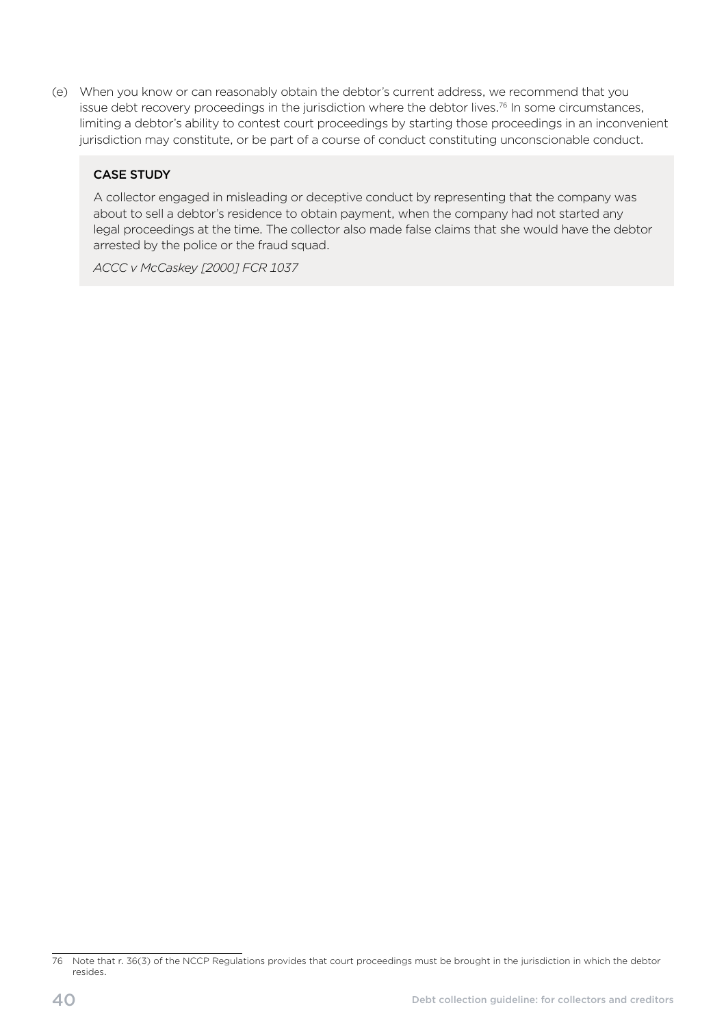(e) When you know or can reasonably obtain the debtor's current address, we recommend that you issue debt recovery proceedings in the jurisdiction where the debtor lives.<sup>76</sup> In some circumstances, limiting a debtor's ability to contest court proceedings by starting those proceedings in an inconvenient jurisdiction may constitute, or be part of a course of conduct constituting unconscionable conduct.

#### CASE STUDY

A collector engaged in misleading or deceptive conduct by representing that the company was about to sell a debtor's residence to obtain payment, when the company had not started any legal proceedings at the time. The collector also made false claims that she would have the debtor arrested by the police or the fraud squad.

*ACCC v McCaskey [2000] FCR 1037* 

<sup>76</sup> Note that r. 36(3) of the NCCP Regulations provides that court proceedings must be brought in the jurisdiction in which the debtor resides.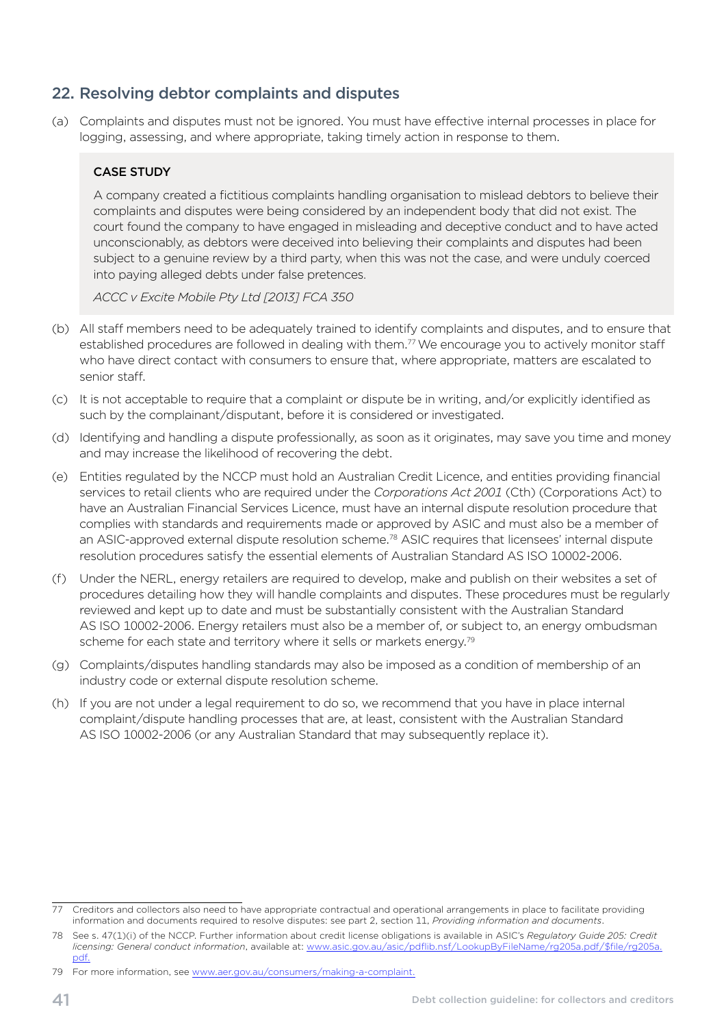# <span id="page-44-0"></span>22. Resolving debtor complaints and disputes

(a) Complaints and disputes must not be ignored. You must have effective internal processes in place for logging, assessing, and where appropriate, taking timely action in response to them.

#### CASE STUDY

A company created a fictitious complaints handling organisation to mislead debtors to believe their complaints and disputes were being considered by an independent body that did not exist. The court found the company to have engaged in misleading and deceptive conduct and to have acted unconscionably, as debtors were deceived into believing their complaints and disputes had been subject to a genuine review by a third party, when this was not the case, and were unduly coerced into paying alleged debts under false pretences.

*ACCC v Excite Mobile Pty Ltd [2013] FCA 350* 

- (b) All staff members need to be adequately trained to identify complaints and disputes, and to ensure that established procedures are followed in dealing with them.<sup>77</sup> We encourage you to actively monitor staff who have direct contact with consumers to ensure that, where appropriate, matters are escalated to senior staff.
- (c) It is not acceptable to require that a complaint or dispute be in writing, and/or explicitly identified as such by the complainant/disputant, before it is considered or investigated.
- (d) Identifying and handling a dispute professionally, as soon as it originates, may save you time and money and may increase the likelihood of recovering the debt.
- (e) Entities regulated by the NCCP must hold an Australian Credit Licence, and entities providing financial services to retail clients who are required under the *Corporations Act 2001* (Cth) (Corporations Act) to have an Australian Financial Services Licence, must have an internal dispute resolution procedure that complies with standards and requirements made or approved by ASIC and must also be a member of an ASIC-approved external dispute resolution scheme.<sup>78</sup> ASIC requires that licensees' internal dispute resolution procedures satisfy the essential elements of Australian Standard AS ISO 10002-2006.
- (f) Under the NERL, energy retailers are required to develop, make and publish on their websites a set of procedures detailing how they will handle complaints and disputes. These procedures must be regularly reviewed and kept up to date and must be substantially consistent with the Australian Standard AS ISO 10002-2006. Energy retailers must also be a member of, or subject to, an energy ombudsman scheme for each state and territory where it sells or markets energy.<sup>79</sup>
- (g) Complaints/disputes handling standards may also be imposed as a condition of membership of an industry code or external dispute resolution scheme.
- (h) If you are not under a legal requirement to do so, we recommend that you have in place internal complaint/dispute handling processes that are, at least, consistent with the Australian Standard AS ISO 10002-2006 (or any Australian Standard that may subsequently replace it).

Creditors and collectors also need to have appropriate contractual and operational arrangements in place to facilitate providing information and documents required to resolve disputes: see part 2, section 11, *Providing information and documents*.

<sup>78</sup> See s. 47(1)(i) of the NCCP. Further information about credit license obligations is available in ASIC's *Regulatory Guide 205: Credit licensing: General conduct information*, available at: [www.asic.gov.au/asic/pdflib.nsf/LookupByFileName/rg205a.pdf/\\$file/rg205a.](http://www.asic.gov.au/asic/pdflib.nsf/LookupByFileName/rg205a.pdf/$file/rg205a.pdf) [pdf.](http://www.asic.gov.au/asic/pdflib.nsf/LookupByFileName/rg205a.pdf/$file/rg205a.pdf)

<sup>79</sup> For more information, see [www.aer.gov.au/consumers/making-a-complaint](http://www.aer.gov.au/consumers/making-a-complaint).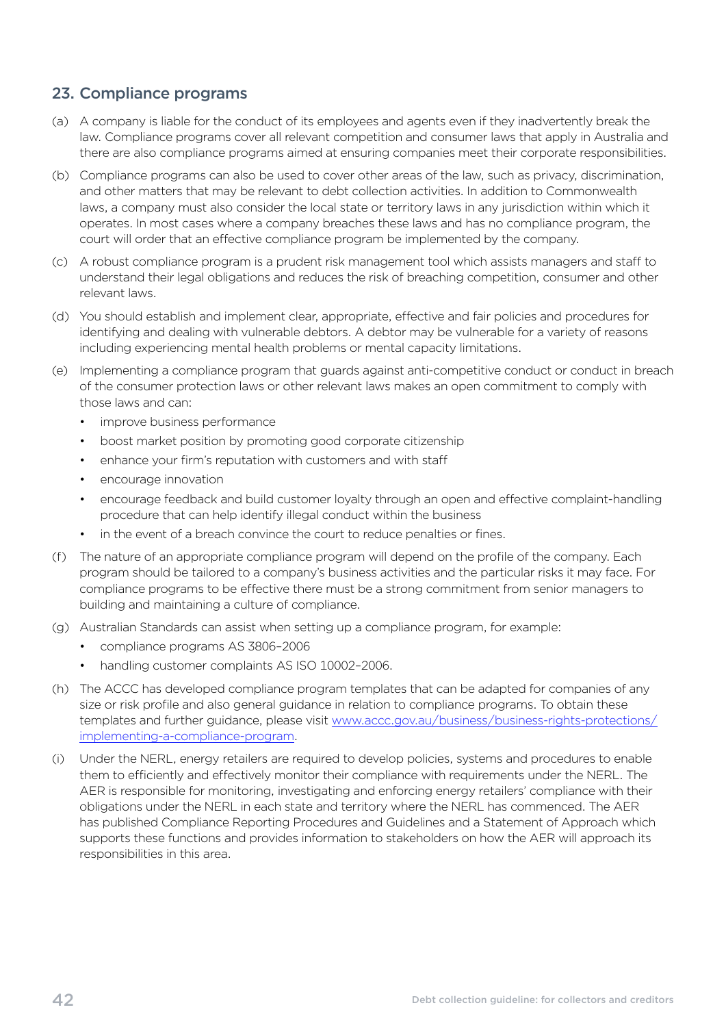# <span id="page-45-0"></span>23. Compliance programs

- (a) A company is liable for the conduct of its employees and agents even if they inadvertently break the law. Compliance programs cover all relevant competition and consumer laws that apply in Australia and there are also compliance programs aimed at ensuring companies meet their corporate responsibilities.
- (b) Compliance programs can also be used to cover other areas of the law, such as privacy, discrimination, and other matters that may be relevant to debt collection activities. In addition to Commonwealth laws, a company must also consider the local state or territory laws in any jurisdiction within which it operates. In most cases where a company breaches these laws and has no compliance program, the court will order that an effective compliance program be implemented by the company.
- (c) A robust compliance program is a prudent risk management tool which assists managers and staff to understand their legal obligations and reduces the risk of breaching competition, consumer and other relevant laws.
- (d) You should establish and implement clear, appropriate, effective and fair policies and procedures for identifying and dealing with vulnerable debtors. A debtor may be vulnerable for a variety of reasons including experiencing mental health problems or mental capacity limitations.
- (e) Implementing a compliance program that guards against anti-competitive conduct or conduct in breach of the consumer protection laws or other relevant laws makes an open commitment to comply with those laws and can:
	- improve business performance
	- boost market position by promoting good corporate citizenship
	- enhance your firm's reputation with customers and with staff
	- encourage innovation
	- encourage feedback and build customer loyalty through an open and effective complaint-handling procedure that can help identify illegal conduct within the business
	- in the event of a breach convince the court to reduce penalties or fines.
- (f) The nature of an appropriate compliance program will depend on the profile of the company. Each program should be tailored to a company's business activities and the particular risks it may face. For compliance programs to be effective there must be a strong commitment from senior managers to building and maintaining a culture of compliance.
- (g) Australian Standards can assist when setting up a compliance program, for example:
	- compliance programs AS 3806-2006
	- handling customer complaints AS ISO 10002-2006.
- (h) The ACCC has developed compliance program templates that can be adapted for companies of any size or risk profile and also general guidance in relation to compliance programs. To obtain these templates and further guidance, please visit [www.accc.gov.au/business/business-rights-protections/](http://www.accc.gov.au/business/business-rights-protections/implementing-a-compliance-program) [implementing-a-compliance-program](http://www.accc.gov.au/business/business-rights-protections/implementing-a-compliance-program).
- (i) Under the NERL, energy retailers are required to develop policies, systems and procedures to enable them to efficiently and effectively monitor their compliance with requirements under the NERL. The AER is responsible for monitoring, investigating and enforcing energy retailers' compliance with their obligations under the NERL in each state and territory where the NERL has commenced. The AER has published Compliance Reporting Procedures and Guidelines and a Statement of Approach which supports these functions and provides information to stakeholders on how the AER will approach its responsibilities in this area.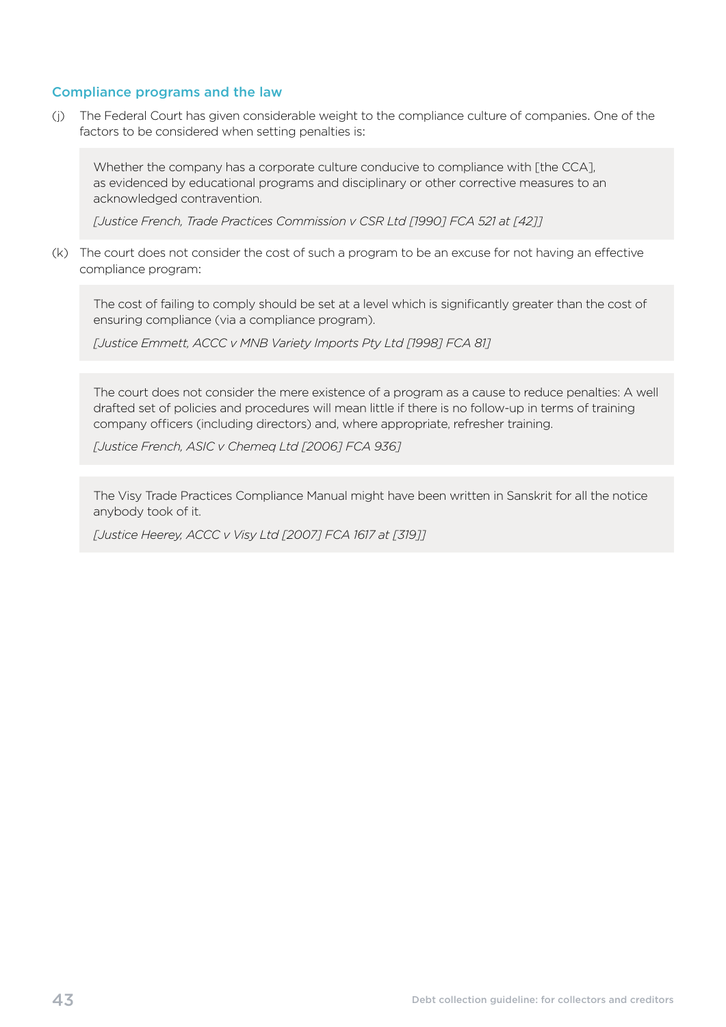#### Compliance programs and the law

(j) The Federal Court has given considerable weight to the compliance culture of companies. One of the factors to be considered when setting penalties is:

Whether the company has a corporate culture conducive to compliance with [the CCA], as evidenced by educational programs and disciplinary or other corrective measures to an acknowledged contravention.

*[Justice French, Trade Practices Commission v CSR Ltd [1990] FCA 521 at [42]]* 

(k) The court does not consider the cost of such a program to be an excuse for not having an effective compliance program:

The cost of failing to comply should be set at a level which is significantly greater than the cost of ensuring compliance (via a compliance program).

*[Justice Emmett, ACCC v MNB Variety Imports Pty Ltd [1998] FCA 81]* 

The court does not consider the mere existence of a program as a cause to reduce penalties: A well drafted set of policies and procedures will mean little if there is no follow-up in terms of training company officers (including directors) and, where appropriate, refresher training.

*[Justice French, ASIC v Chemeq Ltd [2006] FCA 936]* 

The Visy Trade Practices Compliance Manual might have been written in Sanskrit for all the notice anybody took of it.

*[Justice Heerey, ACCC v Visy Ltd [2007] FCA 1617 at [319]]*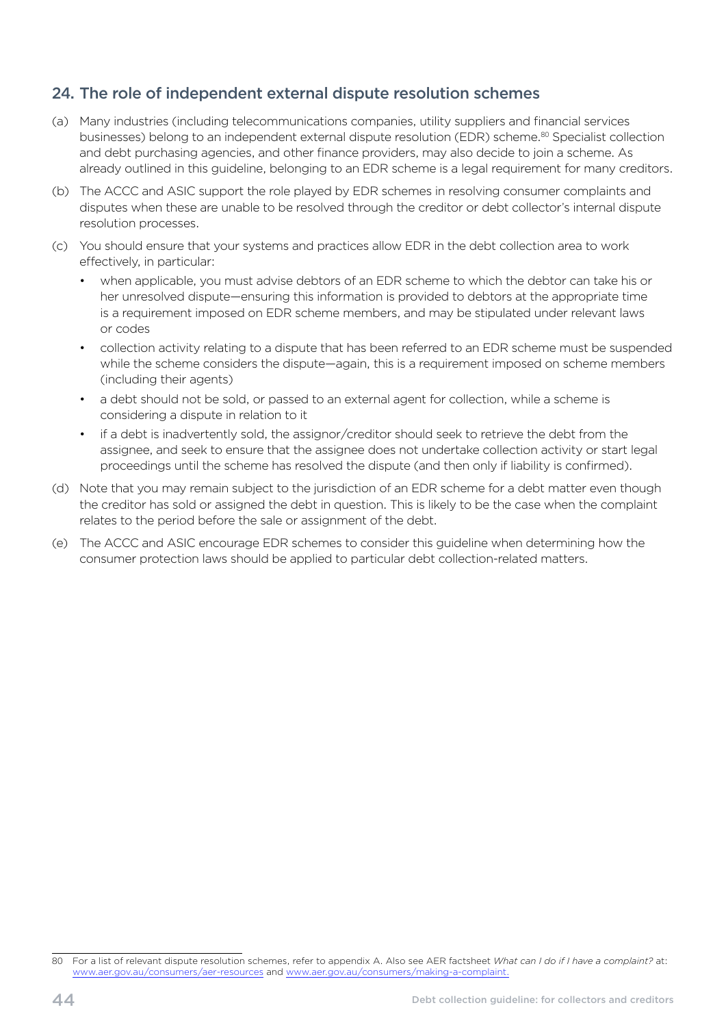# <span id="page-47-0"></span>24. The role of independent external dispute resolution schemes

- (a) Many industries (including telecommunications companies, utility suppliers and financial services businesses) belong to an independent external dispute resolution (EDR) scheme.80 Specialist collection and debt purchasing agencies, and other finance providers, may also decide to join a scheme. As already outlined in this guideline, belonging to an EDR scheme is a legal requirement for many creditors.
- (b) The ACCC and ASIC support the role played by EDR schemes in resolving consumer complaints and disputes when these are unable to be resolved through the creditor or debt collector's internal dispute resolution processes.
- (c) You should ensure that your systems and practices allow EDR in the debt collection area to work effectively, in particular:
	- when applicable, you must advise debtors of an EDR scheme to which the debtor can take his or her unresolved dispute—ensuring this information is provided to debtors at the appropriate time is a requirement imposed on EDR scheme members, and may be stipulated under relevant laws or codes
	- collection activity relating to a dispute that has been referred to an EDR scheme must be suspended while the scheme considers the dispute—again, this is a requirement imposed on scheme members (including their agents)
	- a debt should not be sold, or passed to an external agent for collection, while a scheme is considering a dispute in relation to it
	- if a debt is inadvertently sold, the assignor/creditor should seek to retrieve the debt from the assignee, and seek to ensure that the assignee does not undertake collection activity or start legal proceedings until the scheme has resolved the dispute (and then only if liability is confirmed).
- (d) Note that you may remain subject to the jurisdiction of an EDR scheme for a debt matter even though the creditor has sold or assigned the debt in question. This is likely to be the case when the complaint relates to the period before the sale or assignment of the debt.
- (e) The ACCC and ASIC encourage EDR schemes to consider this guideline when determining how the consumer protection laws should be applied to particular debt collection-related matters.

<sup>80</sup> For a list of relevant dispute resolution schemes, refer to appendix A. Also see AER factsheet *What can I do if I have a complaint?* at: [www.aer.gov.au/consumers/aer-resources](http://www.aer.gov.au/consumers/aer-resources) and [www.aer.gov.au/consumers/making-a-complaint](http://www.aer.gov.au/consumers/making-a-complaint).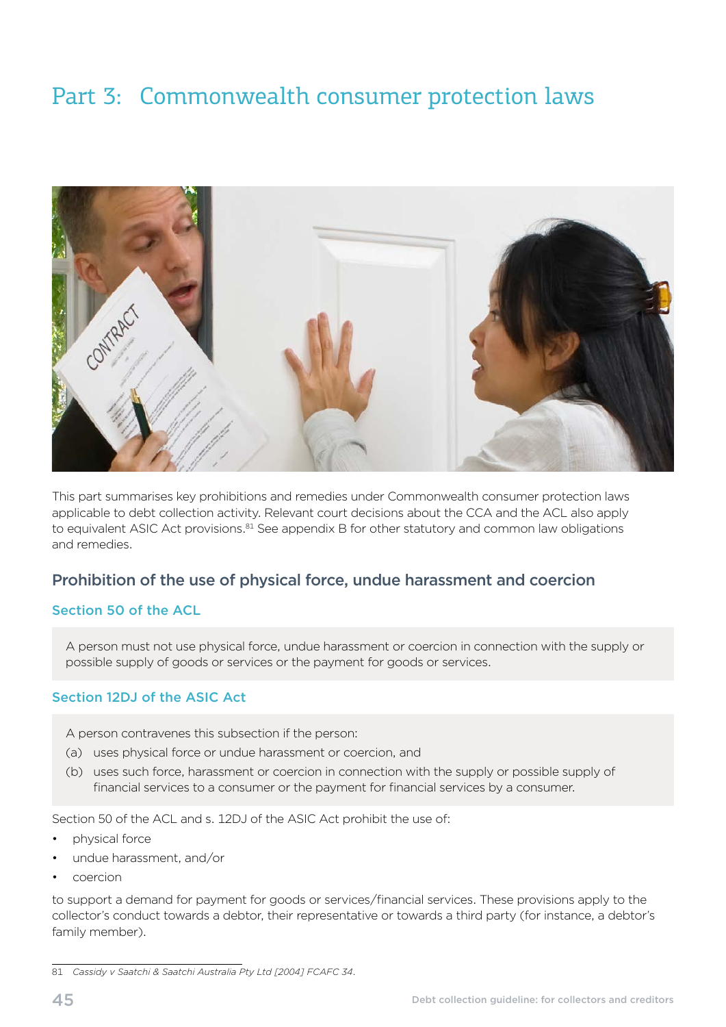# <span id="page-48-0"></span>Part 3: Commonwealth consumer protection laws



This part summarises key prohibitions and remedies under Commonwealth consumer protection laws applicable to debt collection activity. Relevant court decisions about the CCA and the ACL also apply to equivalent ASIC Act provisions.<sup>81</sup> See appendix B for other statutory and common law obligations and remedies.

# Prohibition of the use of physical force, undue harassment and coercion

#### Section 50 of the ACL

A person must not use physical force, undue harassment or coercion in connection with the supply or possible supply of goods or services or the payment for goods or services.

#### Section 12DJ of the ASIC Act

A person contravenes this subsection if the person:

- (a) uses physical force or undue harassment or coercion, and
- (b) uses such force, harassment or coercion in connection with the supply or possible supply of financial services to a consumer or the payment for financial services by a consumer.

Section 50 of the ACL and s. 12DJ of the ASIC Act prohibit the use of:

- physical force
- undue harassment, and/or
- coercion

to support a demand for payment for goods or services/financial services. These provisions apply to the collector's conduct towards a debtor, their representative or towards a third party (for instance, a debtor's family member).

<sup>81</sup> *Cassidy v Saatchi & Saatchi Australia Pty Ltd [2004] FCAFC 34*.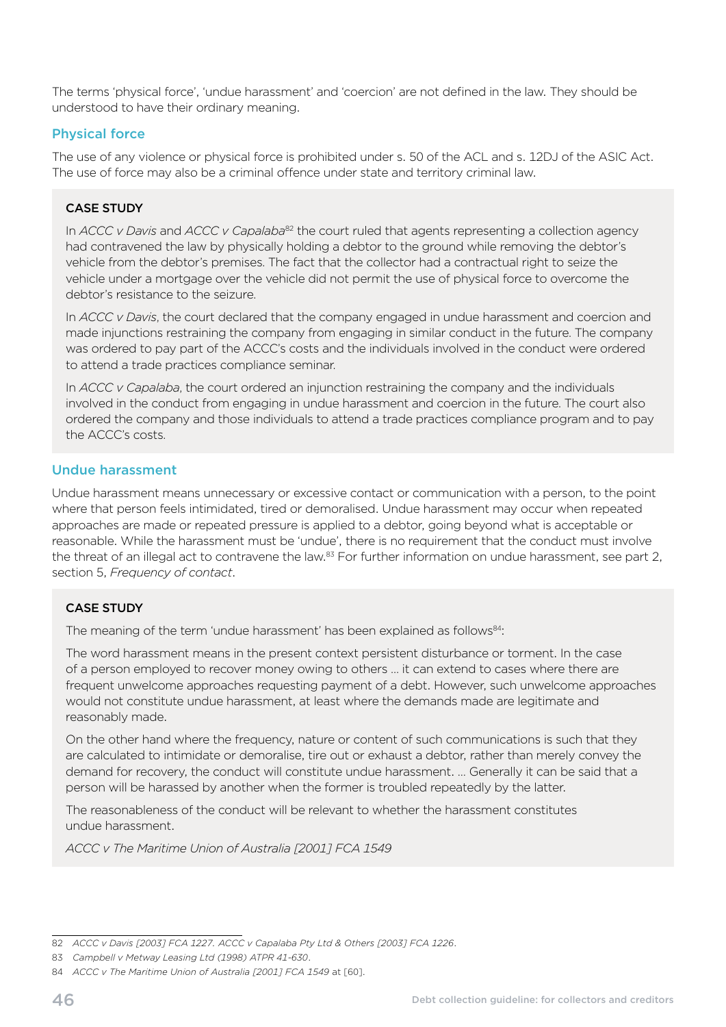The terms 'physical force', 'undue harassment' and 'coercion' are not defined in the law. They should be understood to have their ordinary meaning.

#### Physical force

The use of any violence or physical force is prohibited under s. 50 of the ACL and s. 12DJ of the ASIC Act. The use of force may also be a criminal offence under state and territory criminal law.

#### CASE STUDY

In *ACCC v Davis* and *ACCC v Capalaba*<sup>82</sup> the court ruled that agents representing a collection agency had contravened the law by physically holding a debtor to the ground while removing the debtor's vehicle from the debtor's premises. The fact that the collector had a contractual right to seize the vehicle under a mortgage over the vehicle did not permit the use of physical force to overcome the debtor's resistance to the seizure.

In *ACCC v Davis*, the court declared that the company engaged in undue harassment and coercion and made injunctions restraining the company from engaging in similar conduct in the future. The company was ordered to pay part of the ACCC's costs and the individuals involved in the conduct were ordered to attend a trade practices compliance seminar.

In *ACCC v Capalaba*, the court ordered an injunction restraining the company and the individuals involved in the conduct from engaging in undue harassment and coercion in the future. The court also ordered the company and those individuals to attend a trade practices compliance program and to pay the ACCC's costs.

#### Undue harassment

Undue harassment means unnecessary or excessive contact or communication with a person, to the point where that person feels intimidated, tired or demoralised. Undue harassment may occur when repeated approaches are made or repeated pressure is applied to a debtor, going beyond what is acceptable or reasonable. While the harassment must be 'undue', there is no requirement that the conduct must involve the threat of an illegal act to contravene the law.<sup>83</sup> For further information on undue harassment, see part 2, section 5, *Frequency of contact*.

#### CASE STUDY

The meaning of the term 'undue harassment' has been explained as follows<sup>84</sup>:

The word harassment means in the present context persistent disturbance or torment. In the case of a person employed to recover money owing to others … it can extend to cases where there are frequent unwelcome approaches requesting payment of a debt. However, such unwelcome approaches would not constitute undue harassment, at least where the demands made are legitimate and reasonably made.

On the other hand where the frequency, nature or content of such communications is such that they are calculated to intimidate or demoralise, tire out or exhaust a debtor, rather than merely convey the demand for recovery, the conduct will constitute undue harassment. … Generally it can be said that a person will be harassed by another when the former is troubled repeatedly by the latter.

The reasonableness of the conduct will be relevant to whether the harassment constitutes undue harassment.

*ACCC v The Maritime Union of Australia [2001] FCA 1549* 

<sup>82</sup> *ACCC v Davis [2003] FCA 1227. ACCC v Capalaba Pty Ltd & Others [2003] FCA 1226*.

<sup>83</sup> *Campbell v Metway Leasing Ltd (1998) ATPR 41-630*.

<sup>84</sup> *ACCC v The Maritime Union of Australia [2001] FCA 1549 at [60]*.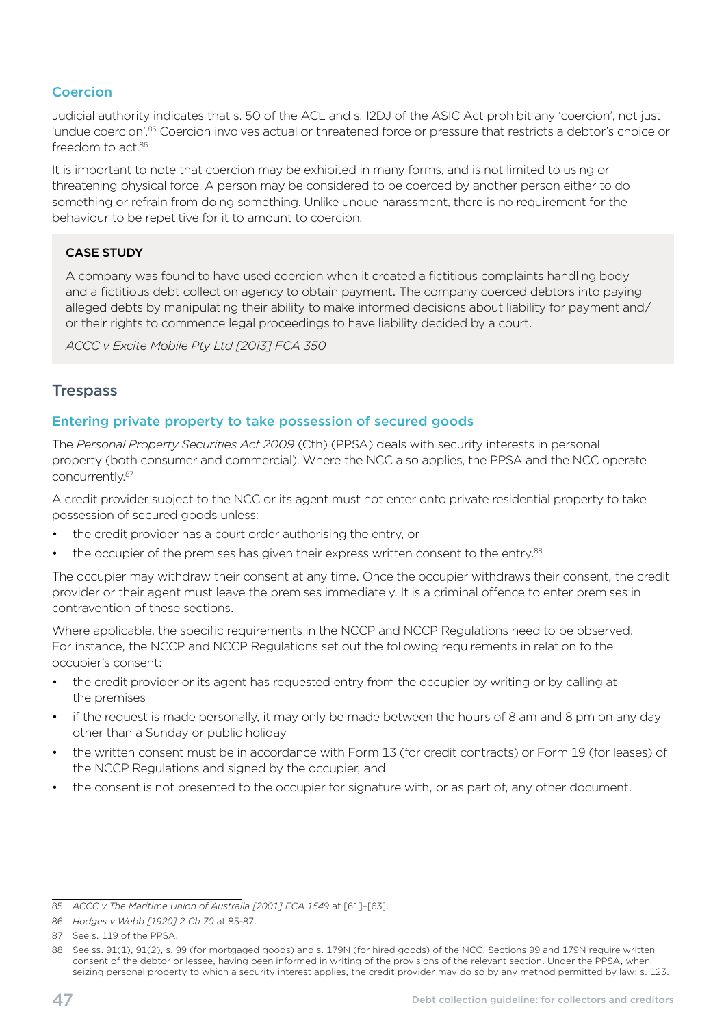#### <span id="page-50-0"></span>Coercion

Judicial authority indicates that s. 50 of the ACL and s. 12DJ of the ASIC Act prohibit any 'coercion', not just 'undue coercion'.<sup>85</sup> Coercion involves actual or threatened force or pressure that restricts a debtor's choice or freedom to act 86

It is important to note that coercion may be exhibited in many forms, and is not limited to using or threatening physical force. A person may be considered to be coerced by another person either to do something or refrain from doing something. Unlike undue harassment, there is no requirement for the behaviour to be repetitive for it to amount to coercion.

#### CASE STUDY

A company was found to have used coercion when it created a fictitious complaints handling body and a fictitious debt collection agency to obtain payment. The company coerced debtors into paying alleged debts by manipulating their ability to make informed decisions about liability for payment and/ or their rights to commence legal proceedings to have liability decided by a court.

*ACCC v Excite Mobile Pty Ltd [2013] FCA 350* 

#### **Trespass**

#### Entering private property to take possession of secured goods

The *Personal Property Securities Act 2009* (Cth) (PPSA) deals with security interests in personal property (both consumer and commercial). Where the NCC also applies, the PPSA and the NCC operate concurrently.87

A credit provider subject to the NCC or its agent must not enter onto private residential property to take possession of secured goods unless:

- the credit provider has a court order authorising the entry, or
- the occupier of the premises has given their express written consent to the entry.<sup>88</sup>

The occupier may withdraw their consent at any time. Once the occupier withdraws their consent, the credit provider or their agent must leave the premises immediately. It is a criminal offence to enter premises in contravention of these sections.

Where applicable, the specific requirements in the NCCP and NCCP Regulations need to be observed. For instance, the NCCP and NCCP Regulations set out the following requirements in relation to the occupier's consent:

- the credit provider or its agent has requested entry from the occupier by writing or by calling at the premises
- if the request is made personally, it may only be made between the hours of 8 am and 8 pm on any day other than a Sunday or public holiday
- the written consent must be in accordance with Form 13 (for credit contracts) or Form 19 (for leases) of the NCCP Regulations and signed by the occupier, and
- the consent is not presented to the occupier for signature with, or as part of, any other document.

<sup>85</sup> *ACCC v The Maritime Union of Australia [2001] FCA 1549* at [61]–[63].

<sup>86</sup> *Hodges v Webb [1920] 2 Ch 70* at 85-87.

<sup>87</sup> See s. 119 of the PPSA.

<sup>88</sup> See ss. 91(1), 91(2), s. 99 (for mortgaged goods) and s. 179N (for hired goods) of the NCC. Sections 99 and 179N require written consent of the debtor or lessee, having been informed in writing of the provisions of the relevant section. Under the PPSA, when seizing personal property to which a security interest applies, the credit provider may do so by any method permitted by law: s. 123.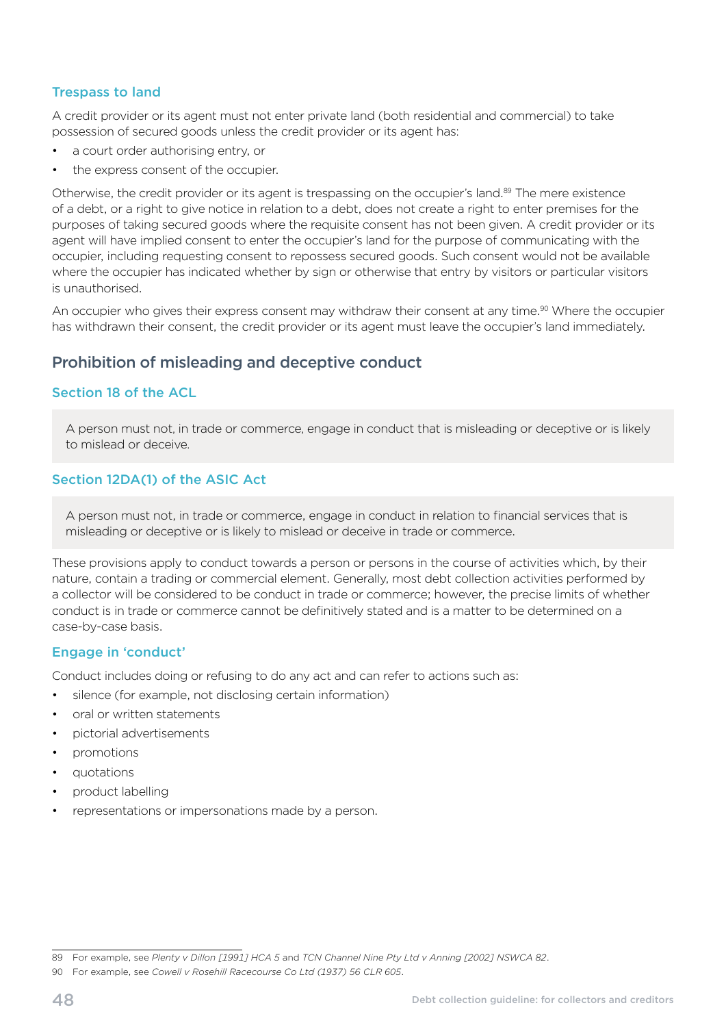#### <span id="page-51-0"></span>Trespass to land

A credit provider or its agent must not enter private land (both residential and commercial) to take possession of secured goods unless the credit provider or its agent has:

- a court order authorising entry, or
- the express consent of the occupier.

Otherwise, the credit provider or its agent is trespassing on the occupier's land.<sup>89</sup> The mere existence of a debt, or a right to give notice in relation to a debt, does not create a right to enter premises for the purposes of taking secured goods where the requisite consent has not been given. A credit provider or its agent will have implied consent to enter the occupier's land for the purpose of communicating with the occupier, including requesting consent to repossess secured goods. Such consent would not be available where the occupier has indicated whether by sign or otherwise that entry by visitors or particular visitors is unauthorised.

An occupier who gives their express consent may withdraw their consent at any time.<sup>90</sup> Where the occupier has withdrawn their consent, the credit provider or its agent must leave the occupier's land immediately.

# Prohibition of misleading and deceptive conduct

#### Section 18 of the ACL

A person must not, in trade or commerce, engage in conduct that is misleading or deceptive or is likely to mislead or deceive.

#### Section 12DA(1) of the ASIC Act

A person must not, in trade or commerce, engage in conduct in relation to financial services that is misleading or deceptive or is likely to mislead or deceive in trade or commerce.

These provisions apply to conduct towards a person or persons in the course of activities which, by their nature, contain a trading or commercial element. Generally, most debt collection activities performed by a collector will be considered to be conduct in trade or commerce; however, the precise limits of whether conduct is in trade or commerce cannot be definitively stated and is a matter to be determined on a case-by-case basis.

#### Engage in 'conduct'

Conduct includes doing or refusing to do any act and can refer to actions such as:

- silence (for example, not disclosing certain information)
- oral or written statements
- pictorial advertisements
- promotions
- quotations
- product labelling
- representations or impersonations made by a person.

<sup>89</sup> For example, see *Plenty v Dillon [1991] HCA 5* and *TCN Channel Nine Pty Ltd v Anning [2002] NSWCA 82*.

<sup>90</sup> For example, see *Cowell v Rosehill Racecourse Co Ltd (1937) 56 CLR 605*.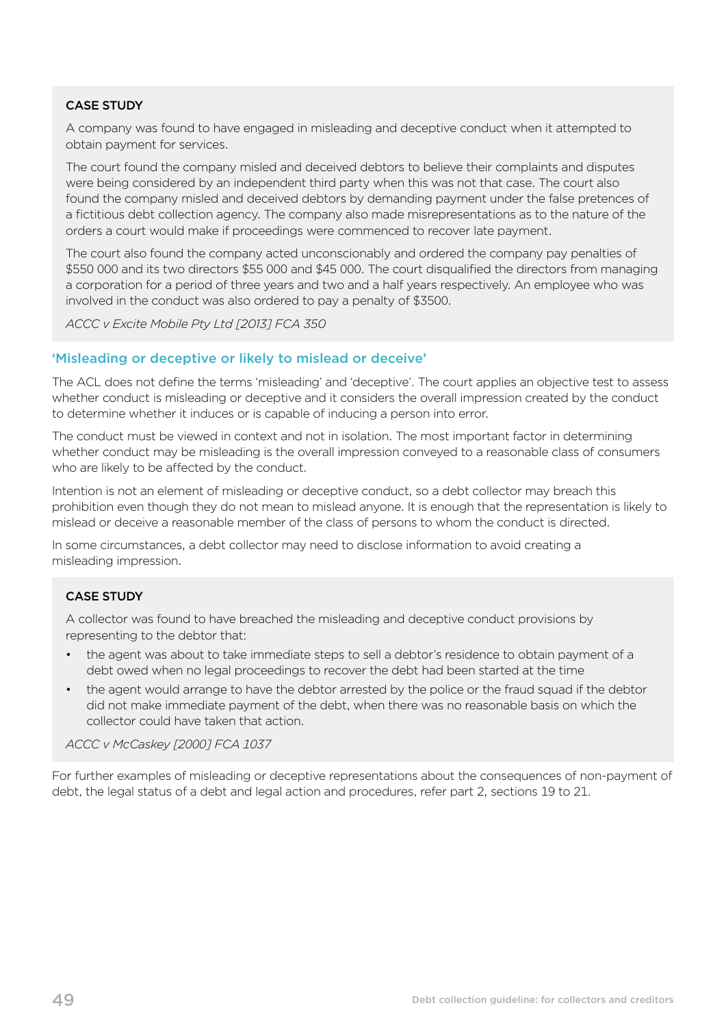A company was found to have engaged in misleading and deceptive conduct when it attempted to obtain payment for services.

The court found the company misled and deceived debtors to believe their complaints and disputes were being considered by an independent third party when this was not that case. The court also found the company misled and deceived debtors by demanding payment under the false pretences of a fictitious debt collection agency. The company also made misrepresentations as to the nature of the orders a court would make if proceedings were commenced to recover late payment.

The court also found the company acted unconscionably and ordered the company pay penalties of \$550 000 and its two directors \$55 000 and \$45 000. The court disqualified the directors from managing a corporation for a period of three years and two and a half years respectively. An employee who was involved in the conduct was also ordered to pay a penalty of \$3500.

*ACCC v Excite Mobile Pty Ltd [2013] FCA 350* 

#### 'Misleading or deceptive or likely to mislead or deceive'

The ACL does not define the terms 'misleading' and 'deceptive'. The court applies an objective test to assess whether conduct is misleading or deceptive and it considers the overall impression created by the conduct to determine whether it induces or is capable of inducing a person into error.

The conduct must be viewed in context and not in isolation. The most important factor in determining whether conduct may be misleading is the overall impression conveyed to a reasonable class of consumers who are likely to be affected by the conduct.

Intention is not an element of misleading or deceptive conduct, so a debt collector may breach this prohibition even though they do not mean to mislead anyone. It is enough that the representation is likely to mislead or deceive a reasonable member of the class of persons to whom the conduct is directed.

In some circumstances, a debt collector may need to disclose information to avoid creating a misleading impression.

#### CASE STUDY

A collector was found to have breached the misleading and deceptive conduct provisions by representing to the debtor that:

- the agent was about to take immediate steps to sell a debtor's residence to obtain payment of a debt owed when no legal proceedings to recover the debt had been started at the time
- the agent would arrange to have the debtor arrested by the police or the fraud squad if the debtor did not make immediate payment of the debt, when there was no reasonable basis on which the collector could have taken that action.

*ACCC v McCaskey [2000] FCA 1037* 

For further examples of misleading or deceptive representations about the consequences of non-payment of debt, the legal status of a debt and legal action and procedures, refer part 2, sections 19 to 21.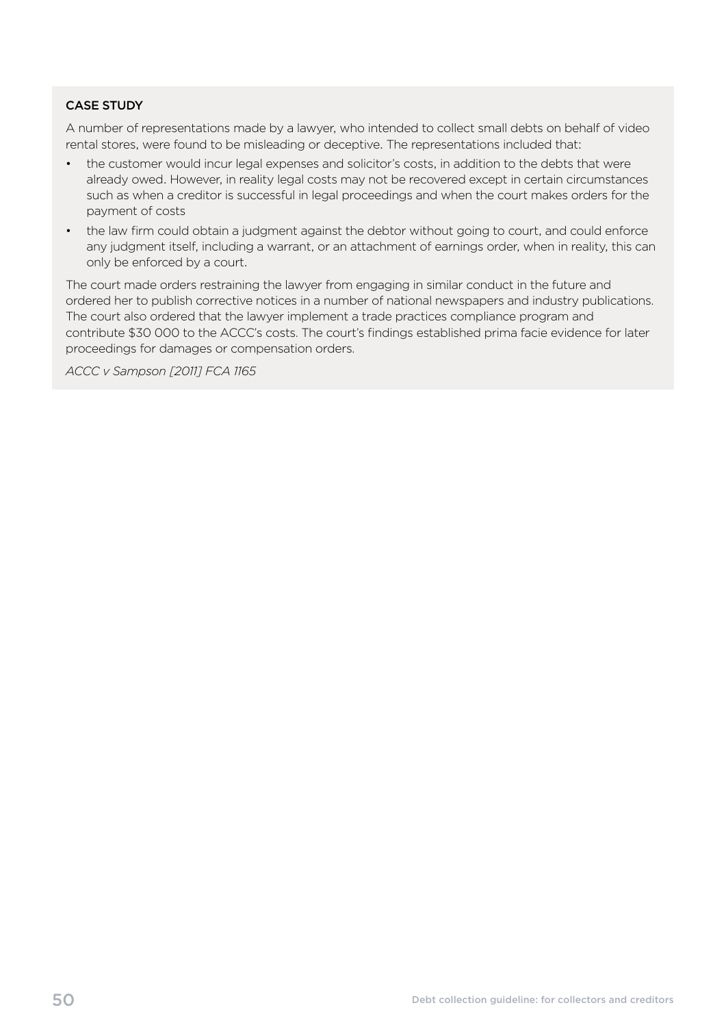A number of representations made by a lawyer, who intended to collect small debts on behalf of video rental stores, were found to be misleading or deceptive. The representations included that:

- the customer would incur legal expenses and solicitor's costs, in addition to the debts that were already owed. However, in reality legal costs may not be recovered except in certain circumstances such as when a creditor is successful in legal proceedings and when the court makes orders for the payment of costs
- the law firm could obtain a judgment against the debtor without going to court, and could enforce any judgment itself, including a warrant, or an attachment of earnings order, when in reality, this can only be enforced by a court.

The court made orders restraining the lawyer from engaging in similar conduct in the future and ordered her to publish corrective notices in a number of national newspapers and industry publications. The court also ordered that the lawyer implement a trade practices compliance program and contribute \$30 000 to the ACCC's costs. The court's findings established prima facie evidence for later proceedings for damages or compensation orders.

*ACCC v Sampson [2011] FCA 1165*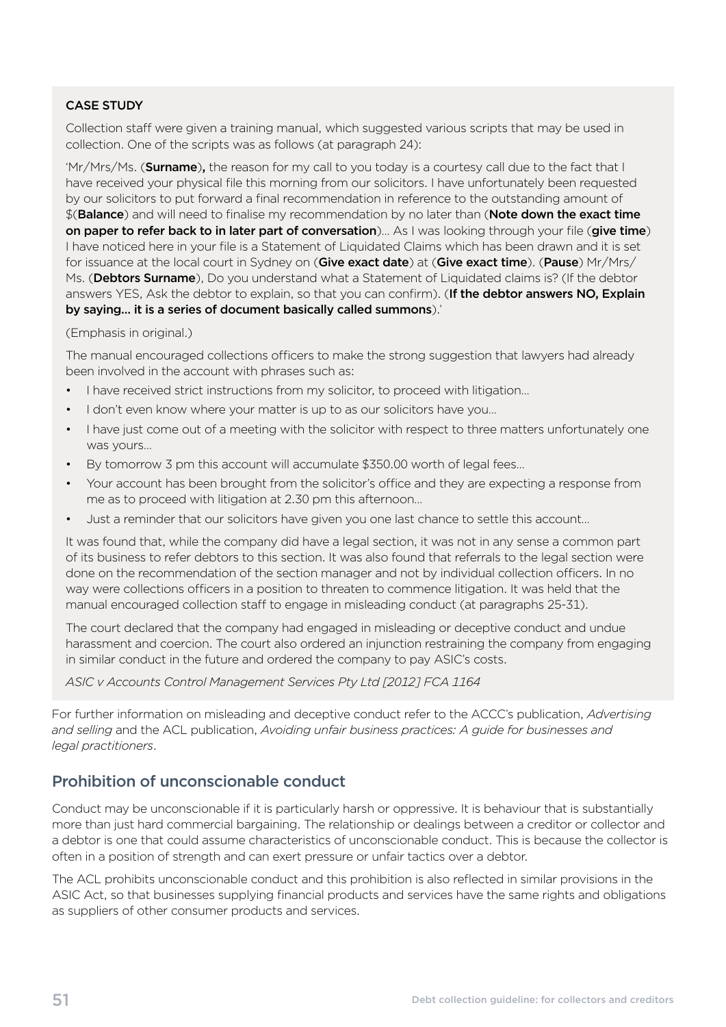<span id="page-54-0"></span>Collection staff were given a training manual, which suggested various scripts that may be used in collection. One of the scripts was as follows (at paragraph 24):

'Mr/Mrs/Ms. (Surname), the reason for my call to you today is a courtesy call due to the fact that I have received your physical file this morning from our solicitors. I have unfortunately been requested by our solicitors to put forward a final recommendation in reference to the outstanding amount of \$(Balance) and will need to finalise my recommendation by no later than (Note down the exact time on paper to refer back to in later part of conversation)... As I was looking through your file (give time) I have noticed here in your file is a Statement of Liquidated Claims which has been drawn and it is set for issuance at the local court in Sydney on (Give exact date) at (Give exact time). (Pause) Mr/Mrs/ Ms. (Debtors Surname), Do you understand what a Statement of Liquidated claims is? (If the debtor answers YES, Ask the debtor to explain, so that you can confirm). (If the debtor answers NO, Explain by saying… it is a series of document basically called summons).'

#### (Emphasis in original.)

The manual encouraged collections officers to make the strong suggestion that lawyers had already been involved in the account with phrases such as:

- I have received strict instructions from my solicitor, to proceed with litigation...
- I don't even know where your matter is up to as our solicitors have you...
- I have just come out of a meeting with the solicitor with respect to three matters unfortunately one was yours…
- By tomorrow 3 pm this account will accumulate \$350.00 worth of legal fees...
- Your account has been brought from the solicitor's office and they are expecting a response from me as to proceed with litigation at 2.30 pm this afternoon…
- Just a reminder that our solicitors have given you one last chance to settle this account...

It was found that, while the company did have a legal section, it was not in any sense a common part of its business to refer debtors to this section. It was also found that referrals to the legal section were done on the recommendation of the section manager and not by individual collection officers. In no way were collections officers in a position to threaten to commence litigation. It was held that the manual encouraged collection staff to engage in misleading conduct (at paragraphs 25-31).

The court declared that the company had engaged in misleading or deceptive conduct and undue harassment and coercion. The court also ordered an injunction restraining the company from engaging in similar conduct in the future and ordered the company to pay ASIC's costs.

*ASIC v Accounts Control Management Services Pty Ltd [2012] FCA 1164* 

For further information on misleading and deceptive conduct refer to the ACCC's publication, *Advertising and selling* and the ACL publication, *Avoiding unfair business practices: A guide for businesses and legal practitioners*.

## Prohibition of unconscionable conduct

Conduct may be unconscionable if it is particularly harsh or oppressive. It is behaviour that is substantially more than just hard commercial bargaining. The relationship or dealings between a creditor or collector and a debtor is one that could assume characteristics of unconscionable conduct. This is because the collector is often in a position of strength and can exert pressure or unfair tactics over a debtor.

The ACL prohibits unconscionable conduct and this prohibition is also reflected in similar provisions in the ASIC Act, so that businesses supplying financial products and services have the same rights and obligations as suppliers of other consumer products and services.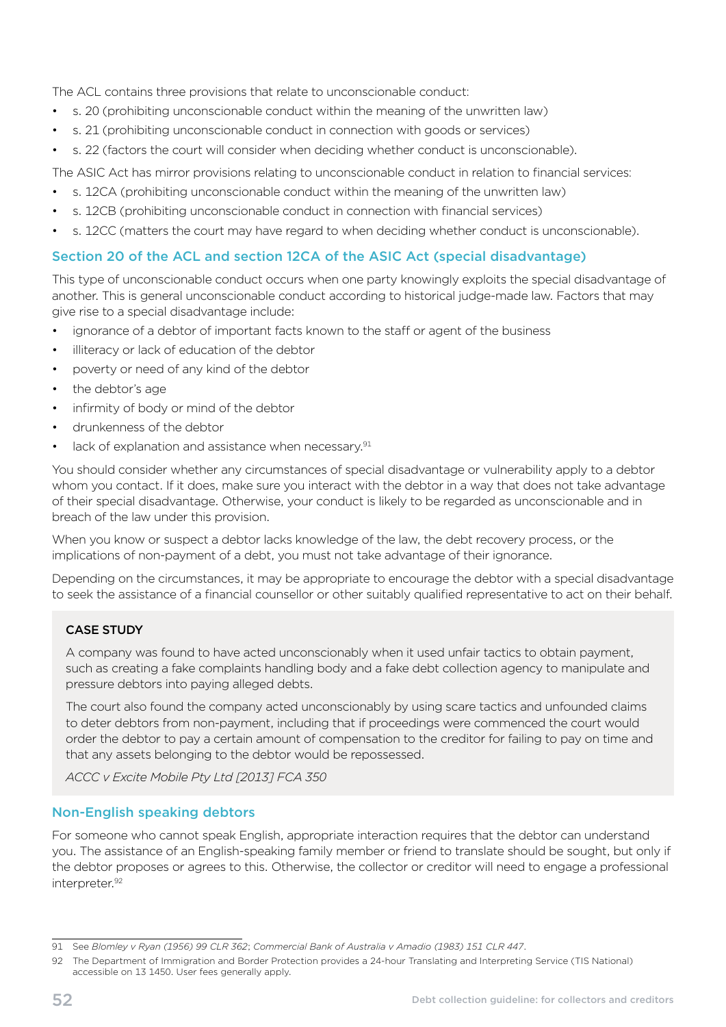The ACL contains three provisions that relate to unconscionable conduct:

- s. 20 (prohibiting unconscionable conduct within the meaning of the unwritten law)
- s. 21 (prohibiting unconscionable conduct in connection with goods or services)
- s. 22 (factors the court will consider when deciding whether conduct is unconscionable).

The ASIC Act has mirror provisions relating to unconscionable conduct in relation to financial services:

- s. 12CA (prohibiting unconscionable conduct within the meaning of the unwritten law)
- s. 12CB (prohibiting unconscionable conduct in connection with financial services)
- s. 12CC (matters the court may have regard to when deciding whether conduct is unconscionable).

#### Section 20 of the ACL and section 12CA of the ASIC Act (special disadvantage)

This type of unconscionable conduct occurs when one party knowingly exploits the special disadvantage of another. This is general unconscionable conduct according to historical judge-made law. Factors that may give rise to a special disadvantage include:

- ignorance of a debtor of important facts known to the staff or agent of the business
- illiteracy or lack of education of the debtor
- poverty or need of any kind of the debtor
- the debtor's age
- infirmity of body or mind of the debtor
- drunkenness of the debtor
- $\bullet$  lack of explanation and assistance when necessary. $91$

You should consider whether any circumstances of special disadvantage or vulnerability apply to a debtor whom you contact. If it does, make sure you interact with the debtor in a way that does not take advantage of their special disadvantage. Otherwise, your conduct is likely to be regarded as unconscionable and in breach of the law under this provision.

When you know or suspect a debtor lacks knowledge of the law, the debt recovery process, or the implications of non-payment of a debt, you must not take advantage of their ignorance.

Depending on the circumstances, it may be appropriate to encourage the debtor with a special disadvantage to seek the assistance of a financial counsellor or other suitably qualified representative to act on their behalf.

#### CASE STUDY

A company was found to have acted unconscionably when it used unfair tactics to obtain payment, such as creating a fake complaints handling body and a fake debt collection agency to manipulate and pressure debtors into paying alleged debts.

The court also found the company acted unconscionably by using scare tactics and unfounded claims to deter debtors from non-payment, including that if proceedings were commenced the court would order the debtor to pay a certain amount of compensation to the creditor for failing to pay on time and that any assets belonging to the debtor would be repossessed.

*ACCC v Excite Mobile Pty Ltd [2013] FCA 350* 

#### Non-English speaking debtors

For someone who cannot speak English, appropriate interaction requires that the debtor can understand you. The assistance of an English-speaking family member or friend to translate should be sought, but only if the debtor proposes or agrees to this. Otherwise, the collector or creditor will need to engage a professional interpreter.<sup>92</sup>

<sup>91</sup> See *Blomley v Ryan (1956) 99 CLR 362*; *Commercial Bank of Australia v Amadio (1983) 151 CLR 447*.

<sup>92</sup> The Department of Immigration and Border Protection provides a 24-hour Translating and Interpreting Service (TIS National) accessible on 13 1450. User fees generally apply.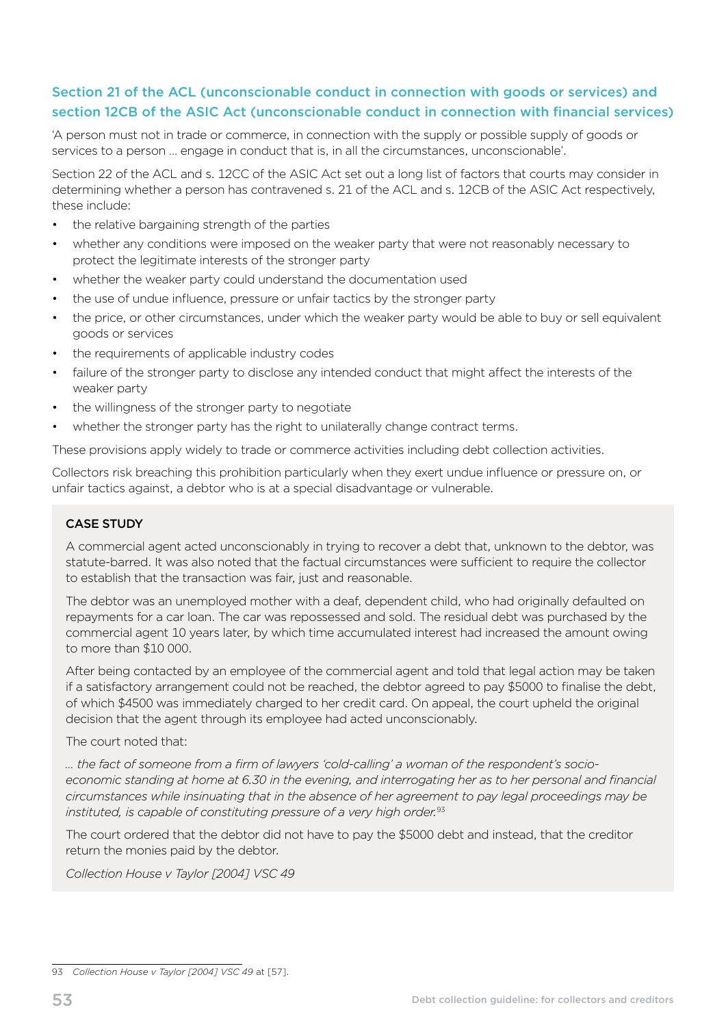### Section 21 of the ACL (unconscionable conduct in connection with goods or services) and section 12CB of the ASIC Act (unconscionable conduct in connection with financial services)

'A person must not in trade or commerce, in connection with the supply or possible supply of goods or services to a person … engage in conduct that is, in all the circumstances, unconscionable'.

Section 22 of the ACL and s. 12CC of the ASIC Act set out a long list of factors that courts may consider in determining whether a person has contravened s. 21 of the ACL and s. 12CB of the ASIC Act respectively, these include:

- the relative bargaining strength of the parties
- whether any conditions were imposed on the weaker party that were not reasonably necessary to protect the legitimate interests of the stronger party
- whether the weaker party could understand the documentation used
- the use of undue influence, pressure or unfair tactics by the stronger party
- the price, or other circumstances, under which the weaker party would be able to buy or sell equivalent goods or services
- the requirements of applicable industry codes
- failure of the stronger party to disclose any intended conduct that might affect the interests of the weaker party
- the willingness of the stronger party to negotiate
- whether the stronger party has the right to unilaterally change contract terms.

These provisions apply widely to trade or commerce activities including debt collection activities.

Collectors risk breaching this prohibition particularly when they exert undue influence or pressure on, or unfair tactics against, a debtor who is at a special disadvantage or vulnerable.

#### CASE STUDY

A commercial agent acted unconscionably in trying to recover a debt that, unknown to the debtor, was statute-barred. It was also noted that the factual circumstances were sufficient to require the collector to establish that the transaction was fair, just and reasonable.

The debtor was an unemployed mother with a deaf, dependent child, who had originally defaulted on repayments for a car loan. The car was repossessed and sold. The residual debt was purchased by the commercial agent 10 years later, by which time accumulated interest had increased the amount owing to more than \$10 000.

After being contacted by an employee of the commercial agent and told that legal action may be taken if a satisfactory arrangement could not be reached, the debtor agreed to pay \$5000 to finalise the debt, of which \$4500 was immediately charged to her credit card. On appeal, the court upheld the original decision that the agent through its employee had acted unconscionably.

#### The court noted that:

*… the fact of someone from a firm of lawyers 'cold-calling' a woman of the respondent's socioeconomic standing at home at 6.30 in the evening, and interrogating her as to her personal and financial circumstances while insinuating that in the absence of her agreement to pay legal proceedings may be instituted, is capable of constituting pressure of a very high order.*<sup>93</sup>

The court ordered that the debtor did not have to pay the \$5000 debt and instead, that the creditor return the monies paid by the debtor.

*Collection House v Taylor [2004] VSC 49* 

<sup>93</sup> Collection House v Taylor [2004] VSC 49 at [57].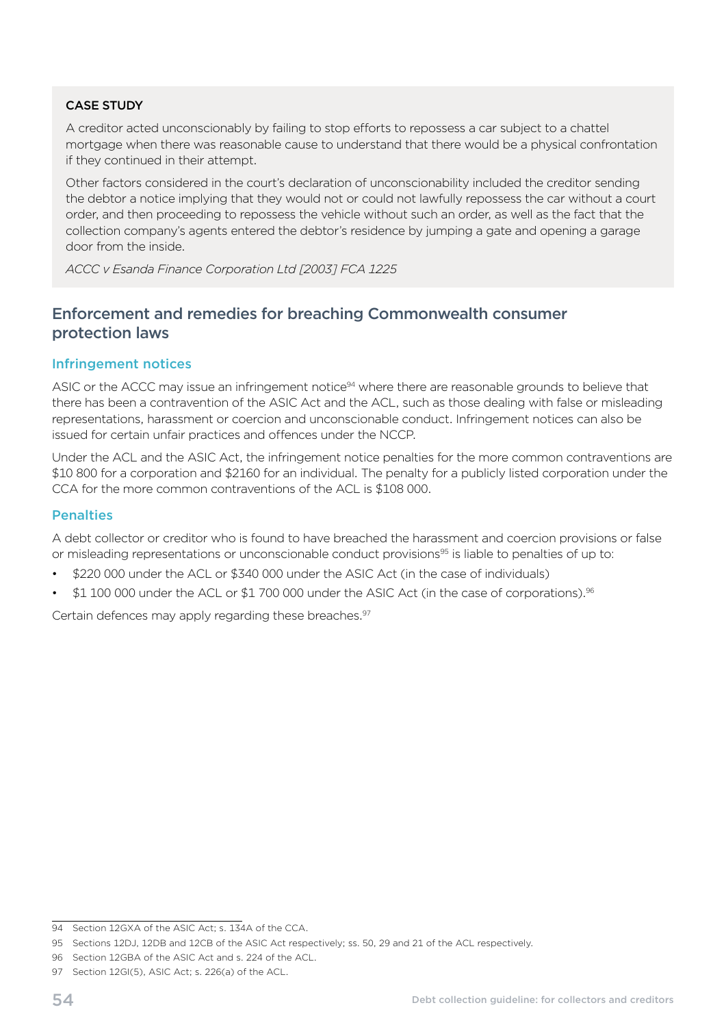<span id="page-57-0"></span>A creditor acted unconscionably by failing to stop efforts to repossess a car subject to a chattel mortgage when there was reasonable cause to understand that there would be a physical confrontation if they continued in their attempt.

Other factors considered in the court's declaration of unconscionability included the creditor sending the debtor a notice implying that they would not or could not lawfully repossess the car without a court order, and then proceeding to repossess the vehicle without such an order, as well as the fact that the collection company's agents entered the debtor's residence by jumping a gate and opening a garage door from the inside.

*ACCC v Esanda Finance Corporation Ltd [2003] FCA 1225* 

# Enforcement and remedies for breaching Commonwealth consumer protection laws

#### Infringement notices

ASIC or the ACCC may issue an infringement notice<sup>94</sup> where there are reasonable grounds to believe that there has been a contravention of the ASIC Act and the ACL, such as those dealing with false or misleading representations, harassment or coercion and unconscionable conduct. Infringement notices can also be issued for certain unfair practices and offences under the NCCP.

Under the ACL and the ASIC Act, the infringement notice penalties for the more common contraventions are \$10 800 for a corporation and \$2160 for an individual. The penalty for a publicly listed corporation under the CCA for the more common contraventions of the ACL is \$108 000.

#### **Penalties**

A debt collector or creditor who is found to have breached the harassment and coercion provisions or false or misleading representations or unconscionable conduct provisions<sup>95</sup> is liable to penalties of up to:

- \$220 000 under the ACL or \$340 000 under the ASIC Act (in the case of individuals)
- \$1 100 000 under the ACL or \$1 700 000 under the ASIC Act (in the case of corporations).<sup>96</sup>

Certain defences may apply regarding these breaches.<sup>97</sup>

<sup>94</sup> Section 12GXA of the ASIC Act; s. 134A of the CCA.

<sup>95</sup> Sections 12DJ, 12DB and 12CB of the ASIC Act respectively; ss. 50, 29 and 21 of the ACL respectively.

<sup>96</sup> Section 12GBA of the ASIC Act and s. 224 of the ACL.

<sup>97</sup> Section 12GI(5), ASIC Act; s. 226(a) of the ACL.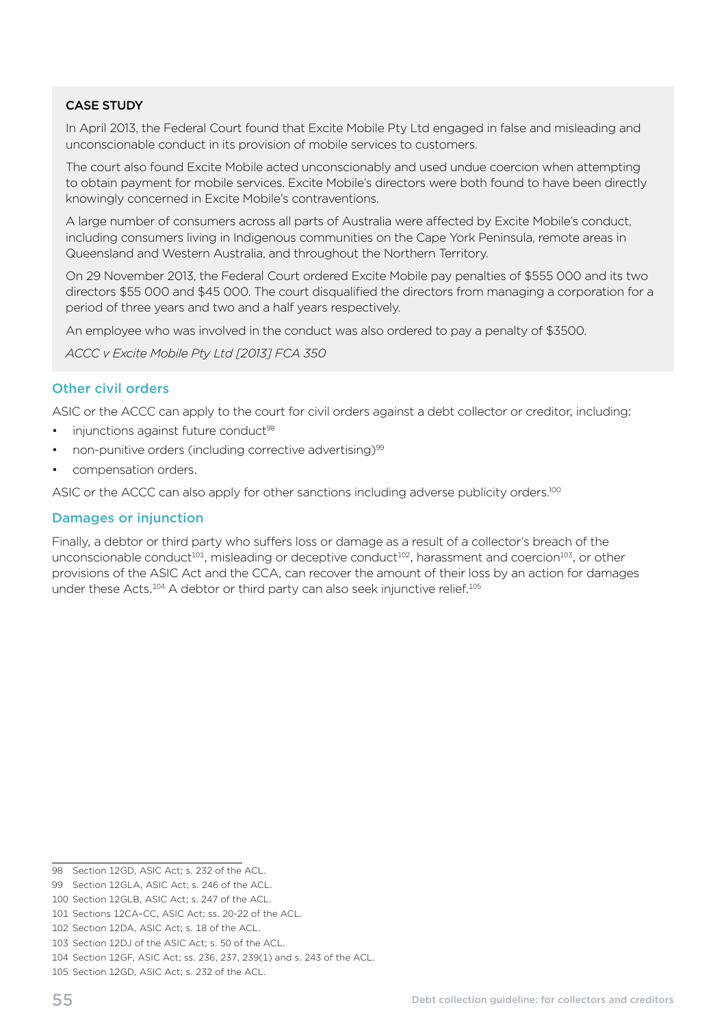In April 2013, the Federal Court found that Excite Mobile Pty Ltd engaged in false and misleading and unconscionable conduct in its provision of mobile services to customers.

The court also found Excite Mobile acted unconscionably and used undue coercion when attempting to obtain payment for mobile services. Excite Mobile's directors were both found to have been directly knowingly concerned in Excite Mobile's contraventions.

A large number of consumers across all parts of Australia were affected by Excite Mobile's conduct, including consumers living in Indigenous communities on the Cape York Peninsula, remote areas in Queensland and Western Australia, and throughout the Northern Territory.

On 29 November 2013, the Federal Court ordered Excite Mobile pay penalties of \$555 000 and its two directors \$55 000 and \$45 000. The court disqualified the directors from managing a corporation for a period of three years and two and a half years respectively.

An employee who was involved in the conduct was also ordered to pay a penalty of \$3500.

*ACCC v Excite Mobile Pty Ltd [2013] FCA 350* 

#### Other civil orders

ASIC or the ACCC can apply to the court for civil orders against a debt collector or creditor, including:

- injunctions against future conduct<sup>98</sup>
- non-punitive orders (including corrective advertising)<sup>99</sup>
- compensation orders.

ASIC or the ACCC can also apply for other sanctions including adverse publicity orders.<sup>100</sup>

#### Damages or injunction

Finally, a debtor or third party who suffers loss or damage as a result of a collector's breach of the unconscionable conduct<sup>101</sup>, misleading or deceptive conduct<sup>102</sup>, harassment and coercion<sup>103</sup>, or other provisions of the ASIC Act and the CCA, can recover the amount of their loss by an action for damages under these Acts.<sup>104</sup> A debtor or third party can also seek injunctive relief.<sup>105</sup>

<sup>98</sup> Section 12GD, ASIC Act; s. 232 of the ACL.

<sup>99</sup> Section 12GLA, ASIC Act; s. 246 of the ACL.

<sup>100</sup> Section 12GLB, ASIC Act; s. 247 of the ACL.

<sup>101</sup> Sections 12CA–CC, ASIC Act; ss. 20-22 of the ACL.

<sup>102</sup> Section 12DA, ASIC Act; s. 18 of the ACL.

<sup>103</sup> Section 12DJ of the ASIC Act; s. 50 of the ACL.

<sup>104</sup> Section 12GF, ASIC Act; ss. 236, 237, 239(1) and s. 243 of the ACL.

<sup>105</sup> Section 12GD, ASIC Act; s. 232 of the ACL.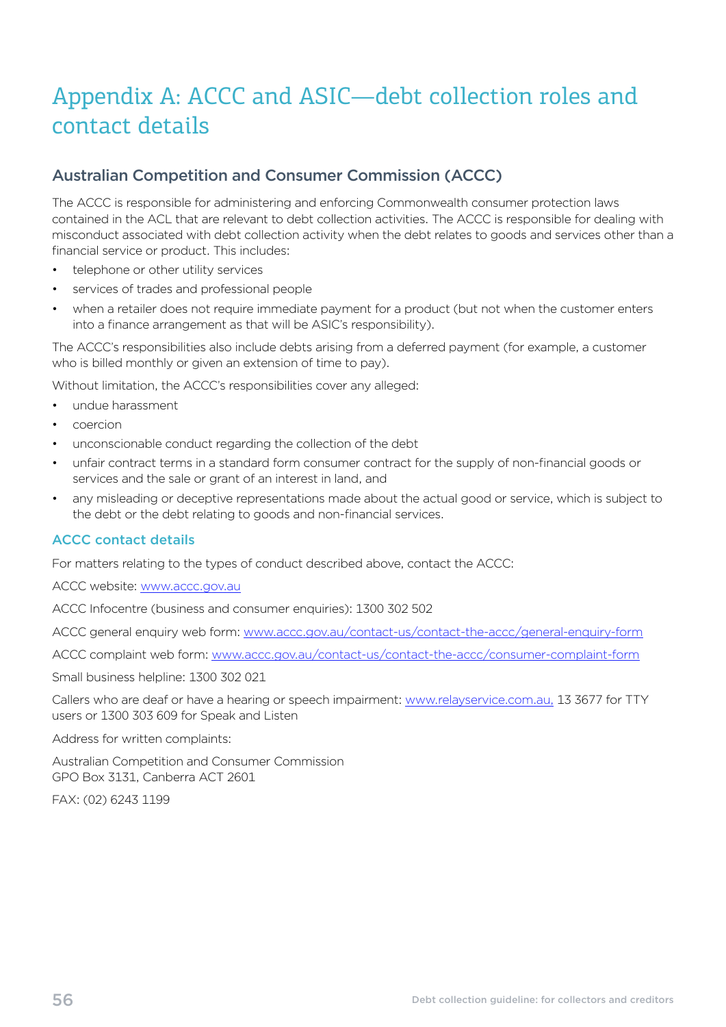# <span id="page-59-0"></span>Appendix A: ACCC and ASIC—debt collection roles and contact details

# Australian Competition and Consumer Commission (ACCC)

The ACCC is responsible for administering and enforcing Commonwealth consumer protection laws contained in the ACL that are relevant to debt collection activities. The ACCC is responsible for dealing with misconduct associated with debt collection activity when the debt relates to goods and services other than a financial service or product. This includes:

- telephone or other utility services
- services of trades and professional people
- when a retailer does not require immediate payment for a product (but not when the customer enters into a finance arrangement as that will be ASIC's responsibility).

The ACCC's responsibilities also include debts arising from a deferred payment (for example, a customer who is billed monthly or given an extension of time to pay).

Without limitation, the ACCC's responsibilities cover any alleged:

- undue harassment
- • coercion
- unconscionable conduct regarding the collection of the debt
- unfair contract terms in a standard form consumer contract for the supply of non-financial goods or services and the sale or grant of an interest in land, and
- any misleading or deceptive representations made about the actual good or service, which is subject to the debt or the debt relating to goods and non-financial services.

#### ACCC contact details

For matters relating to the types of conduct described above, contact the ACCC:

ACCC website: [www.accc.gov.au](http://www.accc.gov.au) 

ACCC Infocentre (business and consumer enquiries): 1300 302 502

ACCC general enquiry web form: [www.accc.gov.au/contact-us/contact-the-accc/general-enquiry-form](http://www.accc.gov.au/contact-us/contact-the-accc/general-enquiry-form)

ACCC complaint web form: [www.accc.gov.au/contact-us/contact-the-accc/consumer-complaint-form](http://www.accc.gov.au/contact-us/contact-the-accc/consumer-complaint-form) 

Small business helpline: 1300 302 021

Callers who are deaf or have a hearing or speech impairment: [www.relayservice.com.au](http://www.relayservice.com.au), 13 3677 for TTY users or 1300 303 609 for Speak and Listen

Address for written complaints:

Australian Competition and Consumer Commission GPO Box 3131, Canberra ACT 2601

FAX: (02) 6243 1199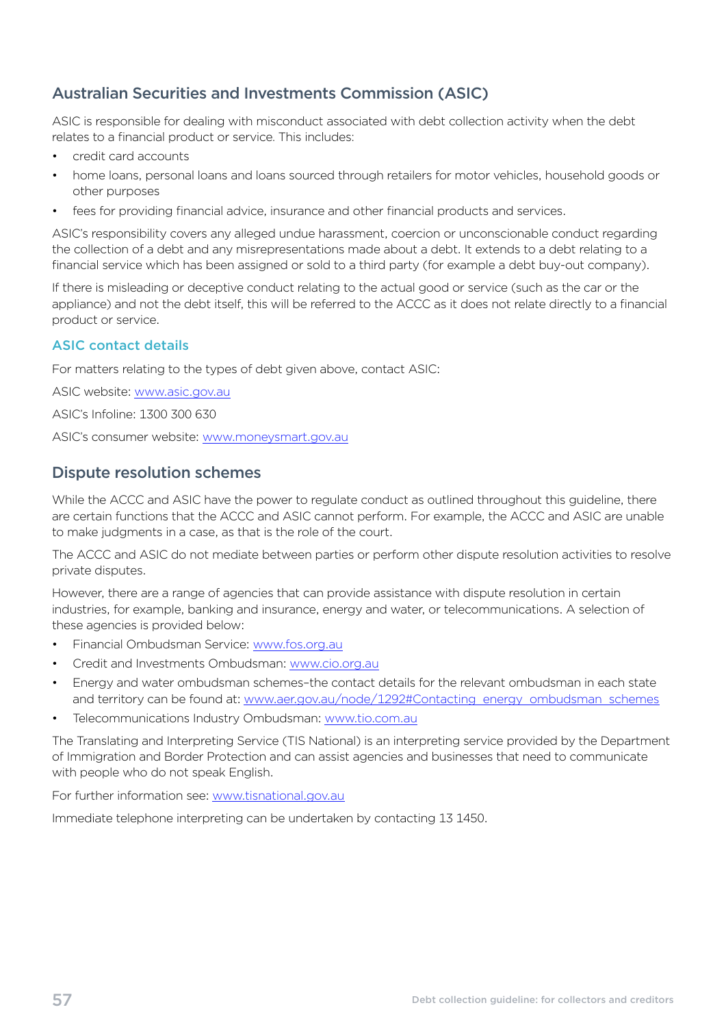# <span id="page-60-0"></span>Australian Securities and Investments Commission (ASIC)

ASIC is responsible for dealing with misconduct associated with debt collection activity when the debt relates to a financial product or service. This includes:

- credit card accounts
- home loans, personal loans and loans sourced through retailers for motor vehicles, household goods or other purposes
- fees for providing financial advice, insurance and other financial products and services.

ASIC's responsibility covers any alleged undue harassment, coercion or unconscionable conduct regarding the collection of a debt and any misrepresentations made about a debt. It extends to a debt relating to a financial service which has been assigned or sold to a third party (for example a debt buy-out company).

If there is misleading or deceptive conduct relating to the actual good or service (such as the car or the appliance) and not the debt itself, this will be referred to the ACCC as it does not relate directly to a financial product or service.

### ASIC contact details

For matters relating to the types of debt given above, contact ASIC:

ASIC website: [www.asic.gov.au](http://www.asic.gov.au) 

ASIC's Infoline: 1300 300 630

ASIC's consumer website: [www.moneysmart.gov.au](http://www.moneysmart.gov.au) 

# Dispute resolution schemes

While the ACCC and ASIC have the power to regulate conduct as outlined throughout this guideline, there are certain functions that the ACCC and ASIC cannot perform. For example, the ACCC and ASIC are unable to make judgments in a case, as that is the role of the court.

The ACCC and ASIC do not mediate between parties or perform other dispute resolution activities to resolve private disputes.

However, there are a range of agencies that can provide assistance with dispute resolution in certain industries, for example, banking and insurance, energy and water, or telecommunications. A selection of these agencies is provided below:

- Financial Ombudsman Service: www.fos.org.au
- Credit and Investments Ombudsman: www.cio.org.au
- Energy and water ombudsman schemes-the contact details for the relevant ombudsman in each state and territory can be found at: www.aer.gov.au/node/1292#Contacting\_energy\_ombudsman\_schemes
- Telecommunications Industry Ombudsman: [www.tio.com.au](http://www.tio.com.au)

The Translating and Interpreting Service (TIS National) is an interpreting service provided by the Department of Immigration and Border Protection and can assist agencies and businesses that need to communicate with people who do not speak English.

For further information see: [www.tisnational.gov.au](http://www.tisnational.gov.au) 

Immediate telephone interpreting can be undertaken by contacting 13 1450.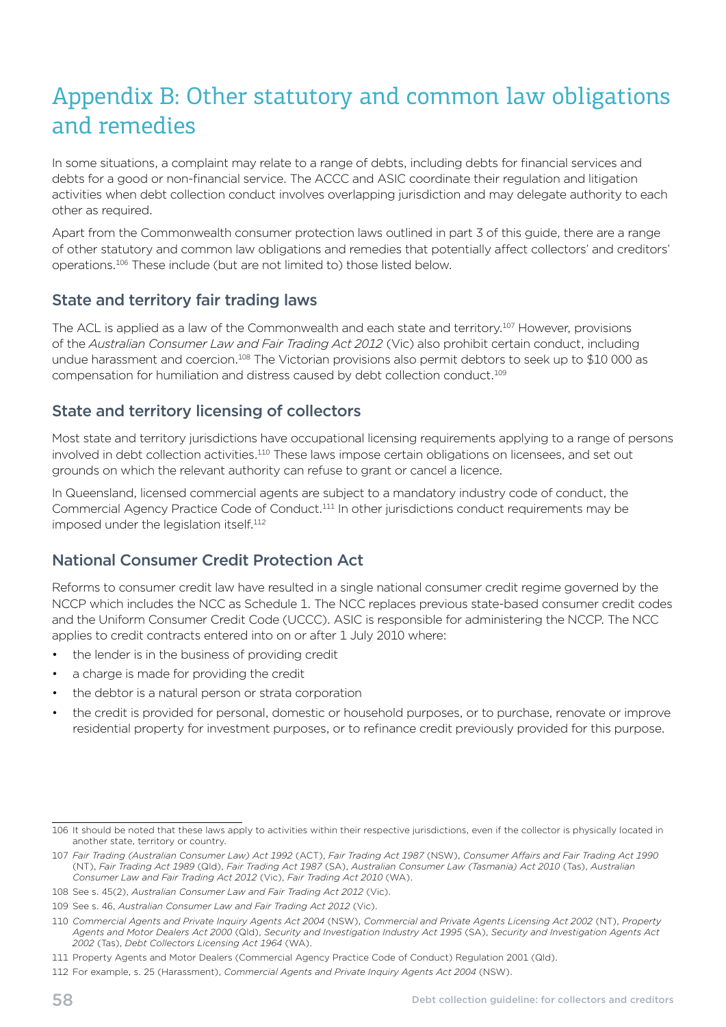# <span id="page-61-0"></span>Appendix B: Other statutory and common law obligations and remedies

In some situations, a complaint may relate to a range of debts, including debts for financial services and debts for a good or non-financial service. The ACCC and ASIC coordinate their regulation and litigation activities when debt collection conduct involves overlapping jurisdiction and may delegate authority to each other as required.

Apart from the Commonwealth consumer protection laws outlined in part 3 of this guide, there are a range of other statutory and common law obligations and remedies that potentially affect collectors' and creditors' operations.106 These include (but are not limited to) those listed below.

# State and territory fair trading laws

The ACL is applied as a law of the Commonwealth and each state and territory.107 However, provisions of the *Australian Consumer Law and Fair Trading Act 2012* (Vic) also prohibit certain conduct, including undue harassment and coercion.108 The Victorian provisions also permit debtors to seek up to \$10 000 as compensation for humiliation and distress caused by debt collection conduct.109

# State and territory licensing of collectors

Most state and territory jurisdictions have occupational licensing requirements applying to a range of persons involved in debt collection activities.<sup>110</sup> These laws impose certain obligations on licensees, and set out grounds on which the relevant authority can refuse to grant or cancel a licence.

In Queensland, licensed commercial agents are subject to a mandatory industry code of conduct, the Commercial Agency Practice Code of Conduct.111 In other jurisdictions conduct requirements may be imposed under the legislation itself.<sup>112</sup>

# National Consumer Credit Protection Act

Reforms to consumer credit law have resulted in a single national consumer credit regime governed by the NCCP which includes the NCC as Schedule 1. The NCC replaces previous state-based consumer credit codes and the Uniform Consumer Credit Code (UCCC). ASIC is responsible for administering the NCCP. The NCC applies to credit contracts entered into on or after 1 July 2010 where:

- the lender is in the business of providing credit
- a charge is made for providing the credit
- the debtor is a natural person or strata corporation
- the credit is provided for personal, domestic or household purposes, or to purchase, renovate or improve residential property for investment purposes, or to refinance credit previously provided for this purpose.

<sup>106</sup> It should be noted that these laws apply to activities within their respective jurisdictions, even if the collector is physically located in another state, territory or country.

<sup>107</sup> *Fair Trading (Australian Consumer Law) Act 1992* (ACT), *Fair Trading Act 1987* (NSW), *Consumer Affairs and Fair Trading Act 1990*  (NT), *Fair Trading Act 1989* (Qld), *Fair Trading Act 1987* (SA), *Australian Consumer Law (Tasmania) Act 2010* (Tas), *Australian Consumer Law and Fair Trading Act 2012* (Vic), *Fair Trading Act 2010* (WA).

<sup>108</sup> See s. 45(2), *Australian Consumer Law and Fair Trading Act 2012* (Vic).

<sup>109</sup> See s. 46, *Australian Consumer Law and Fair Trading Act 2012* (Vic).

<sup>110</sup> *Commercial Agents and Private Inquiry Agents Act 2004* (NSW), *Commercial and Private Agents Licensing Act 2002* (NT), *Property Agents and Motor Dealers Act 2000* (Qld), *Security and Investigation Industry Act 1995* (SA), *Security and Investigation Agents Act 2002* (Tas), *Debt Collectors Licensing Act 1964* (WA).

<sup>111</sup> Property Agents and Motor Dealers (Commercial Agency Practice Code of Conduct) Regulation 2001 (Qld).

<sup>112</sup> For example, s. 25 (Harassment), *Commercial Agents and Private Inquiry Agents Act 2004* (NSW).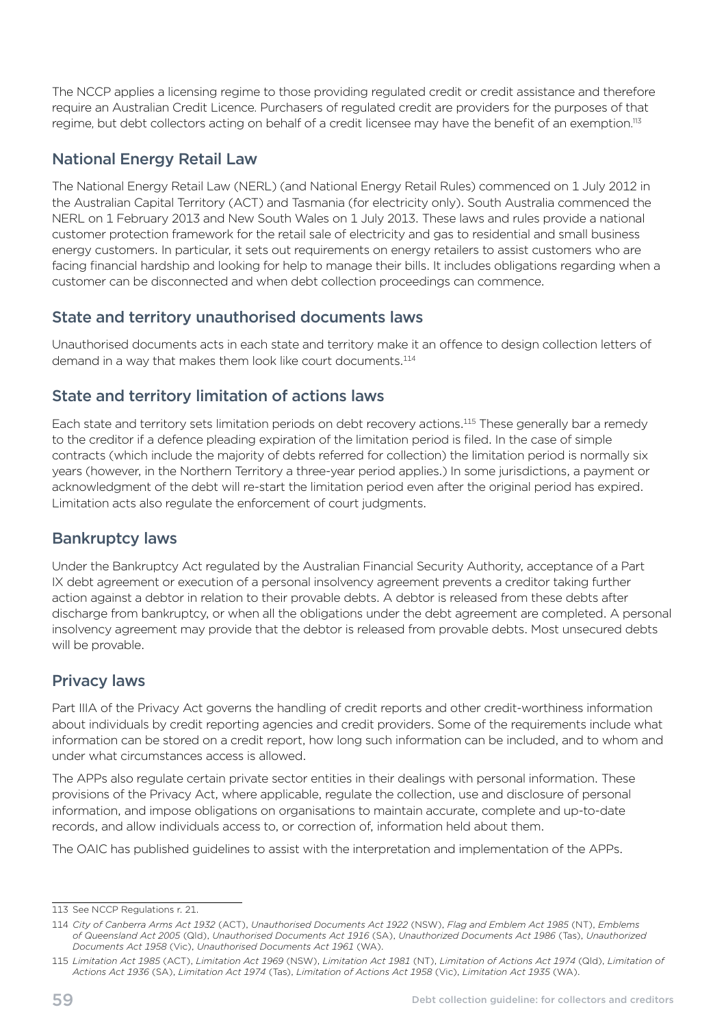<span id="page-62-0"></span>The NCCP applies a licensing regime to those providing regulated credit or credit assistance and therefore require an Australian Credit Licence. Purchasers of regulated credit are providers for the purposes of that regime, but debt collectors acting on behalf of a credit licensee may have the benefit of an exemption.<sup>113</sup>

# National Energy Retail Law

The National Energy Retail Law (NERL) (and National Energy Retail Rules) commenced on 1 July 2012 in the Australian Capital Territory (ACT) and Tasmania (for electricity only). South Australia commenced the NERL on 1 February 2013 and New South Wales on 1 July 2013. These laws and rules provide a national customer protection framework for the retail sale of electricity and gas to residential and small business energy customers. In particular, it sets out requirements on energy retailers to assist customers who are facing financial hardship and looking for help to manage their bills. It includes obligations regarding when a customer can be disconnected and when debt collection proceedings can commence.

# State and territory unauthorised documents laws

Unauthorised documents acts in each state and territory make it an offence to design collection letters of demand in a way that makes them look like court documents.<sup>114</sup>

# State and territory limitation of actions laws

Each state and territory sets limitation periods on debt recovery actions.115 These generally bar a remedy to the creditor if a defence pleading expiration of the limitation period is filed. In the case of simple contracts (which include the majority of debts referred for collection) the limitation period is normally six years (however, in the Northern Territory a three-year period applies.) In some jurisdictions, a payment or acknowledgment of the debt will re-start the limitation period even after the original period has expired. Limitation acts also regulate the enforcement of court judgments.

# Bankruptcy laws

Under the Bankruptcy Act regulated by the Australian Financial Security Authority, acceptance of a Part IX debt agreement or execution of a personal insolvency agreement prevents a creditor taking further action against a debtor in relation to their provable debts. A debtor is released from these debts after discharge from bankruptcy, or when all the obligations under the debt agreement are completed. A personal insolvency agreement may provide that the debtor is released from provable debts. Most unsecured debts will be provable.

# Privacy laws

Part IIIA of the Privacy Act governs the handling of credit reports and other credit-worthiness information about individuals by credit reporting agencies and credit providers. Some of the requirements include what information can be stored on a credit report, how long such information can be included, and to whom and under what circumstances access is allowed.

The APPs also regulate certain private sector entities in their dealings with personal information. These provisions of the Privacy Act, where applicable, regulate the collection, use and disclosure of personal information, and impose obligations on organisations to maintain accurate, complete and up-to-date records, and allow individuals access to, or correction of, information held about them.

The OAIC has published guidelines to assist with the interpretation and implementation of the APPs.

<sup>113</sup> See NCCP Regulations r. 21.

<sup>114</sup> *City of Canberra Arms Act 1932* (ACT), *Unauthorised Documents Act 1922* (NSW), *Flag and Emblem Act 1985* (NT), *Emblems of Queensland Act 2005* (Qld), *Unauthorised Documents Act 1916* (SA), *Unauthorized Documents Act 1986* (Tas), *Unauthorized Documents Act 1958* (Vic), *Unauthorised Documents Act 1961* (WA).

<sup>115</sup> *Limitation Act 1985* (ACT), *Limitation Act 1969* (NSW), *Limitation Act 1981* (NT), *Limitation of Actions Act 1974* (Qld), *Limitation of Actions Act 1936* (SA), *Limitation Act 1974* (Tas), *Limitation of Actions Act 1958* (Vic), *Limitation Act 1935* (WA).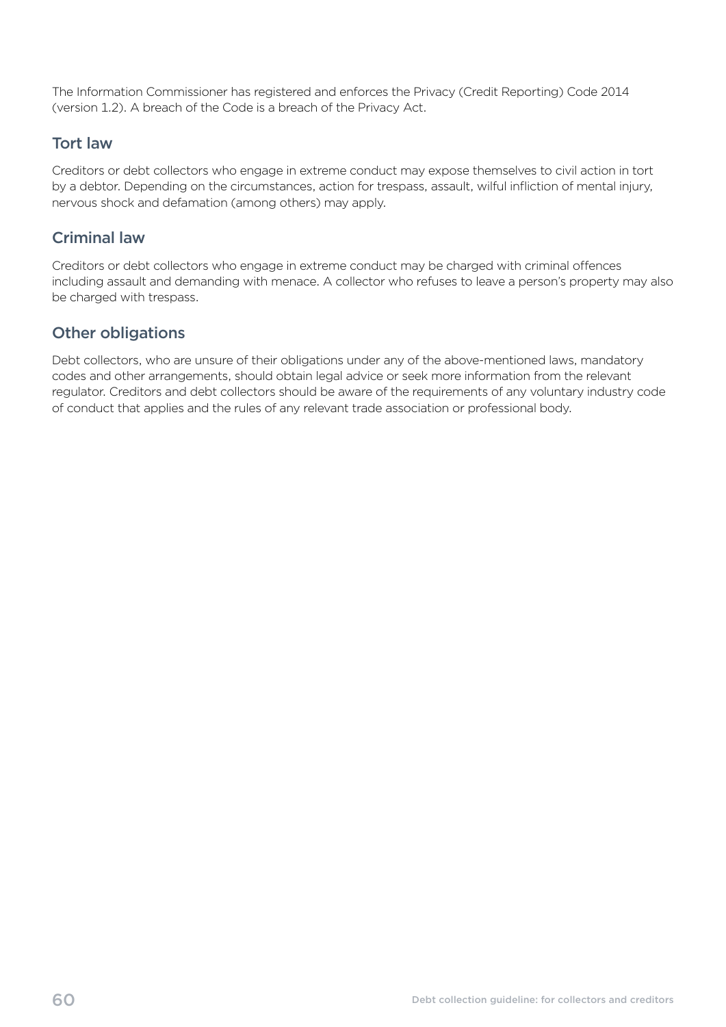<span id="page-63-0"></span>The Information Commissioner has registered and enforces the Privacy (Credit Reporting) Code 2014 (version 1.2). A breach of the Code is a breach of the Privacy Act.

# Tort law

Creditors or debt collectors who engage in extreme conduct may expose themselves to civil action in tort by a debtor. Depending on the circumstances, action for trespass, assault, wilful infliction of mental injury, nervous shock and defamation (among others) may apply.

# Criminal law

Creditors or debt collectors who engage in extreme conduct may be charged with criminal offences including assault and demanding with menace. A collector who refuses to leave a person's property may also be charged with trespass.

# Other obligations

Debt collectors, who are unsure of their obligations under any of the above-mentioned laws, mandatory codes and other arrangements, should obtain legal advice or seek more information from the relevant regulator. Creditors and debt collectors should be aware of the requirements of any voluntary industry code of conduct that applies and the rules of any relevant trade association or professional body.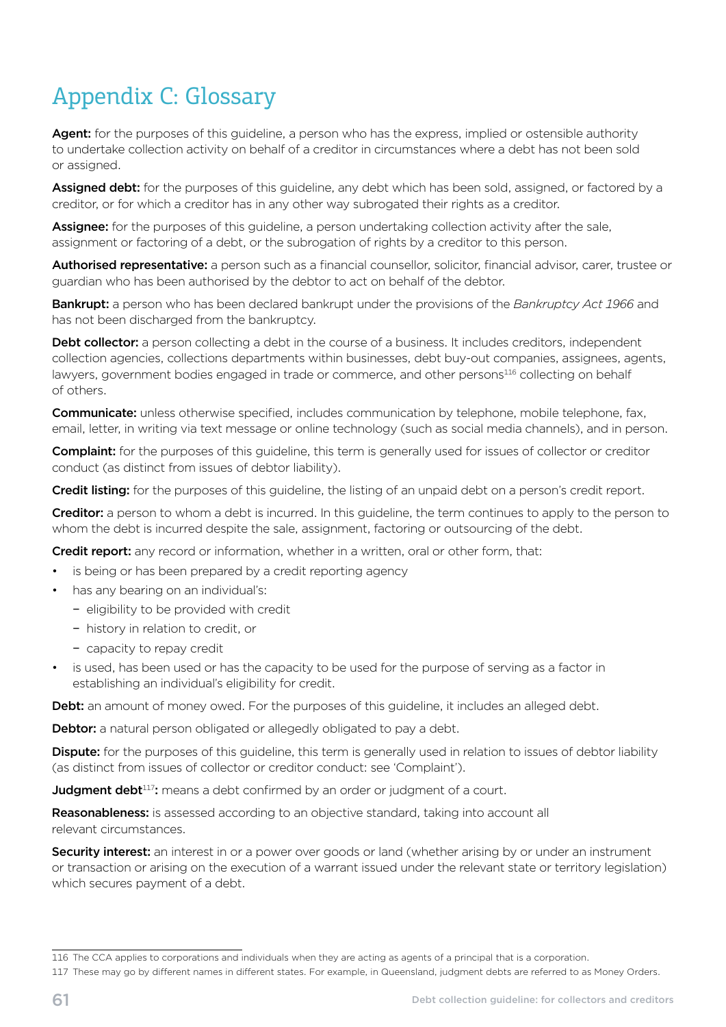# <span id="page-64-0"></span>Appendix C: Glossary

Agent: for the purposes of this guideline, a person who has the express, implied or ostensible authority to undertake collection activity on behalf of a creditor in circumstances where a debt has not been sold or assigned.

Assigned debt: for the purposes of this quideline, any debt which has been sold, assigned, or factored by a creditor, or for which a creditor has in any other way subrogated their rights as a creditor.

Assignee: for the purposes of this guideline, a person undertaking collection activity after the sale, assignment or factoring of a debt, or the subrogation of rights by a creditor to this person.

Authorised representative: a person such as a financial counsellor, solicitor, financial advisor, carer, trustee or guardian who has been authorised by the debtor to act on behalf of the debtor.

Bankrupt: a person who has been declared bankrupt under the provisions of the *Bankruptcy Act 1966* and has not been discharged from the bankruptcy.

**Debt collector:** a person collecting a debt in the course of a business. It includes creditors, independent collection agencies, collections departments within businesses, debt buy-out companies, assignees, agents, lawyers, government bodies engaged in trade or commerce, and other persons<sup>116</sup> collecting on behalf of others.

**Communicate:** unless otherwise specified, includes communication by telephone, mobile telephone, fax, email, letter, in writing via text message or online technology (such as social media channels), and in person.

**Complaint:** for the purposes of this guideline, this term is generally used for issues of collector or creditor conduct (as distinct from issues of debtor liability).

Credit listing: for the purposes of this quideline, the listing of an unpaid debt on a person's credit report.

Creditor: a person to whom a debt is incurred. In this guideline, the term continues to apply to the person to whom the debt is incurred despite the sale, assignment, factoring or outsourcing of the debt.

Credit report: any record or information, whether in a written, oral or other form, that:

- is being or has been prepared by a credit reporting agency
- has any bearing on an individual's:
	- − eligibility to be provided with credit
	- − history in relation to credit, or
	- − capacity to repay credit
- is used, has been used or has the capacity to be used for the purpose of serving as a factor in establishing an individual's eligibility for credit.

Debt: an amount of money owed. For the purposes of this guideline, it includes an alleged debt.

**Debtor:** a natural person obligated or allegedly obligated to pay a debt.

Dispute: for the purposes of this guideline, this term is generally used in relation to issues of debtor liability (as distinct from issues of collector or creditor conduct: see 'Complaint').

**Judgment debt**<sup>117</sup>: means a debt confirmed by an order or judgment of a court.

Reasonableness: is assessed according to an objective standard, taking into account all relevant circumstances.

**Security interest:** an interest in or a power over goods or land (whether arising by or under an instrument or transaction or arising on the execution of a warrant issued under the relevant state or territory legislation) which secures payment of a debt.

<sup>116</sup> The CCA applies to corporations and individuals when they are acting as agents of a principal that is a corporation.

<sup>117</sup> These may go by different names in different states. For example, in Queensland, judgment debts are referred to as Money Orders.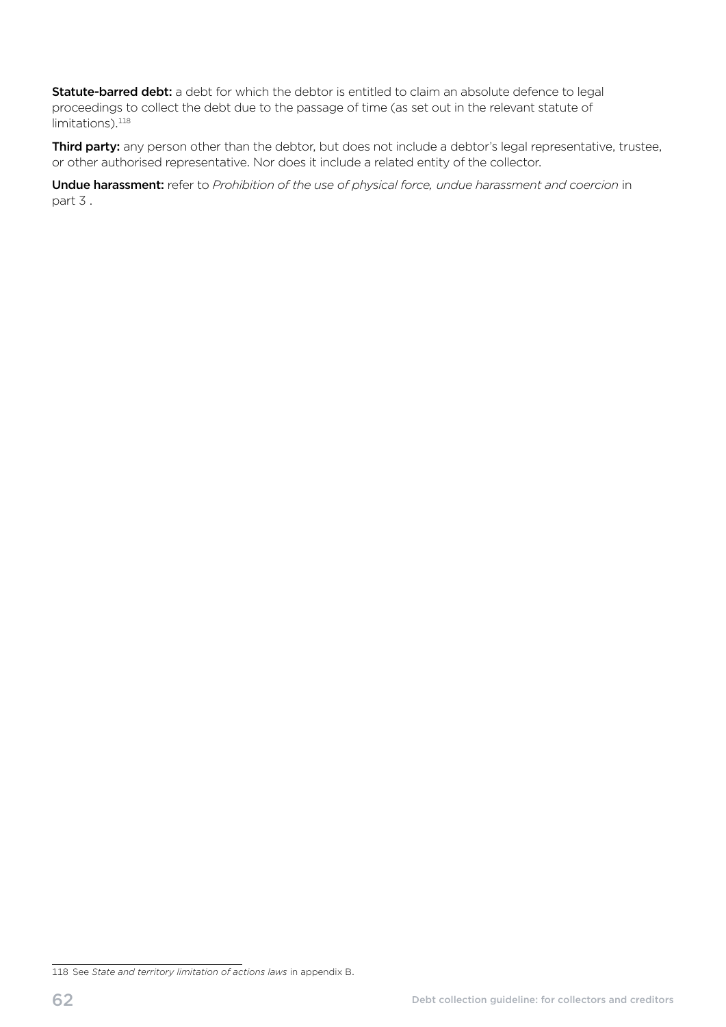Statute-barred debt: a debt for which the debtor is entitled to claim an absolute defence to legal proceedings to collect the debt due to the passage of time (as set out in the relevant statute of limitations).<sup>118</sup>

Third party: any person other than the debtor, but does not include a debtor's legal representative, trustee, or other authorised representative. Nor does it include a related entity of the collector.

Undue harassment: refer to *Prohibition of the use of physical force, undue harassment and coercion* in part 3 .

<sup>118</sup> See *State and territory limitation of actions laws* in appendix B.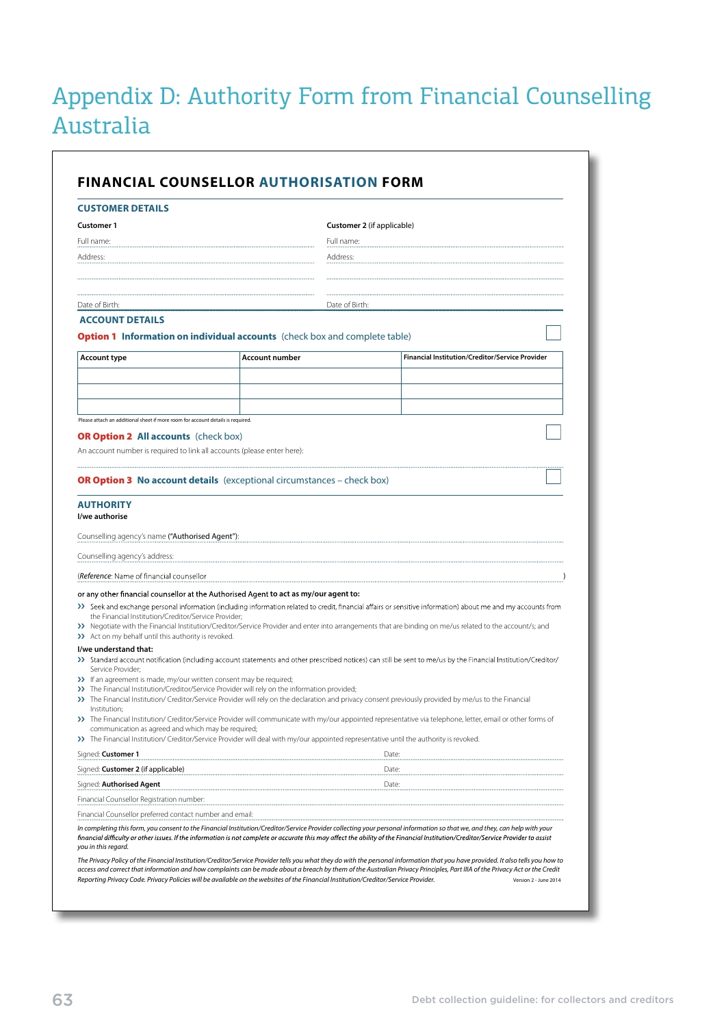# <span id="page-66-0"></span>Appendix D: Authority Form from Financial Counselling Australia

| <b>CUSTOMER DETAILS</b>                                                                                                                                                                                                                                                                                                                                                                                                                                                                                                                                                                                                                                                                                                                                                                                                                                                      |                       |                                                                               |                                                                                                                                                                                                                                                                                                                            |  |
|------------------------------------------------------------------------------------------------------------------------------------------------------------------------------------------------------------------------------------------------------------------------------------------------------------------------------------------------------------------------------------------------------------------------------------------------------------------------------------------------------------------------------------------------------------------------------------------------------------------------------------------------------------------------------------------------------------------------------------------------------------------------------------------------------------------------------------------------------------------------------|-----------------------|-------------------------------------------------------------------------------|----------------------------------------------------------------------------------------------------------------------------------------------------------------------------------------------------------------------------------------------------------------------------------------------------------------------------|--|
| <b>Customer 1</b>                                                                                                                                                                                                                                                                                                                                                                                                                                                                                                                                                                                                                                                                                                                                                                                                                                                            |                       | Customer 2 (if applicable)                                                    |                                                                                                                                                                                                                                                                                                                            |  |
| Full name:                                                                                                                                                                                                                                                                                                                                                                                                                                                                                                                                                                                                                                                                                                                                                                                                                                                                   |                       | Full name:                                                                    |                                                                                                                                                                                                                                                                                                                            |  |
| Address:                                                                                                                                                                                                                                                                                                                                                                                                                                                                                                                                                                                                                                                                                                                                                                                                                                                                     |                       | Address:                                                                      |                                                                                                                                                                                                                                                                                                                            |  |
|                                                                                                                                                                                                                                                                                                                                                                                                                                                                                                                                                                                                                                                                                                                                                                                                                                                                              |                       |                                                                               |                                                                                                                                                                                                                                                                                                                            |  |
|                                                                                                                                                                                                                                                                                                                                                                                                                                                                                                                                                                                                                                                                                                                                                                                                                                                                              |                       |                                                                               |                                                                                                                                                                                                                                                                                                                            |  |
| Date of Birth:                                                                                                                                                                                                                                                                                                                                                                                                                                                                                                                                                                                                                                                                                                                                                                                                                                                               |                       | Date of Birth:                                                                |                                                                                                                                                                                                                                                                                                                            |  |
| <b>ACCOUNT DETAILS</b>                                                                                                                                                                                                                                                                                                                                                                                                                                                                                                                                                                                                                                                                                                                                                                                                                                                       |                       |                                                                               |                                                                                                                                                                                                                                                                                                                            |  |
| <b>Option 1</b> Information on individual accounts (check box and complete table)                                                                                                                                                                                                                                                                                                                                                                                                                                                                                                                                                                                                                                                                                                                                                                                            |                       |                                                                               |                                                                                                                                                                                                                                                                                                                            |  |
| <b>Account type</b>                                                                                                                                                                                                                                                                                                                                                                                                                                                                                                                                                                                                                                                                                                                                                                                                                                                          | <b>Account number</b> |                                                                               | Financial Institution/Creditor/Service Provider                                                                                                                                                                                                                                                                            |  |
|                                                                                                                                                                                                                                                                                                                                                                                                                                                                                                                                                                                                                                                                                                                                                                                                                                                                              |                       |                                                                               |                                                                                                                                                                                                                                                                                                                            |  |
|                                                                                                                                                                                                                                                                                                                                                                                                                                                                                                                                                                                                                                                                                                                                                                                                                                                                              |                       |                                                                               |                                                                                                                                                                                                                                                                                                                            |  |
|                                                                                                                                                                                                                                                                                                                                                                                                                                                                                                                                                                                                                                                                                                                                                                                                                                                                              |                       |                                                                               |                                                                                                                                                                                                                                                                                                                            |  |
| Please attach an additional sheet if more room for account details is required.                                                                                                                                                                                                                                                                                                                                                                                                                                                                                                                                                                                                                                                                                                                                                                                              |                       |                                                                               |                                                                                                                                                                                                                                                                                                                            |  |
| <b>OR Option 2 All accounts</b> (check box)                                                                                                                                                                                                                                                                                                                                                                                                                                                                                                                                                                                                                                                                                                                                                                                                                                  |                       |                                                                               |                                                                                                                                                                                                                                                                                                                            |  |
| An account number is required to link all accounts (please enter here):                                                                                                                                                                                                                                                                                                                                                                                                                                                                                                                                                                                                                                                                                                                                                                                                      |                       |                                                                               |                                                                                                                                                                                                                                                                                                                            |  |
|                                                                                                                                                                                                                                                                                                                                                                                                                                                                                                                                                                                                                                                                                                                                                                                                                                                                              |                       |                                                                               |                                                                                                                                                                                                                                                                                                                            |  |
|                                                                                                                                                                                                                                                                                                                                                                                                                                                                                                                                                                                                                                                                                                                                                                                                                                                                              |                       | <b>OR Option 3 No account details</b> (exceptional circumstances – check box) |                                                                                                                                                                                                                                                                                                                            |  |
| the Financial Institution/Creditor/Service Provider;                                                                                                                                                                                                                                                                                                                                                                                                                                                                                                                                                                                                                                                                                                                                                                                                                         |                       |                                                                               | >> Seek and exchange personal information (including information related to credit, financial affairs or sensitive information) about me and my accounts from<br>>> Negotiate with the Financial Institution/Creditor/Service Provider and enter into arrangements that are binding on me/us related to the account/s; and |  |
| Service Provider;                                                                                                                                                                                                                                                                                                                                                                                                                                                                                                                                                                                                                                                                                                                                                                                                                                                            |                       |                                                                               | >> Standard account notification (including account statements and other prescribed notices) can still be sent to me/us by the Financial Institution/Creditor/<br>>> The Financial Institution/ Creditor/Service Provider will rely on the declaration and privacy consent previously provided by me/us to the Financial   |  |
| Institution;<br>communication as agreed and which may be required;                                                                                                                                                                                                                                                                                                                                                                                                                                                                                                                                                                                                                                                                                                                                                                                                           |                       |                                                                               | >> The Financial Institution/ Creditor/Service Provider will communicate with my/our appointed representative via telephone, letter, email or other forms of                                                                                                                                                               |  |
|                                                                                                                                                                                                                                                                                                                                                                                                                                                                                                                                                                                                                                                                                                                                                                                                                                                                              |                       |                                                                               |                                                                                                                                                                                                                                                                                                                            |  |
|                                                                                                                                                                                                                                                                                                                                                                                                                                                                                                                                                                                                                                                                                                                                                                                                                                                                              |                       |                                                                               | Date:                                                                                                                                                                                                                                                                                                                      |  |
|                                                                                                                                                                                                                                                                                                                                                                                                                                                                                                                                                                                                                                                                                                                                                                                                                                                                              |                       |                                                                               | Date:<br>Date:                                                                                                                                                                                                                                                                                                             |  |
|                                                                                                                                                                                                                                                                                                                                                                                                                                                                                                                                                                                                                                                                                                                                                                                                                                                                              |                       |                                                                               |                                                                                                                                                                                                                                                                                                                            |  |
| <b>AUTHORITY</b><br>I/we authorise<br>Counselling agency's name ("Authorised Agent"):<br>Counselling agency's address:<br>(Reference: Name of financial counsellor<br>or any other financial counsellor at the Authorised Agent to act as my/our agent to:<br>>> Act on my behalf until this authority is revoked.<br>I/we understand that:<br>>> If an agreement is made, my/our written consent may be required;<br>>> The Financial Institution/Creditor/Service Provider will rely on the information provided;<br>>> The Financial Institution/ Creditor/Service Provider will deal with my/our appointed representative until the authority is revoked.<br>Signed: Customer 1<br>Signed: <b>Customer 2</b> (if applicable)<br>Signed: <b>Authorised Agent</b><br>Financial Counsellor Registration number:<br>Financial Counsellor preferred contact number and email: |                       |                                                                               |                                                                                                                                                                                                                                                                                                                            |  |